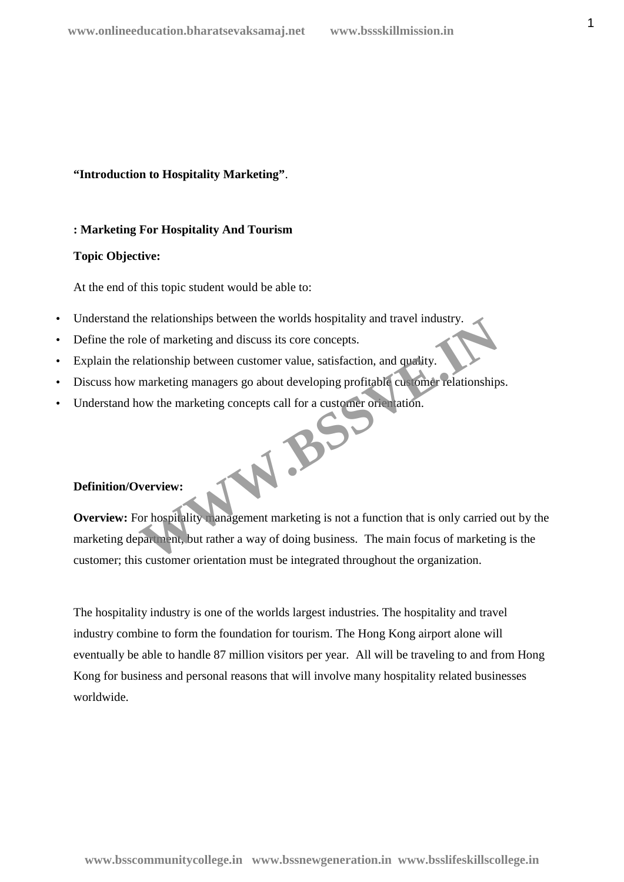**"Introduction to Hospitality Marketing"**.

#### **: Marketing For Hospitality And Tourism**

#### **Topic Objective:**

At the end of this topic student would be able to:

- Understand the relationships between the worlds hospitality and travel industry.
- Define the role of marketing and discuss its core concepts.
- Explain the relationship between customer value, satisfaction, and quality.
- Discuss how marketing managers go about developing profitable customer relationships.
- Understand how the marketing concepts call for a customer orientation. W.BSS

#### **Definition/Overview:**

**Overview:** For hospitality management marketing is not a function that is only carried out by the marketing department, but rather a way of doing business. The main focus of marketing is the customer; this customer orientation must be integrated throughout the organization.

The hospitality industry is one of the worlds largest industries. The hospitality and travel industry combine to form the foundation for tourism. The Hong Kong airport alone will eventually be able to handle 87 million visitors per year. All will be traveling to and from Hong Kong for business and personal reasons that will involve many hospitality related businesses worldwide.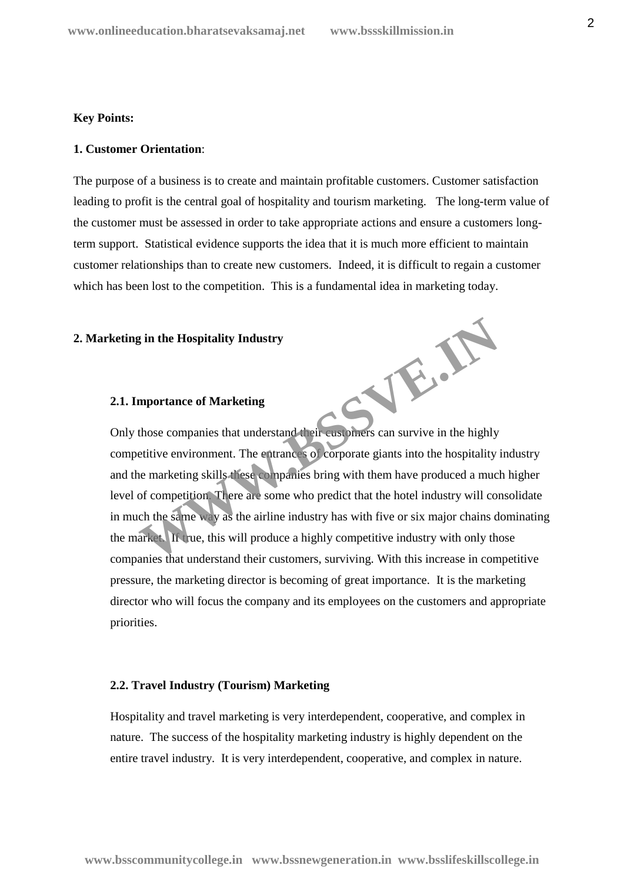#### **Key Points:**

#### **1. Customer Orientation**:

The purpose of a business is to create and maintain profitable customers. Customer satisfaction leading to profit is the central goal of hospitality and tourism marketing. The long-term value of the customer must be assessed in order to take appropriate actions and ensure a customers longterm support. Statistical evidence supports the idea that it is much more efficient to maintain customer relationships than to create new customers. Indeed, it is difficult to regain a customer which has been lost to the competition. This is a fundamental idea in marketing today.

#### **2. Marketing in the Hospitality Industry**

# **2.1. Importance of Marketing**

Only those companies that understand their customers can survive in the highly competitive environment. The entrances of corporate giants into the hospitality industry and the marketing skills these companies bring with them have produced a much higher level of competition. There are some who predict that the hotel industry will consolidate in much the same way as the airline industry has with five or six major chains dominating the market. If true, this will produce a highly competitive industry with only those companies that understand their customers, surviving. With this increase in competitive pressure, the marketing director is becoming of great importance. It is the marketing director who will focus the company and its employees on the customers and appropriate priorities. WWW.BSSV

#### **2.2. Travel Industry (Tourism) Marketing**

Hospitality and travel marketing is very interdependent, cooperative, and complex in nature. The success of the hospitality marketing industry is highly dependent on the entire travel industry. It is very interdependent, cooperative, and complex in nature.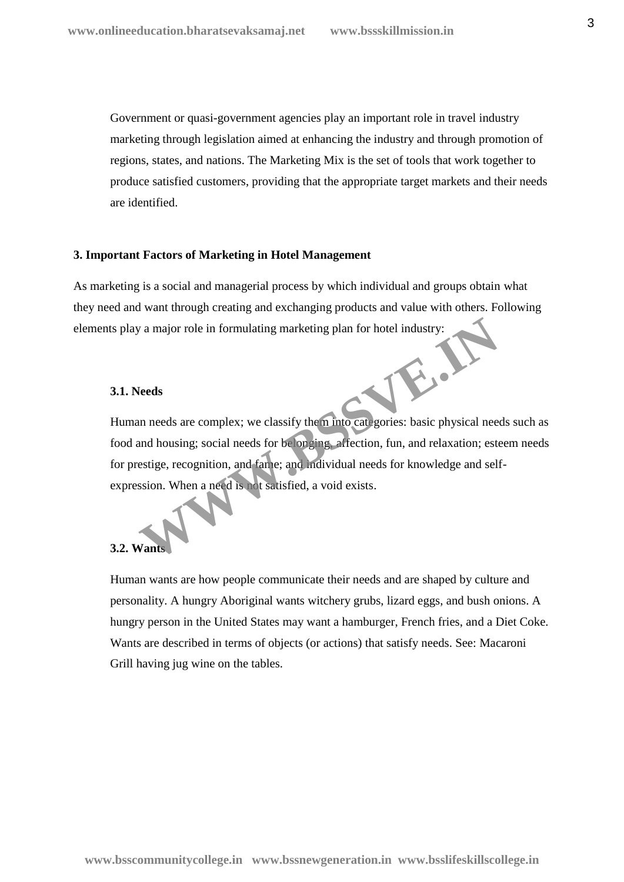Government or quasi-government agencies play an important role in travel industry marketing through legislation aimed at enhancing the industry and through promotion of regions, states, and nations. The Marketing Mix is the set of tools that work together to produce satisfied customers, providing that the appropriate target markets and their needs are identified.

#### **3. Important Factors of Marketing in Hotel Management**

As marketing is a social and managerial process by which individual and groups obtain what they need and want through creating and exchanging products and value with others. Following elements play a major role in formulating marketing plan for hotel industry:

#### **3.1. Needs**

Human needs are complex; we classify them into categories: basic physical needs such as food and housing; social needs for belonging, affection, fun, and relaxation; esteem needs for prestige, recognition, and fame; and individual needs for knowledge and self expression. When a need is not satisfied, a void exists. We a major role in formulating marketing plan for hotel industry:<br> **Needs**<br>
In needs are complex; we classify them into categories: basic physical need<br>
and housing; social needs for be or ging affection, fun, and relaxati

#### **3.2. Wan**

Human wants are how people communicate their needs and are shaped by culture and personality. A hungry Aboriginal wants witchery grubs, lizard eggs, and bush onions. A hungry person in the United States may want a hamburger, French fries, and a Diet Coke. Wants are described in terms of objects (or actions) that satisfy needs. See: Macaroni Grill having jug wine on the tables.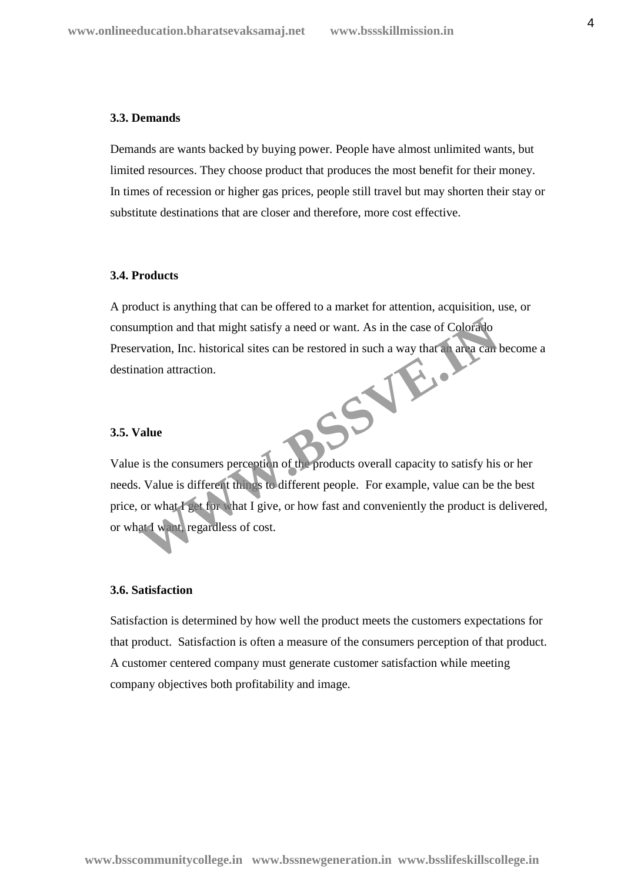#### **3.3. Demands**

Demands are wants backed by buying power. People have almost unlimited wants, but limited resources. They choose product that produces the most benefit for their money. In times of recession or higher gas prices, people still travel but may shorten their stay or substitute destinations that are closer and therefore, more cost effective.

#### **3.4. Products**

A product is anything that can be offered to a market for attention, acquisition, use, or consumption and that might satisfy a need or want. As in the case of Colorado Preservation, Inc. historical sites can be restored in such a way that an area can become a destination attraction. **WWW.BSSVER.IN** 

#### **3.5. Value**

Value is the consumers perception of the products overall capacity to satisfy his or her needs. Value is different things to different people. For example, value can be the best price, or what I get for what I give, or how fast and conveniently the product is delivered, or what I want, regardless of cost.

# **3.6. Satisfaction**

Satisfaction is determined by how well the product meets the customers expectations for that product. Satisfaction is often a measure of the consumers perception of that product. A customer centered company must generate customer satisfaction while meeting company objectives both profitability and image.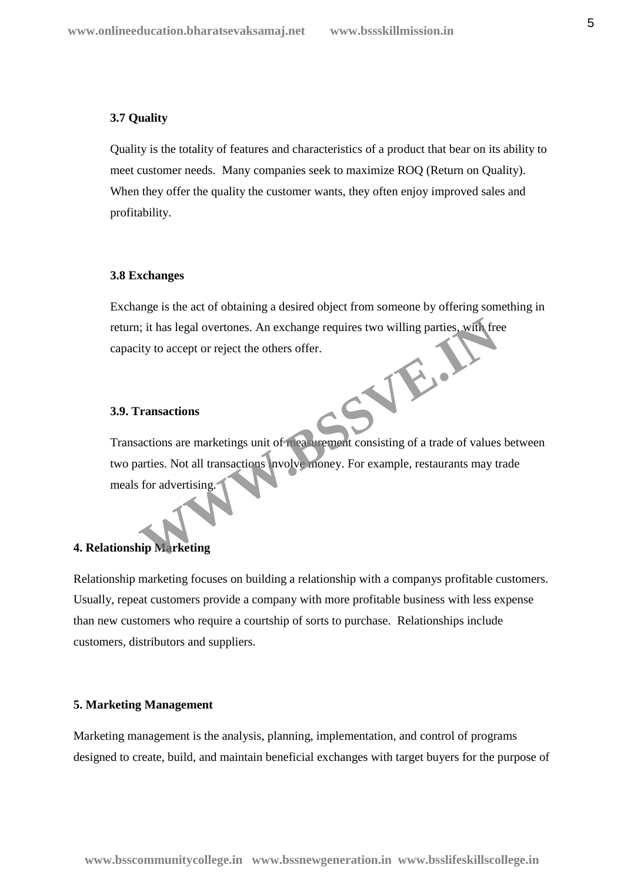#### **3.7 Quality**

Quality is the totality of features and characteristics of a product that bear on its ability to meet customer needs. Many companies seek to maximize ROQ (Return on Quality). When they offer the quality the customer wants, they often enjoy improved sales and profitability.

#### **3.8 Exchanges**

Exchange is the act of obtaining a desired object from someone by offering something in return; it has legal overtones. An exchange requires two willing parties, with free capacity to accept or reject the others offer. **WWW.BSSVE.IN**

#### **3.9. Transactions**

Transactions are marketings unit of measurement consisting of a trade of values between two parties. Not all transactions involve money. For example, restaurants may trade meals for advertising.

# **4. Relationship Marketing**

Relationship marketing focuses on building a relationship with a companys profitable customers. Usually, repeat customers provide a company with more profitable business with less expense than new customers who require a courtship of sorts to purchase. Relationships include customers, distributors and suppliers.

#### **5. Marketing Management**

Marketing management is the analysis, planning, implementation, and control of programs designed to create, build, and maintain beneficial exchanges with target buyers for the purpose of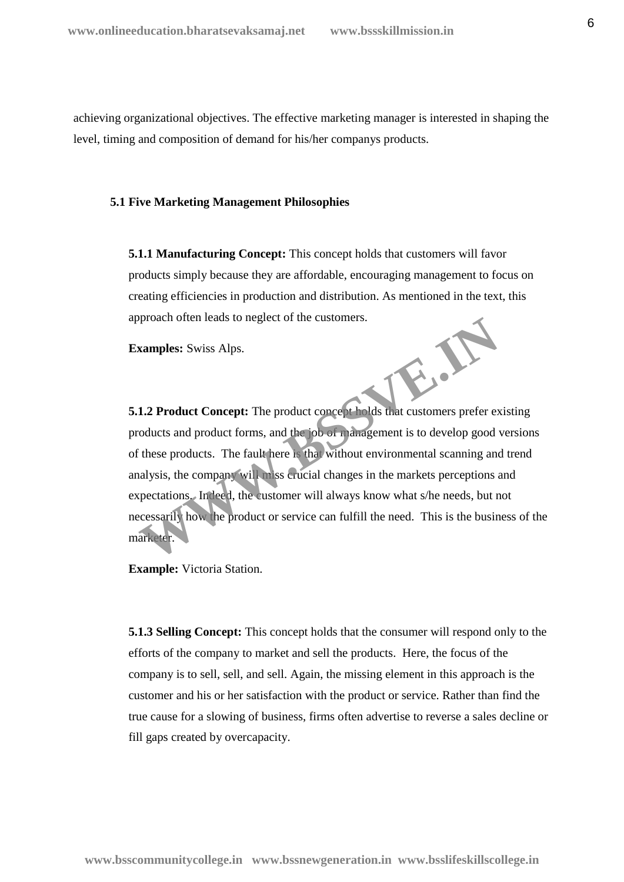achieving organizational objectives. The effective marketing manager is interested in shaping the level, timing and composition of demand for his/her companys products.

#### **5.1 Five Marketing Management Philosophies**

**5.1.1 Manufacturing Concept:** This concept holds that customers will favor products simply because they are affordable, encouraging management to focus on creating efficiencies in production and distribution. As mentioned in the text, this approach often leads to neglect of the customers.

**Examples:** Swiss Alps.

**5.1.2 Product Concept:** The product concept holds that customers prefer existing products and product forms, and the job of management is to develop good versions of these products. The fault here is that without environmental scanning and trend analysis, the company will miss crucial changes in the markets perceptions and expectations. Indeed, the customer will always know what s/he needs, but not necessarily how the product or service can fulfill the need. This is the business of the marketer. **WASSER** 

**Example:** Victoria Station.

**5.1.3 Selling Concept:** This concept holds that the consumer will respond only to the efforts of the company to market and sell the products. Here, the focus of the company is to sell, sell, and sell. Again, the missing element in this approach is the customer and his or her satisfaction with the product or service. Rather than find the true cause for a slowing of business, firms often advertise to reverse a sales decline or fill gaps created by overcapacity.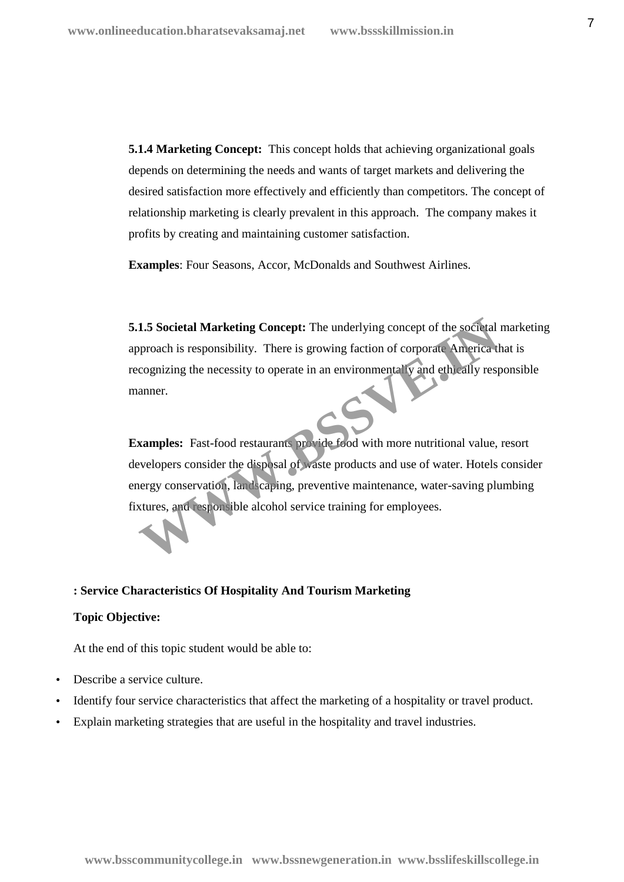**5.1.4 Marketing Concept:** This concept holds that achieving organizational goals depends on determining the needs and wants of target markets and delivering the desired satisfaction more effectively and efficiently than competitors. The concept of relationship marketing is clearly prevalent in this approach. The company makes it profits by creating and maintaining customer satisfaction.

**Examples**: Four Seasons, Accor, McDonalds and Southwest Airlines.

**5.1.5 Societal Marketing Concept:** The underlying concept of the societal marketing approach is responsibility. There is growing faction of corporate America that is recognizing the necessity to operate in an environmentally and ethically responsible manner. **1.5 Societal Marketing Concept:** The underlying concept of the societal pproach is responsibility. There is growing faction of corporate America d cognizing the necessity to operate in an environmental **y** and ethically r

**Examples:** Fast-food restaurants provide food with more nutritional value, resort developers consider the disposal of waste products and use of water. Hotels consider energy conservation, landscaping, preventive maintenance, water-saving plumbing fixtures, and responsible alcohol service training for employees.

### **: Service Characteristics Of Hospitality And Tourism Marketing**

#### **Topic Objective:**

At the end of this topic student would be able to:

- Describe a service culture.
- Identify four service characteristics that affect the marketing of a hospitality or travel product.
- Explain marketing strategies that are useful in the hospitality and travel industries.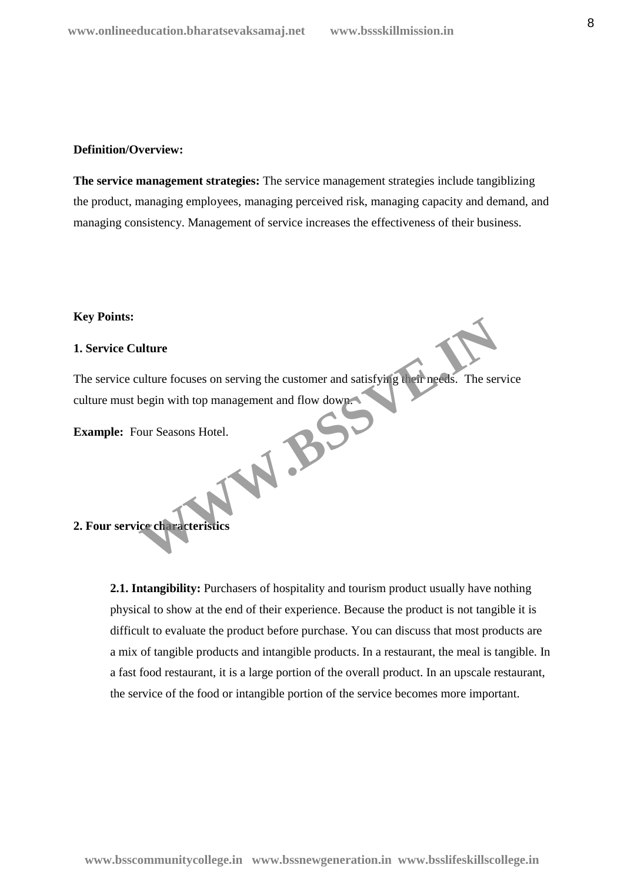#### **Definition/Overview:**

**The service management strategies:** The service management strategies include tangiblizing the product, managing employees, managing perceived risk, managing capacity and demand, and managing consistency. Management of service increases the effectiveness of their business.

#### **Key Points:**

#### **1. Service Culture**

The service culture focuses on serving the customer and satisfying their needs. The service culture must begin with top management and flow down. W.BSC

**Example:** Four Seasons Hotel.

# **2. Four service characteristics**

**2.1. Intangibility:** Purchasers of hospitality and tourism product usually have nothing physical to show at the end of their experience. Because the product is not tangible it is difficult to evaluate the product before purchase. You can discuss that most products are a mix of tangible products and intangible products. In a restaurant, the meal is tangible. In a fast food restaurant, it is a large portion of the overall product. In an upscale restaurant, the service of the food or intangible portion of the service becomes more important.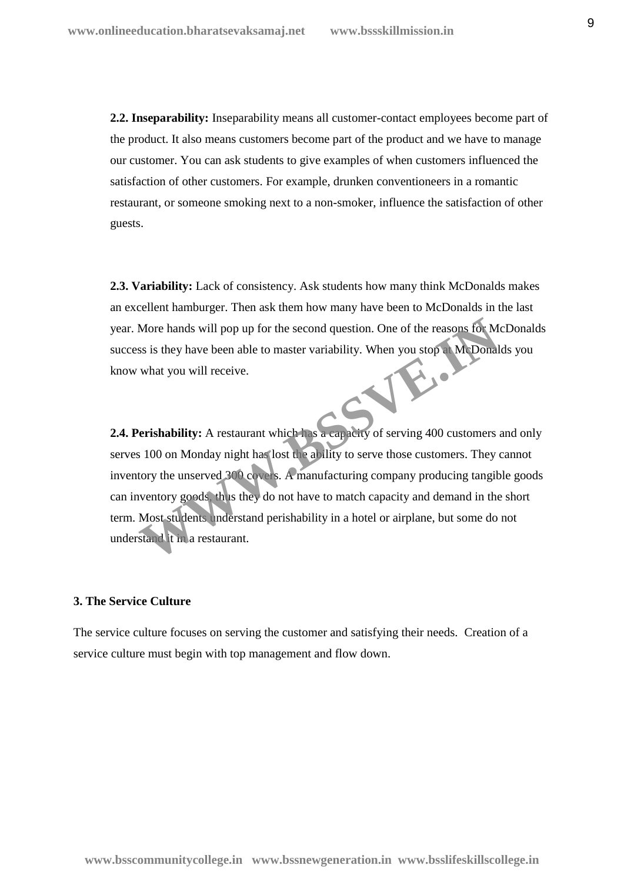**2.2. Inseparability:** Inseparability means all customer-contact employees become part of the product. It also means customers become part of the product and we have to manage our customer. You can ask students to give examples of when customers influenced the satisfaction of other customers. For example, drunken conventioneers in a romantic restaurant, or someone smoking next to a non-smoker, influence the satisfaction of other guests.

**2.3. Variability:** Lack of consistency. Ask students how many think McDonalds makes an excellent hamburger. Then ask them how many have been to McDonalds in the last year. More hands will pop up for the second question. One of the reasons for McDonalds success is they have been able to master variability. When you stop at McDonalds you know what you will receive.

**2.4. Perishability:** A restaurant which has a capacity of serving 400 customers and only serves 100 on Monday night has lost the ability to serve those customers. They cannot inventory the unserved 300 covers. A manufacturing company producing tangible goods can inventory goods, thus they do not have to match capacity and demand in the short term. Most students understand perishability in a hotel or airplane, but some do not understand it in a restaurant. More hands will pop up for the second question. One of the reasons for M<br>ss is they have been able to master variability. When you stop a McDonal<br>what you will receive.<br>Perishability: A restaurant which has a earliery of s

# **3. The Service Culture**

The service culture focuses on serving the customer and satisfying their needs. Creation of a service culture must begin with top management and flow down.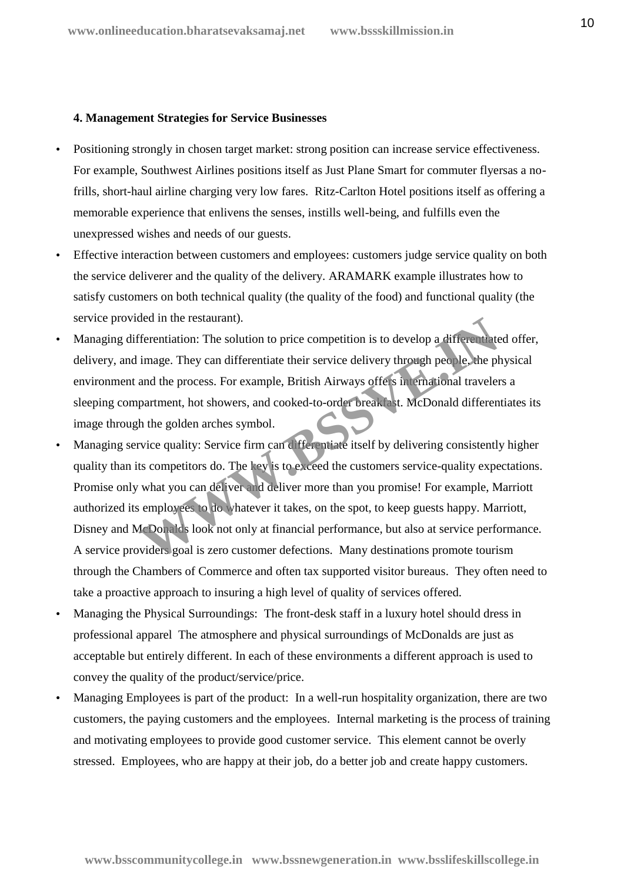#### **4. Management Strategies for Service Businesses**

- Positioning strongly in chosen target market: strong position can increase service effectiveness. For example, Southwest Airlines positions itself as Just Plane Smart for commuter flyersas a nofrills, short-haul airline charging very low fares. Ritz-Carlton Hotel positions itself as offering a memorable experience that enlivens the senses, instills well-being, and fulfills even the unexpressed wishes and needs of our guests.
- Effective interaction between customers and employees: customers judge service quality on both the service deliverer and the quality of the delivery. ARAMARK example illustrates how to satisfy customers on both technical quality (the quality of the food) and functional quality (the service provided in the restaurant).
- Managing differentiation: The solution to price competition is to develop a differentiated offer, delivery, and image. They can differentiate their service delivery through people, the physical environment and the process. For example, British Airways offers international travelers a sleeping compartment, hot showers, and cooked-to-order breakfast. McDonald differentiates its image through the golden arches symbol.
- Managing service quality: Service firm can differentiate itself by delivering consistently higher quality than its competitors do. The key is to exceed the customers service-quality expectations. Promise only what you can deliver and deliver more than you promise! For example, Marriott authorized its employees to do whatever it takes, on the spot, to keep guests happy. Marriott, Disney and McDonalds look not only at financial performance, but also at service performance. A service providers goal is zero customer defections. Many destinations promote tourism through the Chambers of Commerce and often tax supported visitor bureaus. They often need to take a proactive approach to insuring a high level of quality of services offered. dea in the restaurant).<br>
Terentiation: The solution to price competition is to develop a differentiate<br>
image. They can differentiate their service delivery through people, the p<br>
and the process. For example, British Airw
- Managing the Physical Surroundings: The front-desk staff in a luxury hotel should dress in professional apparel The atmosphere and physical surroundings of McDonalds are just as acceptable but entirely different. In each of these environments a different approach is used to convey the quality of the product/service/price.
- Managing Employees is part of the product: In a well-run hospitality organization, there are two customers, the paying customers and the employees. Internal marketing is the process of training and motivating employees to provide good customer service. This element cannot be overly stressed. Employees, who are happy at their job, do a better job and create happy customers.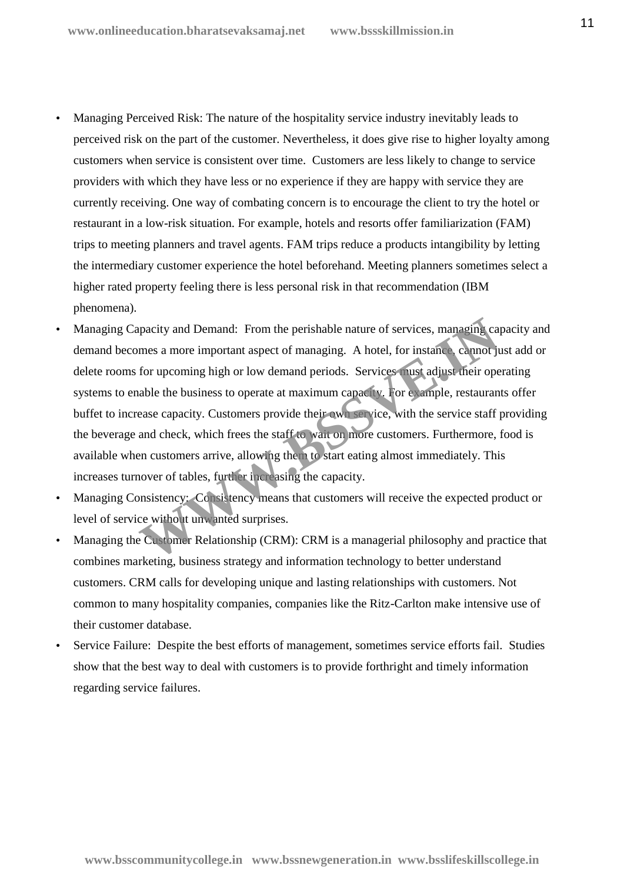- Managing Perceived Risk: The nature of the hospitality service industry inevitably leads to perceived risk on the part of the customer. Nevertheless, it does give rise to higher loyalty among customers when service is consistent over time. Customers are less likely to change to service providers with which they have less or no experience if they are happy with service they are currently receiving. One way of combating concern is to encourage the client to try the hotel or restaurant in a low-risk situation. For example, hotels and resorts offer familiarization (FAM) trips to meeting planners and travel agents. FAM trips reduce a products intangibility by letting the intermediary customer experience the hotel beforehand. Meeting planners sometimes select a higher rated property feeling there is less personal risk in that recommendation (IBM phenomena).
- Managing Capacity and Demand: From the perishable nature of services, managing capacity and demand becomes a more important aspect of managing. A hotel, for instance, cannot just add or delete rooms for upcoming high or low demand periods. Services must adjust their operating systems to enable the business to operate at maximum capacity. For example, restaurants offer buffet to increase capacity. Customers provide their own service, with the service staff providing the beverage and check, which frees the staff to wait on more customers. Furthermore, food is available when customers arrive, allowing them to start eating almost immediately. This increases turnover of tables, further increasing the capacity. pacity and Demand: From the perishable nature of services, managing care as a more important aspect of managing. A hotel, for instance cannot ju<br>for upcoming high or low demand periods. Services must adjust their operable
- Managing Consistency: Consistency means that customers will receive the expected product or level of service without unwanted surprises.
- Managing the Customer Relationship (CRM): CRM is a managerial philosophy and practice that combines marketing, business strategy and information technology to better understand customers. CRM calls for developing unique and lasting relationships with customers. Not common to many hospitality companies, companies like the Ritz-Carlton make intensive use of their customer database.
- Service Failure: Despite the best efforts of management, sometimes service efforts fail. Studies show that the best way to deal with customers is to provide forthright and timely information regarding service failures.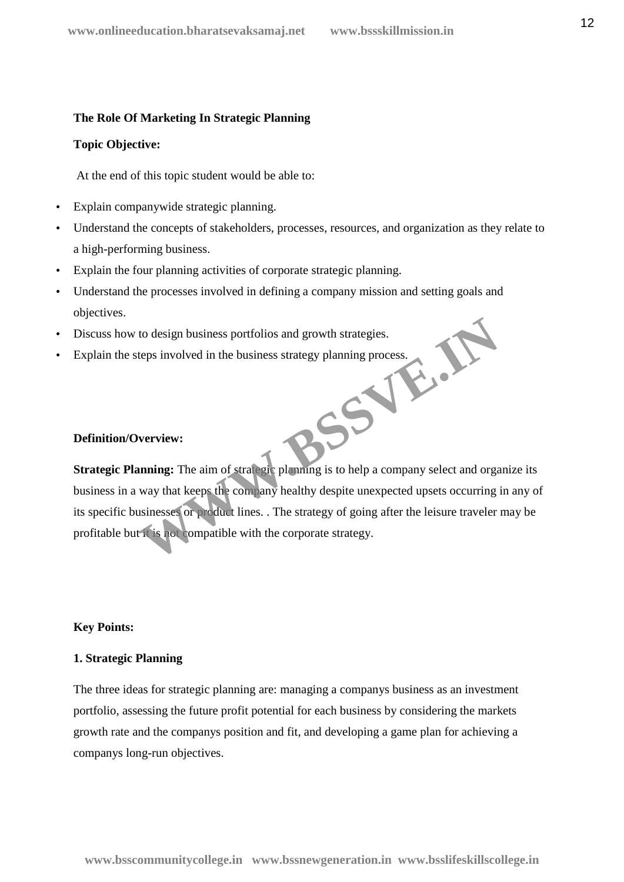#### **The Role Of Marketing In Strategic Planning**

#### **Topic Objective:**

At the end of this topic student would be able to:

- Explain companywide strategic planning.
- Understand the concepts of stakeholders, processes, resources, and organization as they relate to a high-performing business.
- Explain the four planning activities of corporate strategic planning.
- Understand the processes involved in defining a company mission and setting goals and objectives.
- Discuss how to design business portfolios and growth strategies.
- Explain the steps involved in the business strategy planning process. **WWW.BSSVE.IN**

#### **Definition/Overview:**

**Strategic Planning:** The aim of strategic planning is to help a company select and organize its business in a way that keeps the company healthy despite unexpected upsets occurring in any of its specific businesses or product lines. . The strategy of going after the leisure traveler may be profitable but it is not compatible with the corporate strategy.

#### **Key Points:**

#### **1. Strategic Planning**

The three ideas for strategic planning are: managing a companys business as an investment portfolio, assessing the future profit potential for each business by considering the markets growth rate and the companys position and fit, and developing a game plan for achieving a companys long-run objectives.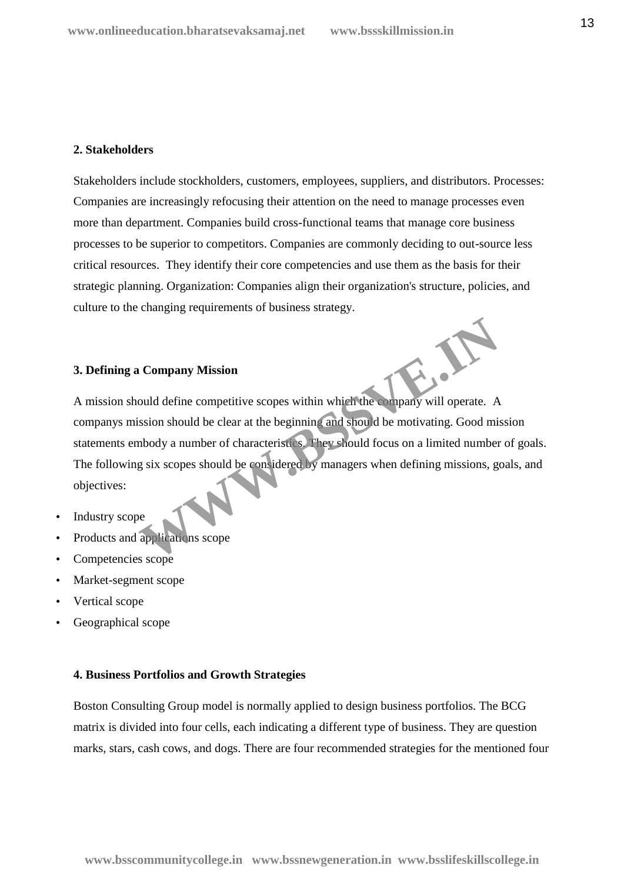#### **2. Stakeholders**

Stakeholders include stockholders, customers, employees, suppliers, and distributors. Processes: Companies are increasingly refocusing their attention on the need to manage processes even more than department. Companies build cross-functional teams that manage core business processes to be superior to competitors. Companies are commonly deciding to out-source less critical resources. They identify their core competencies and use them as the basis for their strategic planning. Organization: Companies align their organization's structure, policies, and culture to the changing requirements of business strategy.

#### **3. Defining a Company Mission**

A mission should define competitive scopes within which the company will operate. A companys mission should be clear at the beginning and should be motivating. Good mission statements embody a number of characteristics. They should focus on a limited number of goals. The following six scopes should be considered by managers when defining missions, goals, and objectives: Company Mission<br>
ould define competitive scopes within which the company will operate. A<br>
ssion should be clear at the beginning and should be motivating. Good mis<br>
mbody a number of characteristics They should focus on a

- Industry scope
- Products and applications scope
- Competencies scope
- Market-segment scope
- Vertical scope
- Geographical scope

#### **4. Business Portfolios and Growth Strategies**

Boston Consulting Group model is normally applied to design business portfolios. The BCG matrix is divided into four cells, each indicating a different type of business. They are question marks, stars, cash cows, and dogs. There are four recommended strategies for the mentioned four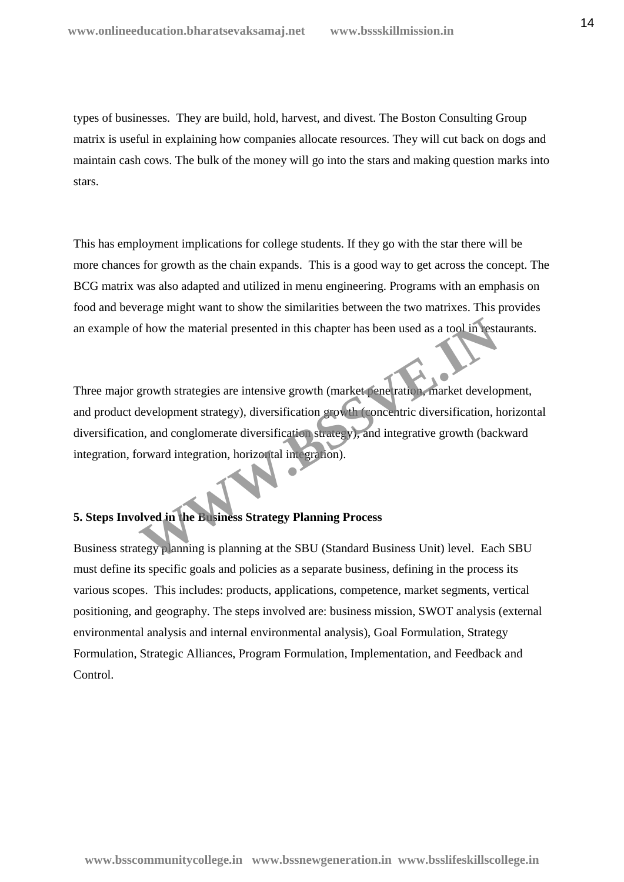types of businesses. They are build, hold, harvest, and divest. The Boston Consulting Group matrix is useful in explaining how companies allocate resources. They will cut back on dogs and maintain cash cows. The bulk of the money will go into the stars and making question marks into stars.

This has employment implications for college students. If they go with the star there will be more chances for growth as the chain expands. This is a good way to get across the concept. The BCG matrix was also adapted and utilized in menu engineering. Programs with an emphasis on food and beverage might want to show the similarities between the two matrixes. This provides an example of how the material presented in this chapter has been used as a tool in restaurants.

Three major growth strategies are intensive growth (market penetration, market development, and product development strategy), diversification growth (concentric diversification, horizontal diversification, and conglomerate diversification strategy), and integrative growth (backward integration, forward integration, horizontal integration). From the material presented in this chapter has been used as a tool in rest.<br>
From the strategies are intensive growth (market penetration, market develop<br>
Hevelopment strategy), diversification growth (concentric diversif

# **5. Steps Involved in the Business Strategy Planning Process**

Business strategy planning is planning at the SBU (Standard Business Unit) level. Each SBU must define its specific goals and policies as a separate business, defining in the process its various scopes. This includes: products, applications, competence, market segments, vertical positioning, and geography. The steps involved are: business mission, SWOT analysis (external environmental analysis and internal environmental analysis), Goal Formulation, Strategy Formulation, Strategic Alliances, Program Formulation, Implementation, and Feedback and Control.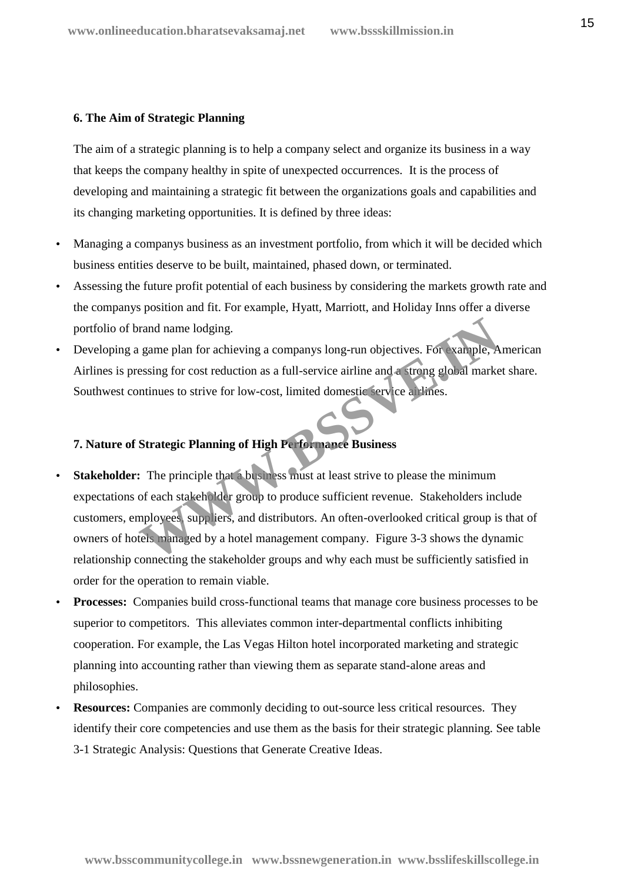# **6. The Aim of Strategic Planning**

The aim of a strategic planning is to help a company select and organize its business in a way that keeps the company healthy in spite of unexpected occurrences. It is the process of developing and maintaining a strategic fit between the organizations goals and capabilities and its changing marketing opportunities. It is defined by three ideas:

- Managing a companys business as an investment portfolio, from which it will be decided which business entities deserve to be built, maintained, phased down, or terminated.
- Assessing the future profit potential of each business by considering the markets growth rate and the companys position and fit. For example, Hyatt, Marriott, and Holiday Inns offer a diverse portfolio of brand name lodging.
- Developing a game plan for achieving a companys long-run objectives. For example, American Airlines is pressing for cost reduction as a full-service airline and a strong global market share. Southwest continues to strive for low-cost, limited domestic service airlines.

# **7. Nature of Strategic Planning of High Performance Business**

- **Stakeholder:** The principle that a business must at least strive to please the minimum expectations of each stakeholder group to produce sufficient revenue. Stakeholders include customers, employees, suppliers, and distributors. An often-overlooked critical group is that of owners of hotels managed by a hotel management company. Figure 3-3 shows the dynamic relationship connecting the stakeholder groups and why each must be sufficiently satisfied in order for the operation to remain viable. France parameters and the stateholder around an anti-<br>
For example, A<br>
Sessing for cost reduction as a full-service airline and a strong global marke<br>
Intinues to strive for low-cost, limited domestic service at lines.<br>
St
- **Processes:** Companies build cross-functional teams that manage core business processes to be superior to competitors. This alleviates common inter-departmental conflicts inhibiting cooperation. For example, the Las Vegas Hilton hotel incorporated marketing and strategic planning into accounting rather than viewing them as separate stand-alone areas and philosophies.
- **Resources:** Companies are commonly deciding to out-source less critical resources. They identify their core competencies and use them as the basis for their strategic planning. See table 3-1 Strategic Analysis: Questions that Generate Creative Ideas.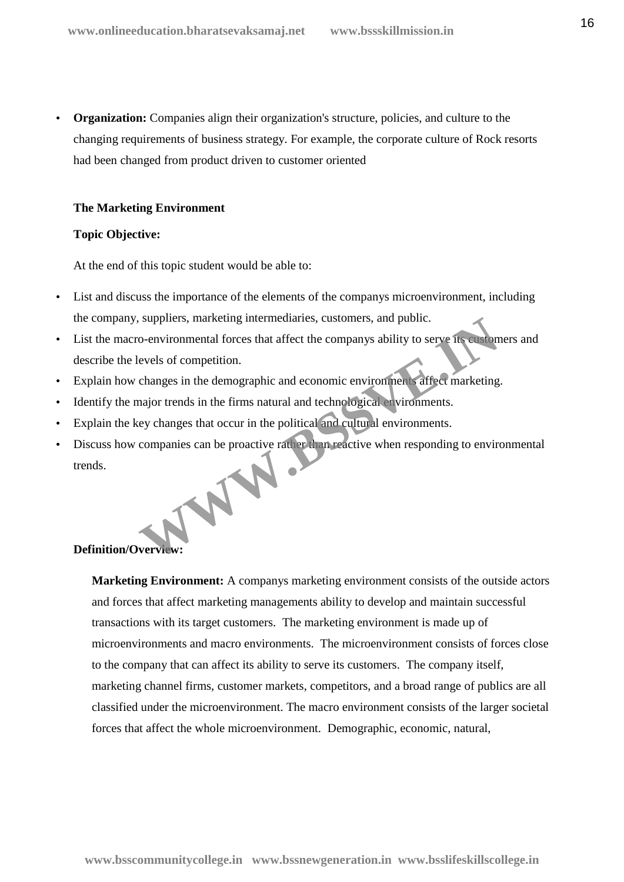**Organization:** Companies align their organization's structure, policies, and culture to the changing requirements of business strategy. For example, the corporate culture of Rock resorts had been changed from product driven to customer oriented

#### **The Marketing Environment**

#### **Topic Objective:**

At the end of this topic student would be able to:

- List and discuss the importance of the elements of the companys microenvironment, including the company, suppliers, marketing intermediaries, customers, and public.
- List the macro-environmental forces that affect the companys ability to serve its customers and describe the levels of competition. Suppliers, marketing intermediaries, customers, and public.<br>
Co-environmental forces that affect the companys ability to serve its subsequently evels of competition.<br>
changes in the demographic and economic environments af
- Explain how changes in the demographic and economic environments affect marketing.
- Identify the major trends in the firms natural and technological environments.
- Explain the key changes that occur in the political and cultural environments.
- Discuss how companies can be proactive rather than reactive when responding to environmental trends.

# **Definition/Overview:**

**Marketing Environment:** A companys marketing environment consists of the outside actors and forces that affect marketing managements ability to develop and maintain successful transactions with its target customers. The marketing environment is made up of microenvironments and macro environments. The microenvironment consists of forces close to the company that can affect its ability to serve its customers. The company itself, marketing channel firms, customer markets, competitors, and a broad range of publics are all classified under the microenvironment. The macro environment consists of the larger societal forces that affect the whole microenvironment. Demographic, economic, natural,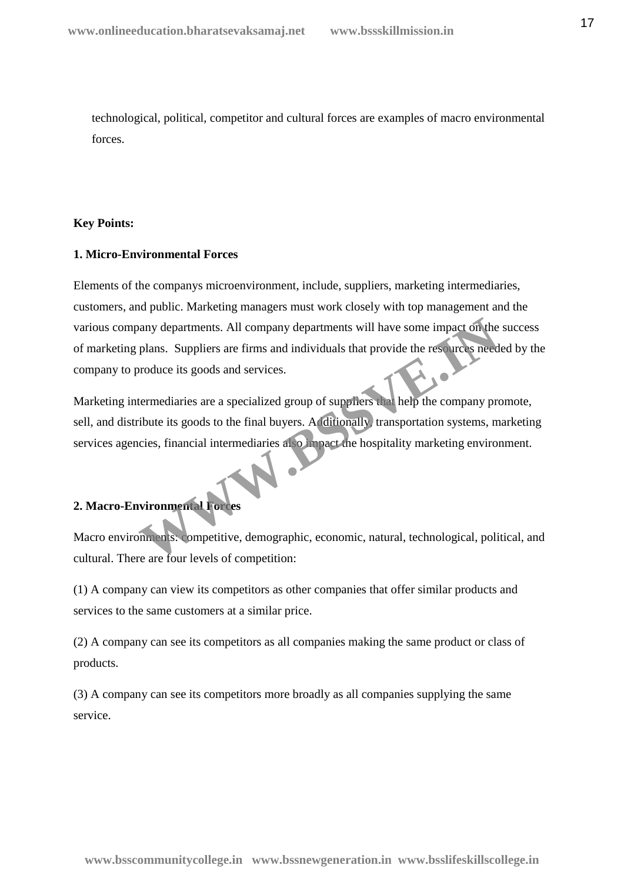technological, political, competitor and cultural forces are examples of macro environmental forces.

# **Key Points:**

#### **1. Micro-Environmental Forces**

Elements of the companys microenvironment, include, suppliers, marketing intermediaries, customers, and public. Marketing managers must work closely with top management and the various company departments. All company departments will have some impact on the success of marketing plans. Suppliers are firms and individuals that provide the resources needed by the company to produce its goods and services. Many departments. All company departments will have some impact on the<br>plans. Suppliers are firms and individuals that provide the resources need<br>produce its goods and services.<br>termediaries are a specialized group of supp

Marketing intermediaries are a specialized group of suppliers that help the company promote, sell, and distribute its goods to the final buyers. Additionally, transportation systems, marketing services agencies, financial intermediaries also impact the hospitality marketing environment.

# **2. Macro-Environmental Forces**

Macro environments: competitive, demographic, economic, natural, technological, political, and cultural. There are four levels of competition:

(1) A company can view its competitors as other companies that offer similar products and services to the same customers at a similar price.

(2) A company can see its competitors as all companies making the same product or class of products.

(3) A company can see its competitors more broadly as all companies supplying the same service.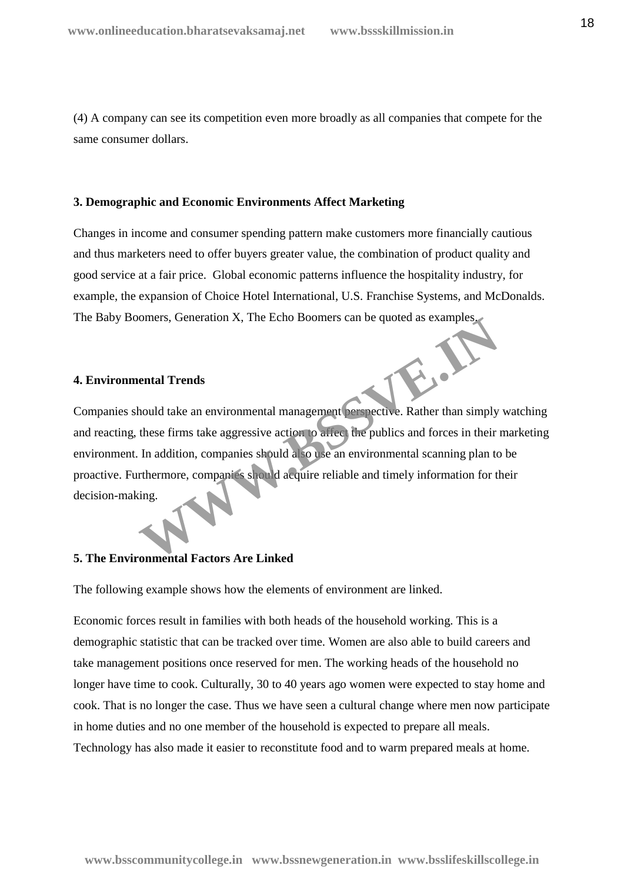(4) A company can see its competition even more broadly as all companies that compete for the same consumer dollars.

#### **3. Demographic and Economic Environments Affect Marketing**

Changes in income and consumer spending pattern make customers more financially cautious and thus marketers need to offer buyers greater value, the combination of product quality and good service at a fair price. Global economic patterns influence the hospitality industry, for example, the expansion of Choice Hotel International, U.S. Franchise Systems, and McDonalds. The Baby Boomers, Generation X, The Echo Boomers can be quoted as examples.

#### **4. Environmental Trends**

Companies should take an environmental management perspective. Rather than simply watching and reacting, these firms take aggressive action to affect the publics and forces in their marketing environment. In addition, companies should also use an environmental scanning plan to be proactive. Furthermore, companies should acquire reliable and timely information for their decision-making. France Comparison A, the Echo Boomers can be quoted as examples<br> **Examples**<br>
Mould take an environmental management perspective. Rather than simply<br>
these firms take aggressive action to affect the publics and forces in th

#### **5. The Environmental Factors Are Linked**

The following example shows how the elements of environment are linked.

Economic forces result in families with both heads of the household working. This is a demographic statistic that can be tracked over time. Women are also able to build careers and take management positions once reserved for men. The working heads of the household no longer have time to cook. Culturally, 30 to 40 years ago women were expected to stay home and cook. That is no longer the case. Thus we have seen a cultural change where men now participate in home duties and no one member of the household is expected to prepare all meals. Technology has also made it easier to reconstitute food and to warm prepared meals at home.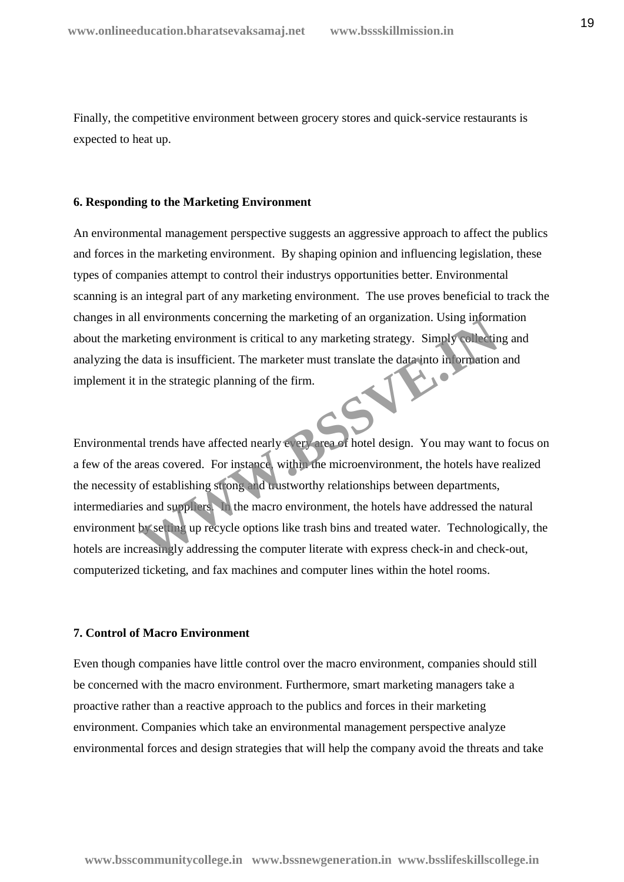Finally, the competitive environment between grocery stores and quick-service restaurants is expected to heat up.

#### **6. Responding to the Marketing Environment**

An environmental management perspective suggests an aggressive approach to affect the publics and forces in the marketing environment. By shaping opinion and influencing legislation, these types of companies attempt to control their industrys opportunities better. Environmental scanning is an integral part of any marketing environment. The use proves beneficial to track the changes in all environments concerning the marketing of an organization. Using information about the marketing environment is critical to any marketing strategy. Simply collecting and analyzing the data is insufficient. The marketer must translate the data into information and implement it in the strategic planning of the firm.

Environmental trends have affected nearly every area of hotel design. You may want to focus on a few of the areas covered. For instance, within the microenvironment, the hotels have realized the necessity of establishing strong and trustworthy relationships between departments, intermediaries and suppliers. In the macro environment, the hotels have addressed the natural environment by setting up recycle options like trash bins and treated water. Technologically, the hotels are increasingly addressing the computer literate with express check-in and check-out, computerized ticketing, and fax machines and computer lines within the hotel rooms. Fraction environments concerning the marketing of an organization. Using inform<br>
Retting environment is critical to any marketing strategy. Simply collecting<br>
data is insufficient. The marketer must translate the data into

#### **7. Control of Macro Environment**

Even though companies have little control over the macro environment, companies should still be concerned with the macro environment. Furthermore, smart marketing managers take a proactive rather than a reactive approach to the publics and forces in their marketing environment. Companies which take an environmental management perspective analyze environmental forces and design strategies that will help the company avoid the threats and take

**www.bsscommunitycollege.in www.bssnewgeneration.in www.bsslifeskillscollege.in**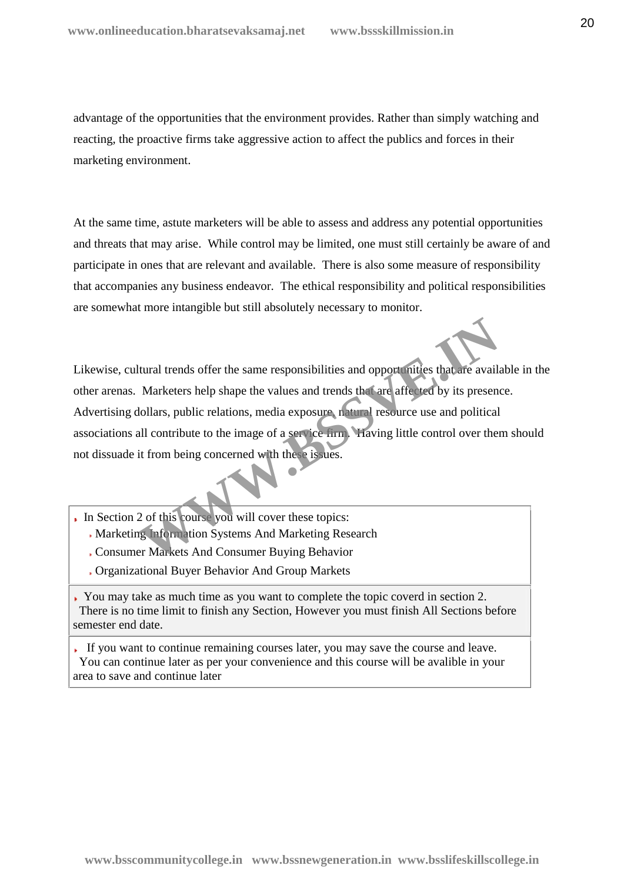advantage of the opportunities that the environment provides. Rather than simply watching and reacting, the proactive firms take aggressive action to affect the publics and forces in their marketing environment.

At the same time, astute marketers will be able to assess and address any potential opportunities and threats that may arise. While control may be limited, one must still certainly be aware of and participate in ones that are relevant and available. There is also some measure of responsibility that accompanies any business endeavor. The ethical responsibility and political responsibilities are somewhat more intangible but still absolutely necessary to monitor.

Likewise, cultural trends offer the same responsibilities and opportunities that are available in the other arenas. Marketers help shape the values and trends that are affected by its presence. Advertising dollars, public relations, media exposure, natural resource use and political associations all contribute to the image of a service firm. Having little control over them should not dissuade it from being concerned with these issues. Hural trends offer the same responsibilities and opport mities that are avail.<br>
Marketers help shape the values and trends that are affected by its present<br>
Hollars, public relations, media exposure natural resource use an

- In Section 2 of this course you will cover these topics:
	- Marketing Information Systems And Marketing Research
	- Consumer Markets And Consumer Buying Behavior
	- Organizational Buyer Behavior And Group Markets
- You may take as much time as you want to complete the topic coverd in section 2. There is no time limit to finish any Section, However you must finish All Sections before semester end date.

If you want to continue remaining courses later, you may save the course and leave. You can continue later as per your convenience and this course will be avalible in your area to save and continue later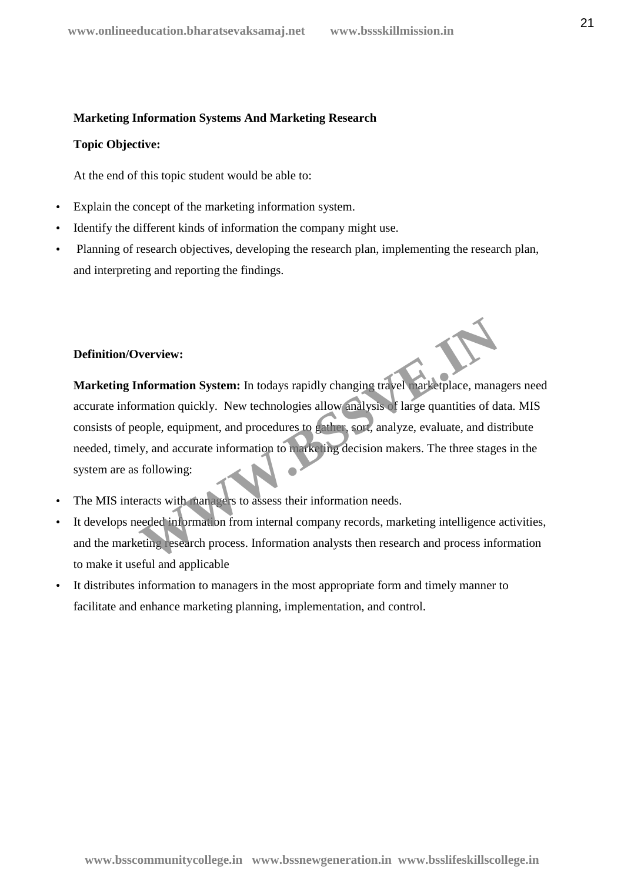#### **Marketing Information Systems And Marketing Research**

#### **Topic Objective:**

At the end of this topic student would be able to:

- Explain the concept of the marketing information system.
- Identify the different kinds of information the company might use.
- Planning of research objectives, developing the research plan, implementing the research plan, and interpreting and reporting the findings.

# **Definition/Overview:**

**Marketing Information System:** In todays rapidly changing travel marketplace, managers need accurate information quickly. New technologies allow analysis of large quantities of data. MIS consists of people, equipment, and procedures to gather, sort, analyze, evaluate, and distribute needed, timely, and accurate information to marketing decision makers. The three stages in the system are as following: **Information System:** In todays rapidly changing travel warketplace, manarmation quickly. New technologies allow analysis of large quantities of datople, equipment, and procedures to gather sort, analyze, evaluate, and dis

- The MIS interacts with managers to assess their information needs.
- It develops needed information from internal company records, marketing intelligence activities, and the marketing research process. Information analysts then research and process information to make it useful and applicable
- It distributes information to managers in the most appropriate form and timely manner to facilitate and enhance marketing planning, implementation, and control.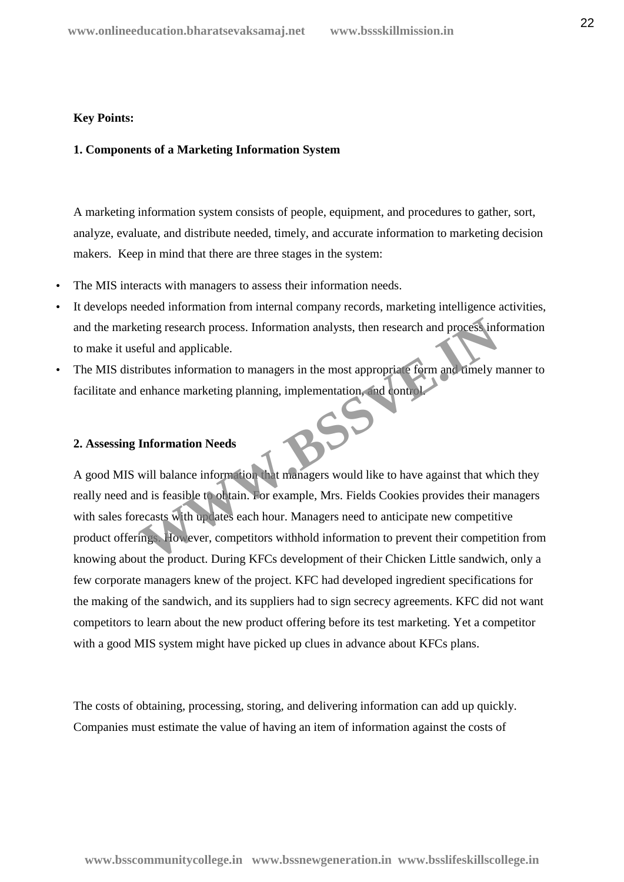#### **Key Points:**

# **1. Components of a Marketing Information System**

A marketing information system consists of people, equipment, and procedures to gather, sort, analyze, evaluate, and distribute needed, timely, and accurate information to marketing decision makers. Keep in mind that there are three stages in the system:

- The MIS interacts with managers to assess their information needs.
- It develops needed information from internal company records, marketing intelligence activities, and the marketing research process. Information analysts, then research and process information to make it useful and applicable.
- The MIS distributes information to managers in the most appropriate form and timely manner to facilitate and enhance marketing planning, implementation, and control.

# **2. Assessing Information Needs**

A good MIS will balance information that managers would like to have against that which they really need and is feasible to obtain. For example, Mrs. Fields Cookies provides their managers with sales forecasts with updates each hour. Managers need to anticipate new competitive product offerings. However, competitors withhold information to prevent their competition from knowing about the product. During KFCs development of their Chicken Little sandwich, only a few corporate managers knew of the project. KFC had developed ingredient specifications for the making of the sandwich, and its suppliers had to sign secrecy agreements. KFC did not want competitors to learn about the new product offering before its test marketing. Yet a competitor with a good MIS system might have picked up clues in advance about KFCs plans. eting research process. Information analysts, then research and process infeful and applicable.<br>
Fibutes information to managers in the most appropriate form and timely n<br>
enhance marketing planning, implementation, and co

The costs of obtaining, processing, storing, and delivering information can add up quickly. Companies must estimate the value of having an item of information against the costs of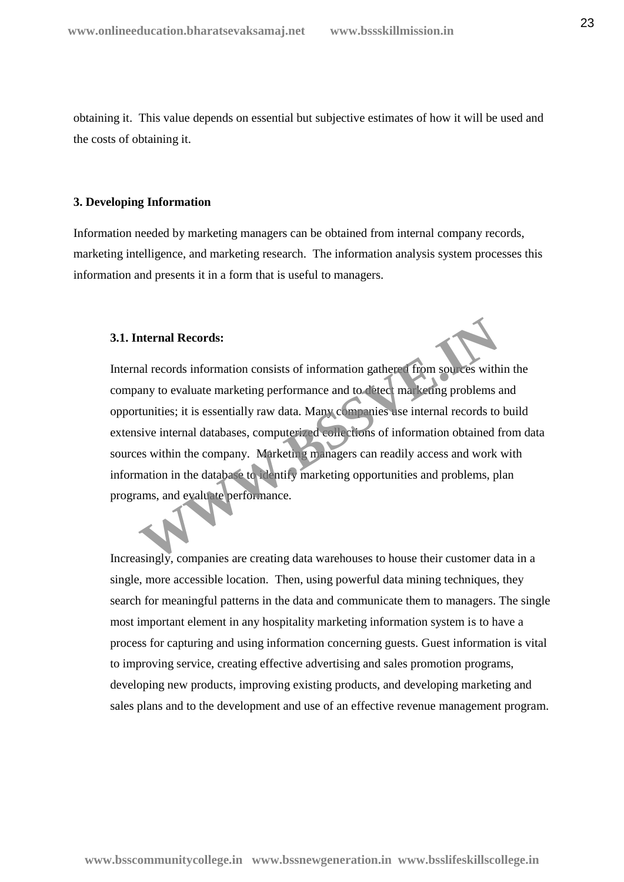obtaining it. This value depends on essential but subjective estimates of how it will be used and the costs of obtaining it.

#### **3. Developing Information**

Information needed by marketing managers can be obtained from internal company records, marketing intelligence, and marketing research. The information analysis system processes this information and presents it in a form that is useful to managers.

#### **3.1. Internal Records:**

Internal records information consists of information gathered from sources within the company to evaluate marketing performance and to detect marketing problems and opportunities; it is essentially raw data. Many companies use internal records to build extensive internal databases, computerized collections of information obtained from data sources within the company. Marketing managers can readily access and work with information in the database to identify marketing opportunities and problems, plan programs, and evaluate performance. nternal Records:<br>
all records information consists of information gathers (from sources with<br>
any to evaluate marketing performance and to detect marketing problems<br>
itunities; it is essentially raw data. Many companies us

Increasingly, companies are creating data warehouses to house their customer data in a single, more accessible location. Then, using powerful data mining techniques, they search for meaningful patterns in the data and communicate them to managers. The single most important element in any hospitality marketing information system is to have a process for capturing and using information concerning guests. Guest information is vital to improving service, creating effective advertising and sales promotion programs, developing new products, improving existing products, and developing marketing and sales plans and to the development and use of an effective revenue management program.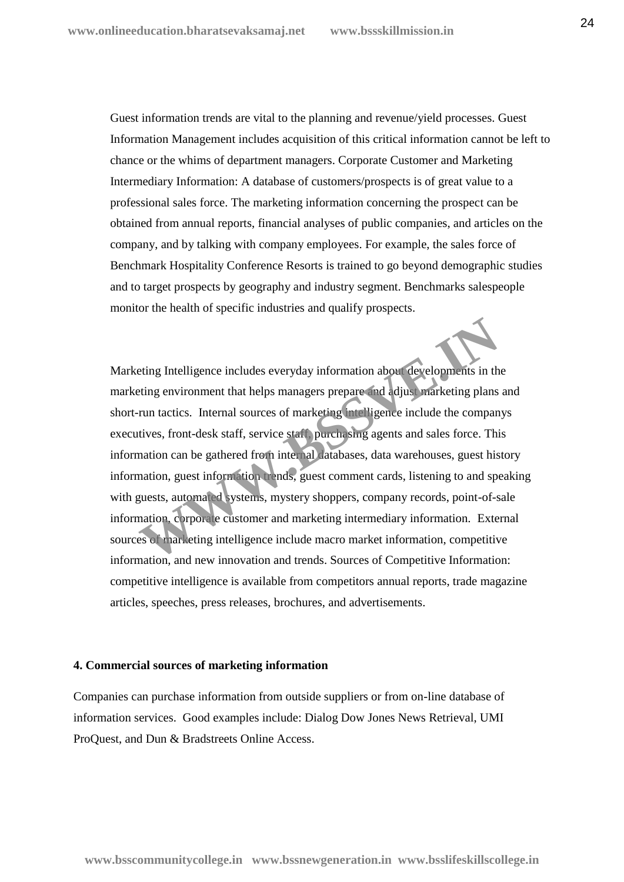Guest information trends are vital to the planning and revenue/yield processes. Guest Information Management includes acquisition of this critical information cannot be left to chance or the whims of department managers. Corporate Customer and Marketing Intermediary Information: A database of customers/prospects is of great value to a professional sales force. The marketing information concerning the prospect can be obtained from annual reports, financial analyses of public companies, and articles on the company, and by talking with company employees. For example, the sales force of Benchmark Hospitality Conference Resorts is trained to go beyond demographic studies and to target prospects by geography and industry segment. Benchmarks salespeople monitor the health of specific industries and qualify prospects.

Marketing Intelligence includes everyday information about developments in the marketing environment that helps managers prepare and adjust marketing plans and short-run tactics. Internal sources of marketing intelligence include the companys executives, front-desk staff, service staff, purchasing agents and sales force. This information can be gathered from internal databases, data warehouses, guest history information, guest information trends, guest comment cards, listening to and speaking with guests, automated systems, mystery shoppers, company records, point-of-sale information, corporate customer and marketing intermediary information. External sources of marketing intelligence include macro market information, competitive information, and new innovation and trends. Sources of Competitive Information: competitive intelligence is available from competitors annual reports, trade magazine articles, speeches, press releases, brochures, and advertisements. Example Intelligence includes everyday information about developments in the end action environment that helps managers prepare and adjust marketing plans<br>run tactics. Internal sources of marketing intelligence include the

#### **4. Commercial sources of marketing information**

Companies can purchase information from outside suppliers or from on-line database of information services. Good examples include: Dialog Dow Jones News Retrieval, UMI ProQuest, and Dun & Bradstreets Online Access.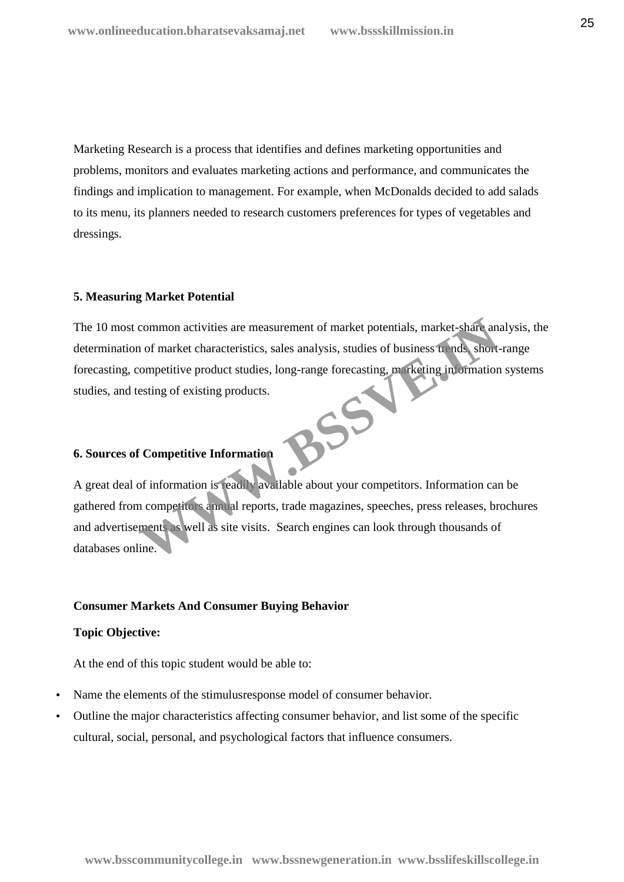Marketing Research is a process that identifies and defines marketing opportunities and problems, monitors and evaluates marketing actions and performance, and communicates the findings and implication to management. For example, when McDonalds decided to add salads to its menu, its planners needed to research customers preferences for types of vegetables and dressings.

#### **5. Measuring Market Potential**

The 10 most common activities are measurement of market potentials, market-share analysis, the determination of market characteristics, sales analysis, studies of business trends, short-range forecasting, competitive product studies, long-range forecasting, marketing information systems studies, and testing of existing products.<br> **6. Sources of Compatible 10 and 200 and 200 and 200 and 200 and 200 and 200 and 200 and 200 and 200 and 200 and 200 and 200 and 200 and 200 and 200 and 200 and 200 and 200 and 2** common activities are measurement of market potentials, market-share and<br>
1 of market characteristics, sales analysis, studies of business useds, short-<br>
competitive product studies, long-range forecasting, marketing in or

# **6. Sources of Competitive Information**

A great deal of information is readily available about your competitors. Information can be gathered from competitors annual reports, trade magazines, speeches, press releases, brochures and advertisements as well as site visits. Search engines can look through thousands of databases online.

#### **Consumer Markets And Consumer Buying Behavior**

#### **Topic Objective:**

At the end of this topic student would be able to:

- Name the elements of the stimulusresponse model of consumer behavior.
- Outline the major characteristics affecting consumer behavior, and list some of the specific cultural, social, personal, and psychological factors that influence consumers.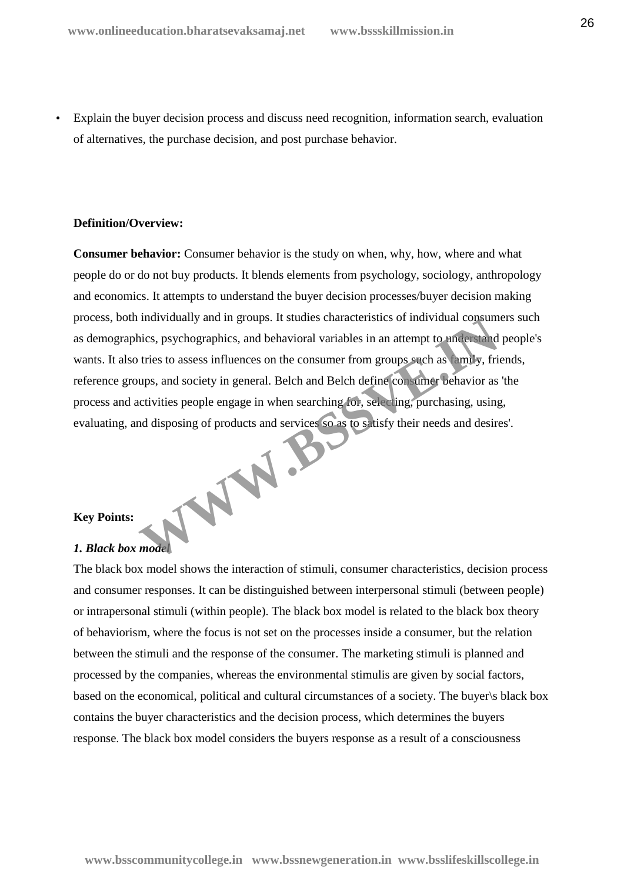Explain the buyer decision process and discuss need recognition, information search, evaluation of alternatives, the purchase decision, and post purchase behavior.

#### **Definition/Overview:**

**Consumer behavior:** Consumer behavior is the study on when, why, how, where and what people do or do not buy products. It blends elements from psychology, sociology, anthropology and economics. It attempts to understand the buyer decision processes/buyer decision making process, both individually and in groups. It studies characteristics of individual consumers such as demographics, psychographics, and behavioral variables in an attempt to understand people's wants. It also tries to assess influences on the consumer from groups such as family, friends, reference groups, and society in general. Belch and Belch define consumer behavior as 'the process and activities people engage in when searching for, selecting, purchasing, using, evaluating, and disposing of products and services so as to satisfy their needs and desires'. WWW.BS

# **Key Points:**

# *1. Black box model*

The black box model shows the interaction of stimuli, consumer characteristics, decision process and consumer responses. It can be distinguished between interpersonal stimuli (between people) or intrapersonal stimuli (within people). The black box model is related to the black box theory of behaviorism, where the focus is not set on the processes inside a consumer, but the relation between the stimuli and the response of the consumer. The marketing stimuli is planned and processed by the companies, whereas the environmental stimulis are given by social factors, based on the economical, political and cultural circumstances of a society. The buyer\s black box contains the buyer characteristics and the decision process, which determines the buyers response. The black box model considers the buyers response as a result of a consciousness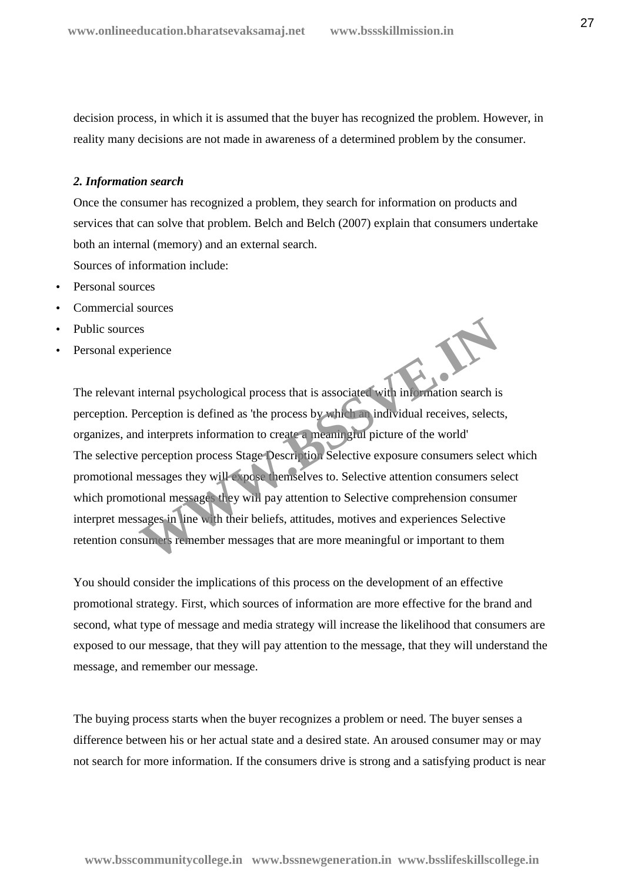decision process, in which it is assumed that the buyer has recognized the problem. However, in reality many decisions are not made in awareness of a determined problem by the consumer.

#### *2. Information search*

Once the consumer has recognized a problem, they search for information on products and services that can solve that problem. Belch and Belch (2007) explain that consumers undertake both an internal (memory) and an external search.

Sources of information include:

- Personal sources
- Commercial sources
- Public sources
- Personal experience

The relevant internal psychological process that is associated with information search is perception. Perception is defined as 'the process by which an individual receives, selects, organizes, and interprets information to create a meaningful picture of the world' The selective perception process Stage Description Selective exposure consumers select which promotional messages they will expose themselves to. Selective attention consumers select which promotional messages they will pay attention to Selective comprehension consumer interpret messages in line with their beliefs, attitudes, motives and experiences Selective retention consumers remember messages that are more meaningful or important to them internal psychological process that is associated with injournation search is<br>erception is defined as 'the process by which an individual receives, select<br>d interprets information to create a meaningful picture of the worl

You should consider the implications of this process on the development of an effective promotional strategy. First, which sources of information are more effective for the brand and second, what type of message and media strategy will increase the likelihood that consumers are exposed to our message, that they will pay attention to the message, that they will understand the message, and remember our message.

The buying process starts when the buyer recognizes a problem or need. The buyer senses a difference between his or her actual state and a desired state. An aroused consumer may or may not search for more information. If the consumers drive is strong and a satisfying product is near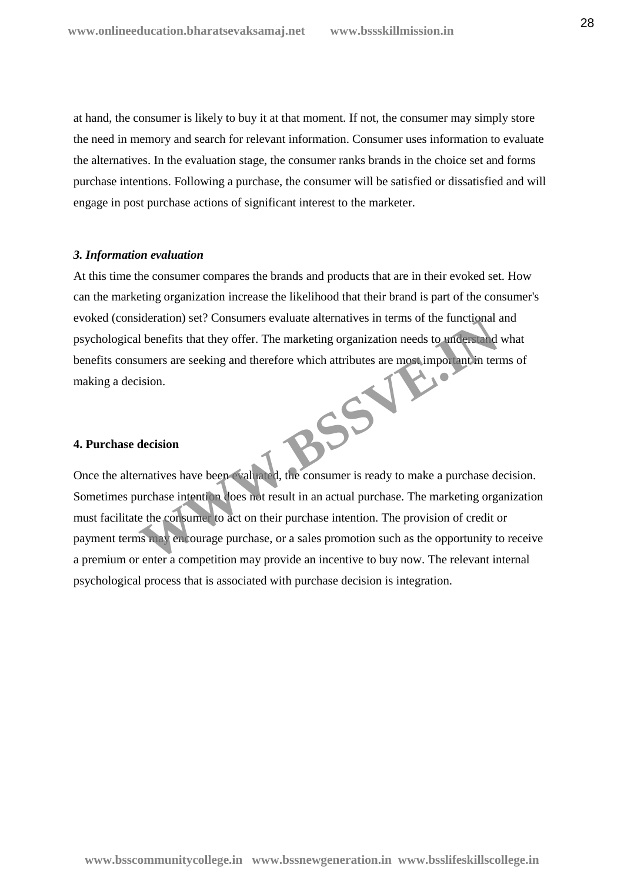at hand, the consumer is likely to buy it at that moment. If not, the consumer may simply store the need in memory and search for relevant information. Consumer uses information to evaluate the alternatives. In the evaluation stage, the consumer ranks brands in the choice set and forms purchase intentions. Following a purchase, the consumer will be satisfied or dissatisfied and will engage in post purchase actions of significant interest to the marketer.

#### *3. Information evaluation*

At this time the consumer compares the brands and products that are in their evoked set. How can the marketing organization increase the likelihood that their brand is part of the consumer's evoked (consideration) set? Consumers evaluate alternatives in terms of the functional and psychological benefits that they offer. The marketing organization needs to understand what benefits consumers are seeking and therefore which attributes are most important in terms of making a decision. R.S.S.V

#### **4. Purchase decision**

Once the alternatives have been evaluated, the consumer is ready to make a purchase decision. Sometimes purchase intention does not result in an actual purchase. The marketing organization must facilitate the consumer to act on their purchase intention. The provision of credit or payment terms may encourage purchase, or a sales promotion such as the opportunity to receive a premium or enter a competition may provide an incentive to buy now. The relevant internal psychological process that is associated with purchase decision is integration.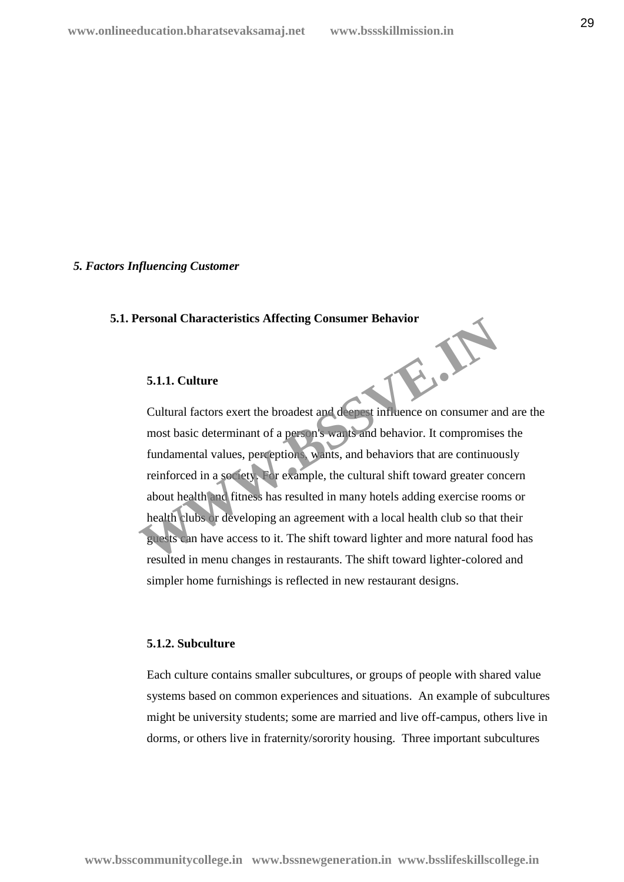#### *5. Factors Influencing Customer*

#### **5.1. Personal Characteristics Affecting Consumer Behavior**

#### **5.1.1. Culture**

Cultural factors exert the broadest and deepest influence on consumer and are the most basic determinant of a person's wants and behavior. It compromises the fundamental values, perceptions, wants, and behaviors that are continuously reinforced in a society. For example, the cultural shift toward greater concern about health and fitness has resulted in many hotels adding exercise rooms or health clubs or developing an agreement with a local health club so that their guests can have access to it. The shift toward lighter and more natural food has resulted in menu changes in restaurants. The shift toward lighter-colored and simpler home furnishings is reflected in new restaurant designs. W.B.B

#### **5.1.2. Subculture**

Each culture contains smaller subcultures, or groups of people with shared value systems based on common experiences and situations. An example of subcultures might be university students; some are married and live off-campus, others live in dorms, or others live in fraternity/sorority housing. Three important subcultures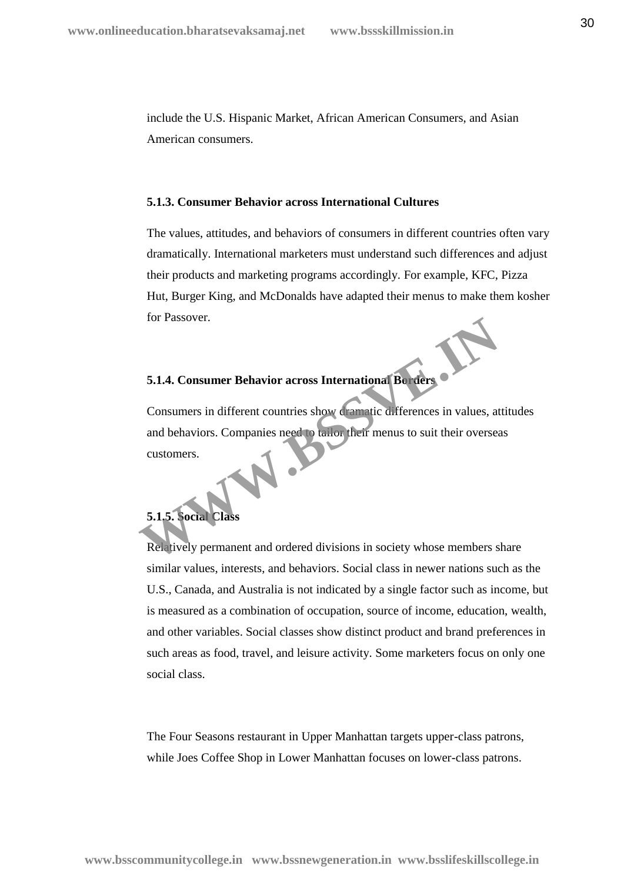include the U.S. Hispanic Market, African American Consumers, and Asian American consumers.

# **5.1.3. Consumer Behavior across International Cultures**

The values, attitudes, and behaviors of consumers in different countries often vary dramatically. International marketers must understand such differences and adjust their products and marketing programs accordingly. For example, KFC, Pizza Hut, Burger King, and McDonalds have adapted their menus to make them kosher for Passover.

# **5.1.4. Consumer Behavior across International Borders**

Consumers in different countries show dramatic differences in values, attitudes and behaviors. Companies need to tailor their menus to suit their overseas customers. **S.1.4. Consumer Behavior across International Berners of Believe Consumers in different countries show dramatic differences in values, at and behaviors. Companies need to tail of their menus to suit their oversee customer** 

# **5.1.5. Social Class**

Relatively permanent and ordered divisions in society whose members share similar values, interests, and behaviors. Social class in newer nations such as the U.S., Canada, and Australia is not indicated by a single factor such as income, but is measured as a combination of occupation, source of income, education, wealth, and other variables. Social classes show distinct product and brand preferences in such areas as food, travel, and leisure activity. Some marketers focus on only one social class.

The Four Seasons restaurant in Upper Manhattan targets upper-class patrons, while Joes Coffee Shop in Lower Manhattan focuses on lower-class patrons.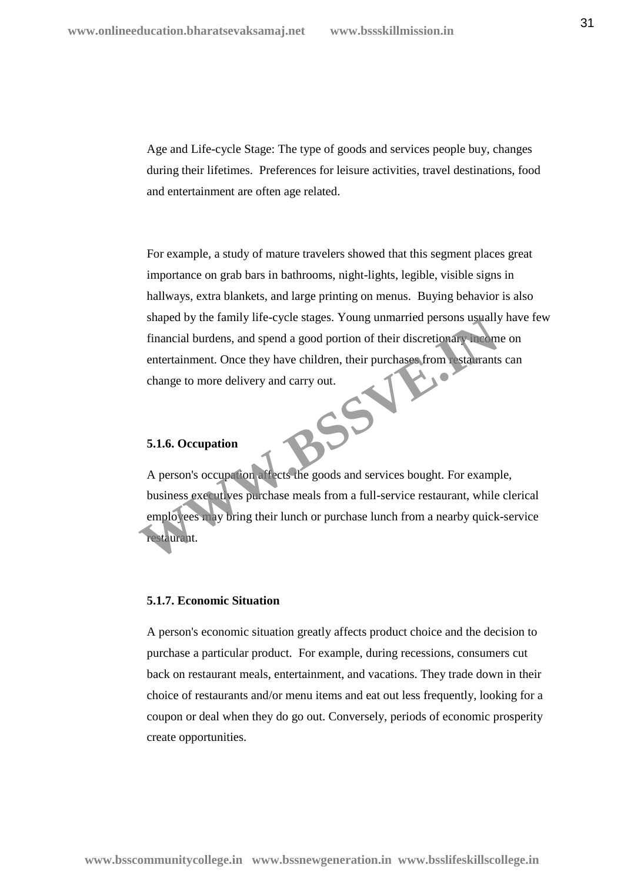Age and Life-cycle Stage: The type of goods and services people buy, changes during their lifetimes. Preferences for leisure activities, travel destinations, food and entertainment are often age related.

For example, a study of mature travelers showed that this segment places great importance on grab bars in bathrooms, night-lights, legible, visible signs in hallways, extra blankets, and large printing on menus. Buying behavior is also shaped by the family life-cycle stages. Young unmarried persons usually have few financial burdens, and spend a good portion of their discretionary income on entertainment. Once they have children, their purchases from restaurants can change to more delivery and carry out change to more delivery and carry out.<br>
5.1.6. Occurs of the contract of the contract of the contract of the contract of the contract of the contract of the contract of the contract of the contract of the contract of the c

### **5.1.6. Occupation**

A person's occupation affects the goods and services bought. For example, business executives purchase meals from a full-service restaurant, while clerical employees may bring their lunch or purchase lunch from a nearby quick-service restaurant. Shaped by the lamily life-cycle stages. Toung unmarried persons usually<br>financial burdens, and spend a good portion of their discretionary licential<br>entertainment. Once they have children, their purchases from estable<br>and

#### **5.1.7. Economic Situation**

A person's economic situation greatly affects product choice and the decision to purchase a particular product. For example, during recessions, consumers cut back on restaurant meals, entertainment, and vacations. They trade down in their choice of restaurants and/or menu items and eat out less frequently, looking for a coupon or deal when they do go out. Conversely, periods of economic prosperity create opportunities.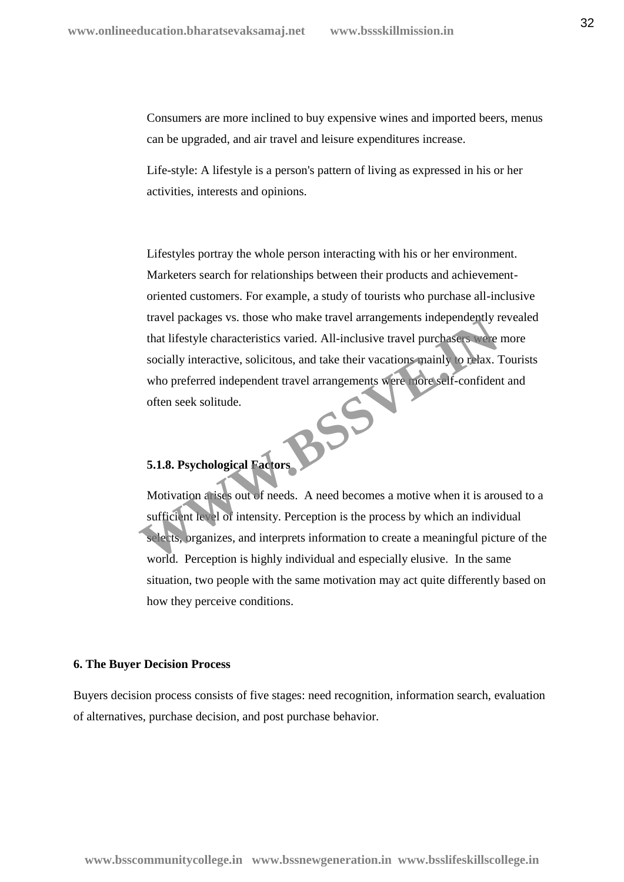Consumers are more inclined to buy expensive wines and imported beers, menus can be upgraded, and air travel and leisure expenditures increase.

Life-style: A lifestyle is a person's pattern of living as expressed in his or her activities, interests and opinions.

Lifestyles portray the whole person interacting with his or her environment. Marketers search for relationships between their products and achievement oriented customers. For example, a study of tourists who purchase all-inclusive travel packages vs. those who make travel arrangements independently revealed that lifestyle characteristics varied. All-inclusive travel purchasers were more socially interactive, solicitous, and take their vacations mainly to relax. Tourists who preferred independent travel arrangements were more self-confident and often seek solitude. **5.1.8. Psychological Factors** Travel packages vs. those who make travel arrangements independently r<br>that lifestyle characteristics varied. All-inclusive travel purchases were<br>socially interactive, solicitous, and take their vacations mainly to trax.<br>T

Motivation arises out of needs. A need becomes a motive when it is aroused to a sufficient level of intensity. Perception is the process by which an individual selects, organizes, and interprets information to create a meaningful picture of the world. Perception is highly individual and especially elusive. In the same situation, two people with the same motivation may act quite differently based on how they perceive conditions.

#### **6. The Buyer Decision Process**

Buyers decision process consists of five stages: need recognition, information search, evaluation of alternatives, purchase decision, and post purchase behavior.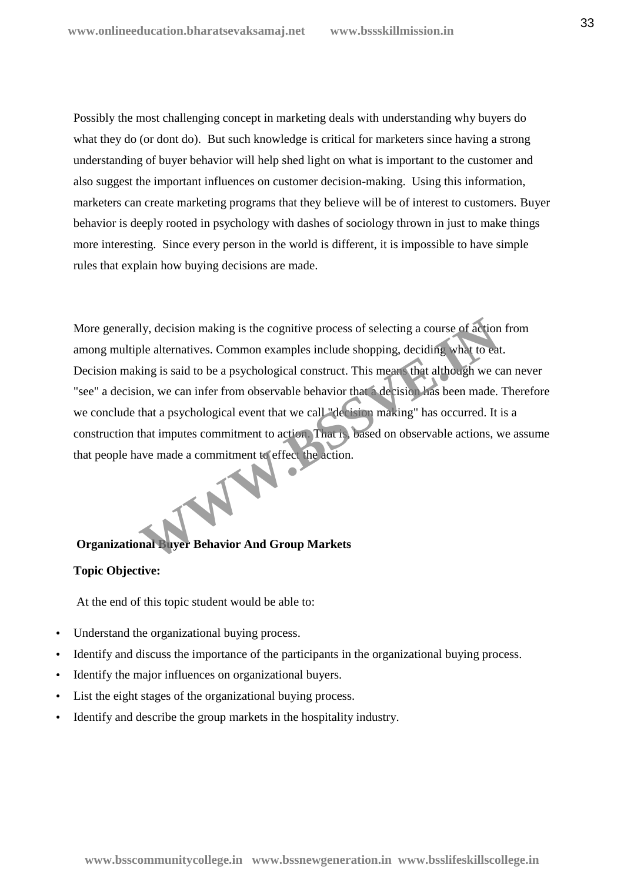Possibly the most challenging concept in marketing deals with understanding why buyers do what they do (or dont do). But such knowledge is critical for marketers since having a strong understanding of buyer behavior will help shed light on what is important to the customer and also suggest the important influences on customer decision-making. Using this information, marketers can create marketing programs that they believe will be of interest to customers. Buyer behavior is deeply rooted in psychology with dashes of sociology thrown in just to make things more interesting. Since every person in the world is different, it is impossible to have simple rules that explain how buying decisions are made.

More generally, decision making is the cognitive process of selecting a course of action from among multiple alternatives. Common examples include shopping, deciding what to eat. Decision making is said to be a psychological construct. This means that although we can never "see" a decision, we can infer from observable behavior that a decision has been made. Therefore we conclude that a psychological event that we call "decision making" has occurred. It is a construction that imputes commitment to action. That is, based on observable actions, we assume that people have made a commitment to effect the action. Ily, decision making is the cognitive process of selecting a course of action<br>ple alternatives. Common examples include shopping, deciding what to cal<br>sing is said to be a psychological construct. This means that although

# **Organizational Buyer Behavior And Group Markets**

# **Topic Objective:**

At the end of this topic student would be able to:

- Understand the organizational buying process.
- Identify and discuss the importance of the participants in the organizational buying process.
- Identify the major influences on organizational buyers.
- List the eight stages of the organizational buying process.
- Identify and describe the group markets in the hospitality industry.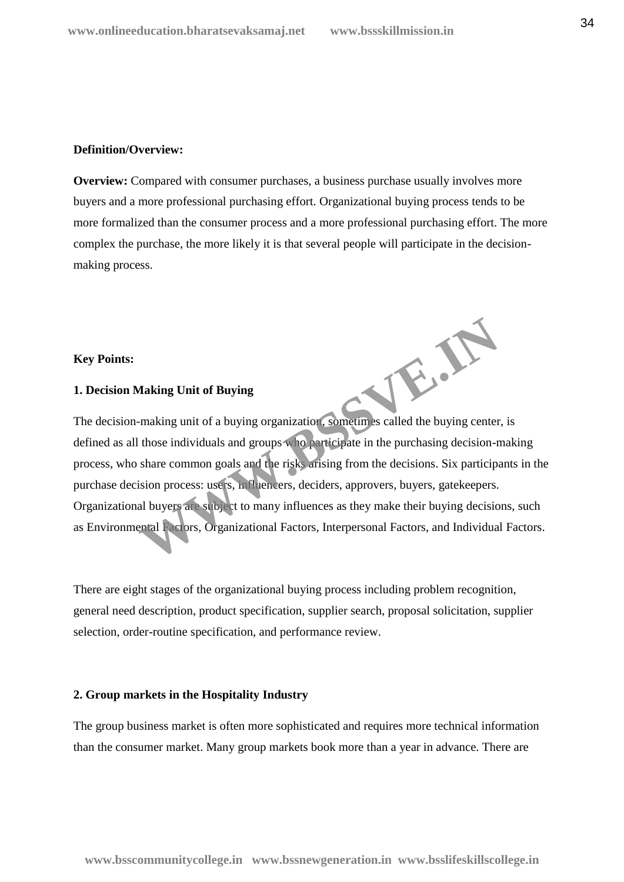#### **Definition/Overview:**

**Overview:** Compared with consumer purchases, a business purchase usually involves more buyers and a more professional purchasing effort. Organizational buying process tends to be more formalized than the consumer process and a more professional purchasing effort. The more complex the purchase, the more likely it is that several people will participate in the decision making process.

#### **Key Points:**

### **1. Decision Making Unit of Buying**

The decision-making unit of a buying organization, sometimes called the buying center, is defined as all those individuals and groups who participate in the purchasing decision-making process, who share common goals and the risks arising from the decisions. Six participants in the purchase decision process: users, influencers, deciders, approvers, buyers, gatekeepers. Organizational buyers are subject to many influences as they make their buying decisions, such as Environmental Factors, Organizational Factors, Interpersonal Factors, and Individual Factors. WE.AS

There are eight stages of the organizational buying process including problem recognition, general need description, product specification, supplier search, proposal solicitation, supplier selection, order-routine specification, and performance review.

#### **2. Group markets in the Hospitality Industry**

The group business market is often more sophisticated and requires more technical information than the consumer market. Many group markets book more than a year in advance. There are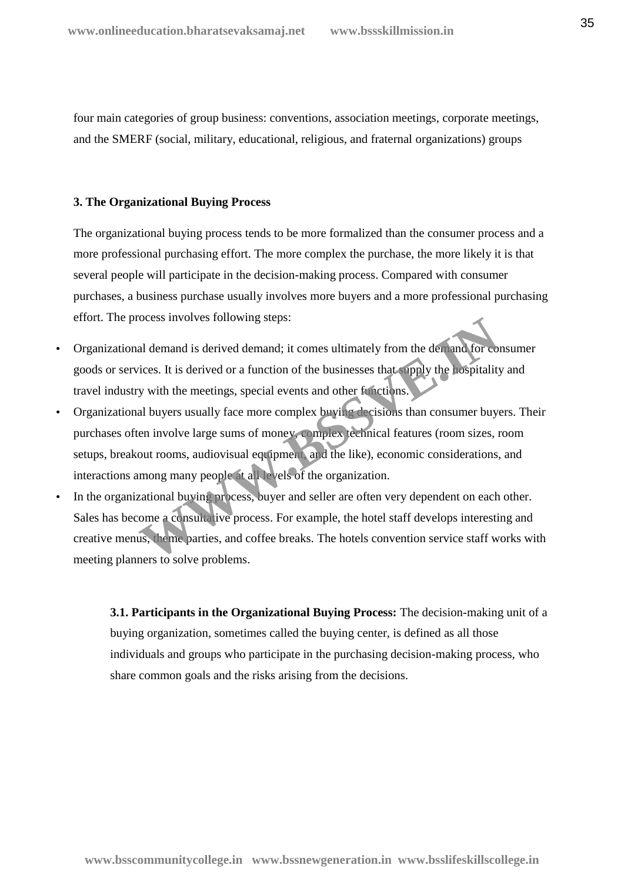four main categories of group business: conventions, association meetings, corporate meetings, and the SMERF (social, military, educational, religious, and fraternal organizations) groups

#### **3. The Organizational Buying Process**

The organizational buying process tends to be more formalized than the consumer process and a more professional purchasing effort. The more complex the purchase, the more likely it is that several people will participate in the decision-making process. Compared with consumer purchases, a business purchase usually involves more buyers and a more professional purchasing effort. The process involves following steps:

- Organizational demand is derived demand; it comes ultimately from the demand for consumer goods or services. It is derived or a function of the businesses that supply the hospitality and travel industry with the meetings, special events and other functions.
- Organizational buyers usually face more complex buying decisions than consumer buyers. Their purchases often involve large sums of money, complex technical features (room sizes, room setups, breakout rooms, audiovisual equipment, and the like), economic considerations, and interactions among many people at all levels of the organization. becomes involves following steps:<br>
al demand is derived demand; it comes ultimately from the demand for corrections.<br>
Al buyers usually face more complex buying decisions than consumer buyers usually face more complex buyi
- In the organizational buying process, buyer and seller are often very dependent on each other. Sales has become a consultative process. For example, the hotel staff develops interesting and creative menus, theme parties, and coffee breaks. The hotels convention service staff works with meeting planners to solve problems.

**3.1. Participants in the Organizational Buying Process:** The decision-making unit of a buying organization, sometimes called the buying center, is defined as all those individuals and groups who participate in the purchasing decision-making process, who share common goals and the risks arising from the decisions.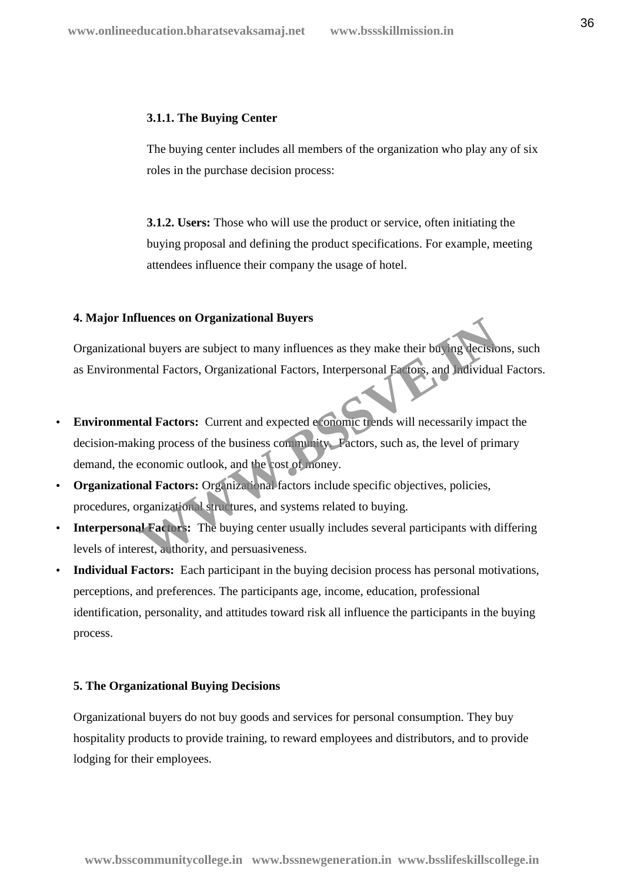#### **3.1.1. The Buying Center**

The buying center includes all members of the organization who play any of six roles in the purchase decision process:

**3.1.2. Users:** Those who will use the product or service, often initiating the buying proposal and defining the product specifications. For example, meeting attendees influence their company the usage of hotel.

#### **4. Major Influences on Organizational Buyers**

Organizational buyers are subject to many influences as they make their buying decisions, such as Environmental Factors, Organizational Factors, Interpersonal Factors, and Individual Factors.

- **Environmental Factors:** Current and expected economic trends will necessarily impact the decision-making process of the business community. Factors, such as, the level of primary demand, the economic outlook, and the cost of money. **Example 18 The Solution School Servers** and Divers are subject to many influences as they make their buying decision<br>
and I Factors, Organizational Factors, Interpersonal Factors, and Individual<br> **External Factors:** Curre
- **Organizational Factors:** Organizational factors include specific objectives, policies, procedures, organizational structures, and systems related to buying.
- **Interpersonal Factors:** The buying center usually includes several participants with differing levels of interest, authority, and persuasiveness.
- **Individual Factors:** Each participant in the buying decision process has personal motivations, perceptions, and preferences. The participants age, income, education, professional identification, personality, and attitudes toward risk all influence the participants in the buying process.

#### **5. The Organizational Buying Decisions**

Organizational buyers do not buy goods and services for personal consumption. They buy hospitality products to provide training, to reward employees and distributors, and to provide lodging for their employees.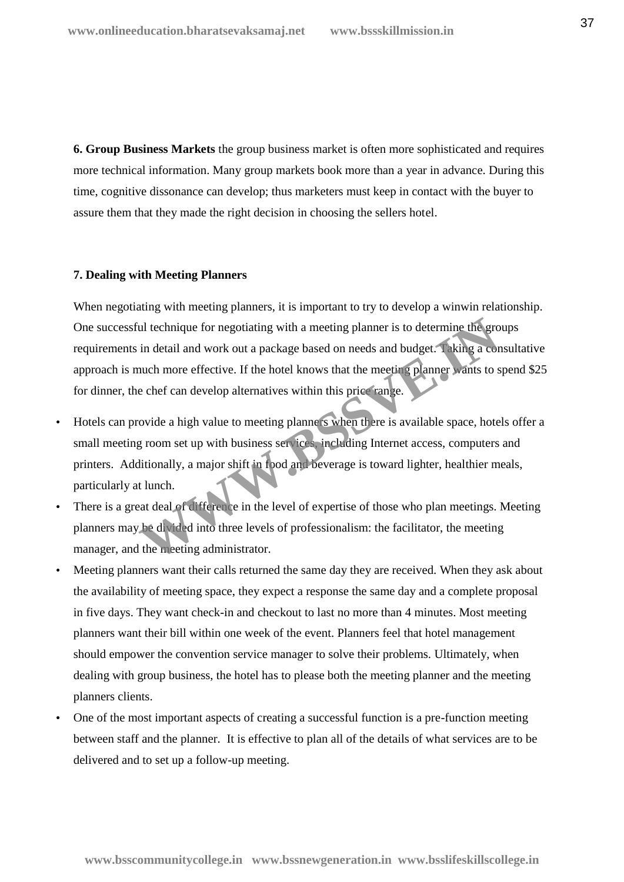**6. Group Business Markets** the group business market is often more sophisticated and requires more technical information. Many group markets book more than a year in advance. During this time, cognitive dissonance can develop; thus marketers must keep in contact with the buyer to assure them that they made the right decision in choosing the sellers hotel.

#### **7. Dealing with Meeting Planners**

When negotiating with meeting planners, it is important to try to develop a winwin relationship. One successful technique for negotiating with a meeting planner is to determine the groups requirements in detail and work out a package based on needs and budget. Taking a consultative approach is much more effective. If the hotel knows that the meeting planner wants to spend \$25 for dinner, the chef can develop alternatives within this price range. in detail and work out a package based on needs and budget. Taking a computed in detail and work out a package based on needs and budget. Taking a compute more effective. If the hotel knows that the meeting planner wants t

- Hotels can provide a high value to meeting planners when there is available space, hotels offer a small meeting room set up with business services, including Internet access, computers and printers. Additionally, a major shift in food and beverage is toward lighter, healthier meals, particularly at lunch.
- There is a great deal of difference in the level of expertise of those who plan meetings. Meeting planners may be divided into three levels of professionalism: the facilitator, the meeting manager, and the meeting administrator.
- Meeting planners want their calls returned the same day they are received. When they ask about the availability of meeting space, they expect a response the same day and a complete proposal in five days. They want check-in and checkout to last no more than 4 minutes. Most meeting planners want their bill within one week of the event. Planners feel that hotel management should empower the convention service manager to solve their problems. Ultimately, when dealing with group business, the hotel has to please both the meeting planner and the meeting planners clients.
- One of the most important aspects of creating a successful function is a pre-function meeting between staff and the planner. It is effective to plan all of the details of what services are to be delivered and to set up a follow-up meeting.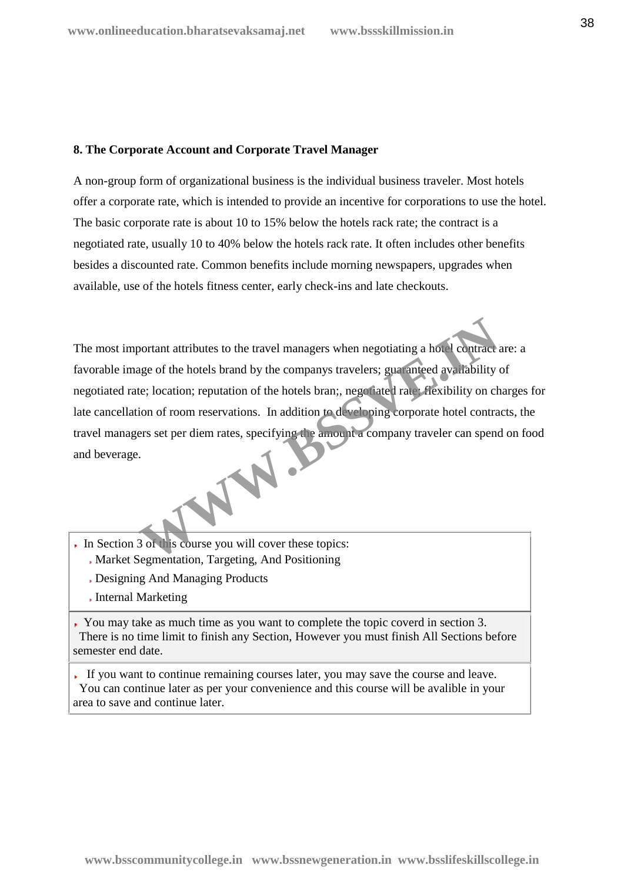#### **8. The Corporate Account and Corporate Travel Manager**

A non-group form of organizational business is the individual business traveler. Most hotels offer a corporate rate, which is intended to provide an incentive for corporations to use the hotel. The basic corporate rate is about 10 to 15% below the hotels rack rate; the contract is a negotiated rate, usually 10 to 40% below the hotels rack rate. It often includes other benefits besides a discounted rate. Common benefits include morning newspapers, upgrades when available, use of the hotels fitness center, early check-ins and late checkouts.

The most important attributes to the travel managers when negotiating a hotel contract are: a favorable image of the hotels brand by the companys travelers; guaranteed availability of negotiated rate; location; reputation of the hotels bran;, negotiated rate; flexibility on charges for late cancellation of room reservations. In addition to developing corporate hotel contracts, the travel managers set per diem rates, specifying the amount a company traveler can spend on food and beverage. France Contract attributes to the travel managers when negotiating a hotel contract and a straight the company travelers; guaranteed availability on chercition; reputation of the hotels bran;, negotiated rate. Flexibility

- In Section 3 of this course you will cover these topics:
	- Market Segmentation, Targeting, And Positioning
	- Designing And Managing Products
	- Internal Marketing

You may take as much time as you want to complete the topic coverd in section 3. There is no time limit to finish any Section, However you must finish All Sections before semester end date.

If you want to continue remaining courses later, you may save the course and leave. You can continue later as per your convenience and this course will be avalible in your area to save and continue later.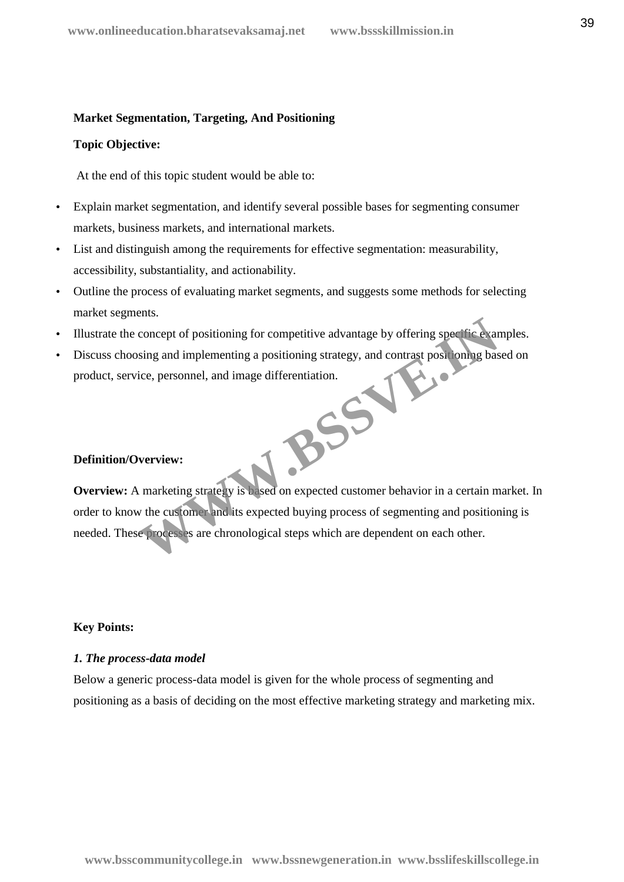#### **Market Segmentation, Targeting, And Positioning**

#### **Topic Objective:**

At the end of this topic student would be able to:

- Explain market segmentation, and identify several possible bases for segmenting consumer markets, business markets, and international markets.
- List and distinguish among the requirements for effective segmentation: measurability, accessibility, substantiality, and actionability.
- Outline the process of evaluating market segments, and suggests some methods for selecting market segments.
- Illustrate the concept of positioning for competitive advantage by offering specific examples.
- Discuss choosing and implementing a positioning strategy, and contrast positioning based on product, service, personnel, and image differentiation. **WEIGHTERED SERVER**

#### **Definition/Overview:**

**Overview:** A marketing strategy is based on expected customer behavior in a certain market. In order to know the customer and its expected buying process of segmenting and positioning is needed. These processes are chronological steps which are dependent on each other.

#### **Key Points:**

#### *1. The process-data model*

Below a generic process-data model is given for the whole process of segmenting and positioning as a basis of deciding on the most effective marketing strategy and marketing mix.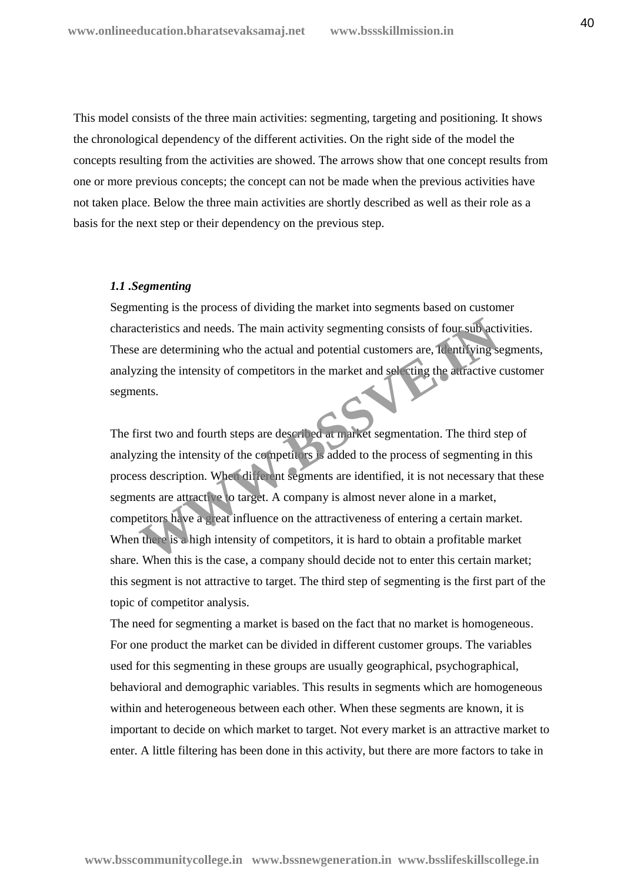This model consists of the three main activities: segmenting, targeting and positioning. It shows the chronological dependency of the different activities. On the right side of the model the concepts resulting from the activities are showed. The arrows show that one concept results from one or more previous concepts; the concept can not be made when the previous activities have not taken place. Below the three main activities are shortly described as well as their role as a basis for the next step or their dependency on the previous step.

#### *1.1 .Segmenting*

Segmenting is the process of dividing the market into segments based on customer characteristics and needs. The main activity segmenting consists of four sub activities. These are determining who the actual and potential customers are, Identifying segments, analyzing the intensity of competitors in the market and selecting the attractive customer segments.

The first two and fourth steps are described at market segmentation. The third step of analyzing the intensity of the competitors is added to the process of segmenting in this process description. When different segments are identified, it is not necessary that these segments are attractive to target. A company is almost never alone in a market, competitors have a great influence on the attractiveness of entering a certain market. When there is a high intensity of competitors, it is hard to obtain a profitable market share. When this is the case, a company should decide not to enter this certain market; this segment is not attractive to target. The third step of segmenting is the first part of the topic of competitor analysis. Exercision and needs. The main activity segmenting consists of four subject are determining who the actual and potential customers are, **Remtifying solution** the intensity of competitors in the market and selecting the aut

The need for segmenting a market is based on the fact that no market is homogeneous. For one product the market can be divided in different customer groups. The variables used for this segmenting in these groups are usually geographical, psychographical, behavioral and demographic variables. This results in segments which are homogeneous within and heterogeneous between each other. When these segments are known, it is important to decide on which market to target. Not every market is an attractive market to enter. A little filtering has been done in this activity, but there are more factors to take in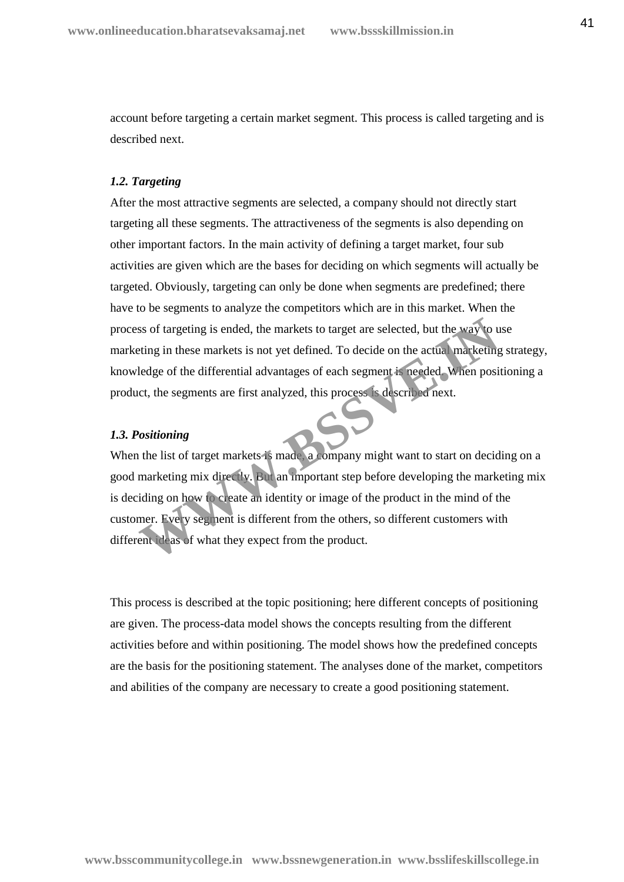account before targeting a certain market segment. This process is called targeting and is described next.

#### *1.2. Targeting*

After the most attractive segments are selected, a company should not directly start targeting all these segments. The attractiveness of the segments is also depending on other important factors. In the main activity of defining a target market, four sub activities are given which are the bases for deciding on which segments will actually be targeted. Obviously, targeting can only be done when segments are predefined; there have to be segments to analyze the competitors which are in this market. When the process of targeting is ended, the markets to target are selected, but the way to use marketing in these markets is not yet defined. To decide on the actual marketing strategy, knowledge of the differential advantages of each segment is needed. When positioning a product, the segments are first analyzed, this process is described next.

#### *1.3. Positioning*

When the list of target markets is made, a company might want to start on deciding on a good marketing mix directly. But an important step before developing the marketing mix is deciding on how to create an identity or image of the product in the mind of the customer. Every segment is different from the others, so different customers with different ideas of what they expect from the product. So the targeting is ended, the markets to target are selected, but the way to use thing in these markets is not yet defined. To decide on the actual marketing ledge of the differential advantages of each segment is needed.

This process is described at the topic positioning; here different concepts of positioning are given. The process-data model shows the concepts resulting from the different activities before and within positioning. The model shows how the predefined concepts are the basis for the positioning statement. The analyses done of the market, competitors and abilities of the company are necessary to create a good positioning statement.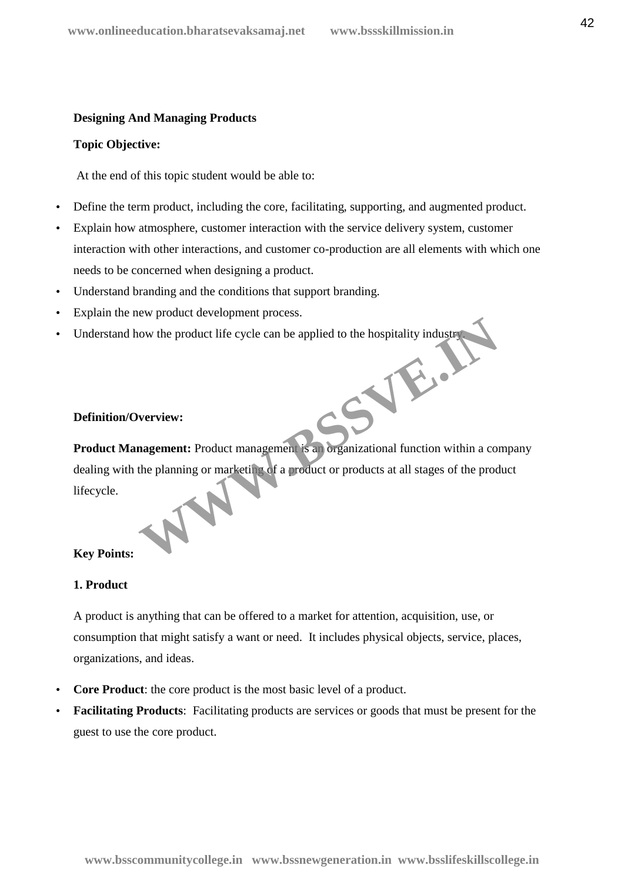# **Designing And Managing Products**

#### **Topic Objective:**

At the end of this topic student would be able to:

- Define the term product, including the core, facilitating, supporting, and augmented product.
- Explain how atmosphere, customer interaction with the service delivery system, customer interaction with other interactions, and customer co-production are all elements with which one needs to be concerned when designing a product.
- Understand branding and the conditions that support branding.
- Explain the new product development process.
- Understand how the product life cycle can be applied to the hospitality industry. **WWW.BSSVE.IN**

# **Definition/Overview:**

**Product Management:** Product management is an organizational function within a company dealing with the planning or marketing of a product or products at all stages of the product lifecycle.

# **Key Points:**

# **1. Product**

A product is anything that can be offered to a market for attention, acquisition, use, or consumption that might satisfy a want or need. It includes physical objects, service, places, organizations, and ideas.

- **Core Product**: the core product is the most basic level of a product.
- **Facilitating Products**: Facilitating products are services or goods that must be present for the guest to use the core product.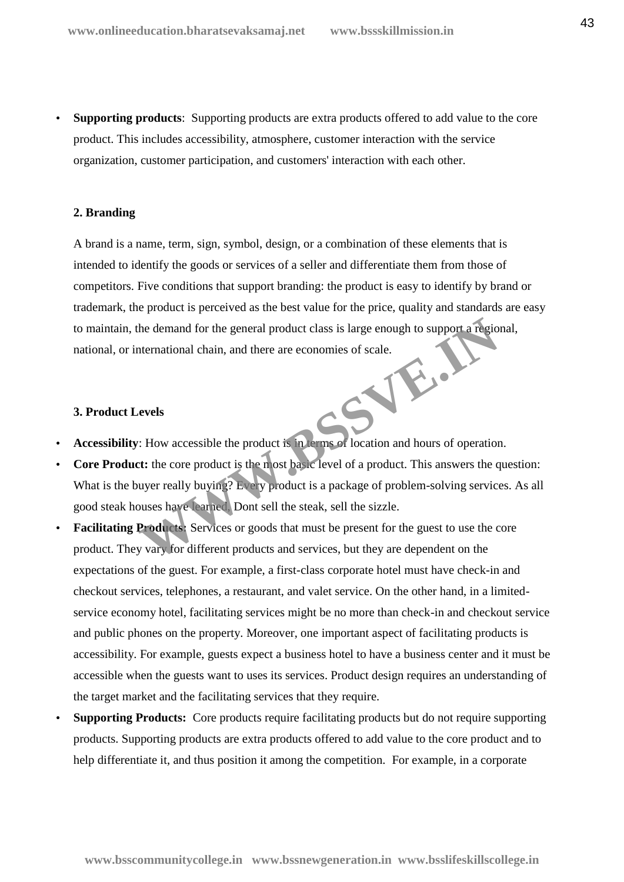**Supporting products**: Supporting products are extra products offered to add value to the core product. This includes accessibility, atmosphere, customer interaction with the service organization, customer participation, and customers' interaction with each other.

#### **2. Branding**

A brand is a name, term, sign, symbol, design, or a combination of these elements that is intended to identify the goods or services of a seller and differentiate them from those of competitors. Five conditions that support branding: the product is easy to identify by brand or trademark, the product is perceived as the best value for the price, quality and standards are easy to maintain, the demand for the general product class is large enough to support a regional, national, or international chain, and there are economies of scale. WWW.BSSV.

#### **3. Product Levels**

- **Accessibility**: How accessible the product is in terms of location and hours of operation.
- **Core Product:** the core product is the most basic level of a product. This answers the question: What is the buyer really buying? Every product is a package of problem-solving services. As all good steak houses have learned, Dont sell the steak, sell the sizzle.
- **Facilitating Products:** Services or goods that must be present for the guest to use the core product. They vary for different products and services, but they are dependent on the expectations of the guest. For example, a first-class corporate hotel must have check-in and checkout services, telephones, a restaurant, and valet service. On the other hand, in a limited service economy hotel, facilitating services might be no more than check-in and checkout service and public phones on the property. Moreover, one important aspect of facilitating products is accessibility. For example, guests expect a business hotel to have a business center and it must be accessible when the guests want to uses its services. Product design requires an understanding of the target market and the facilitating services that they require.
- **Supporting Products:** Core products require facilitating products but do not require supporting products. Supporting products are extra products offered to add value to the core product and to help differentiate it, and thus position it among the competition. For example, in a corporate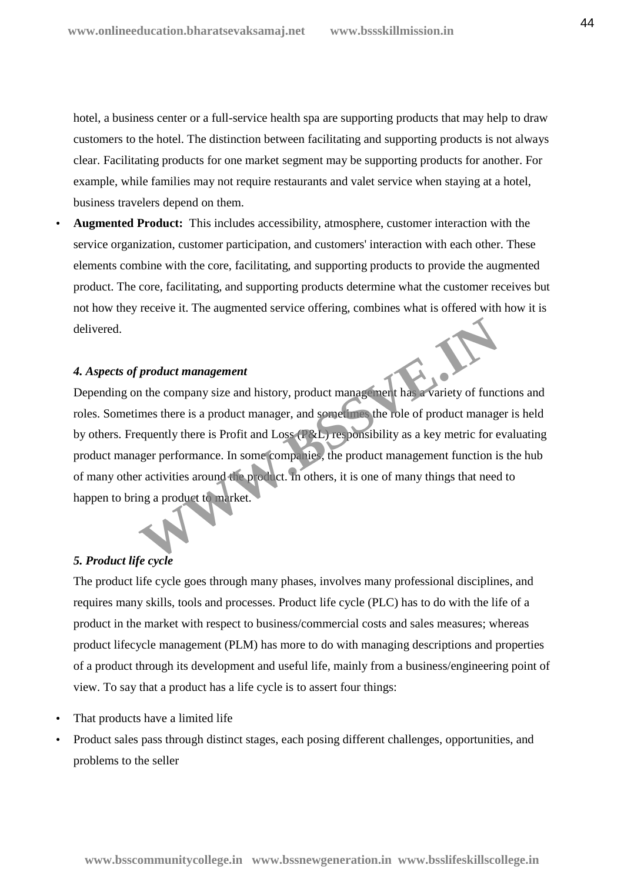hotel, a business center or a full-service health spa are supporting products that may help to draw customers to the hotel. The distinction between facilitating and supporting products is not always clear. Facilitating products for one market segment may be supporting products for another. For example, while families may not require restaurants and valet service when staying at a hotel, business travelers depend on them.

 **Augmented Product:** This includes accessibility, atmosphere, customer interaction with the service organization, customer participation, and customers' interaction with each other. These elements combine with the core, facilitating, and supporting products to provide the augmented product. The core, facilitating, and supporting products determine what the customer receives but not how they receive it. The augmented service offering, combines what is offered with how it is delivered.

#### *4. Aspects of product management*

Depending on the company size and history, product management has a variety of functions and roles. Sometimes there is a product manager, and sometimes the role of product manager is held by others. Frequently there is Profit and Loss (P&L) responsibility as a key metric for evaluating product manager performance. In some companies, the product management function is the hub of many other activities around the product. In others, it is one of many things that need to happen to bring a product to market. product management<br>
in the company size and history, product management has a variety of func<br>
mes there is a product manager, and sometimes the role of product manage<br>
equently there is Profit and Loss (*C&L*) responsibil

#### *5. Product life cycle*

The product life cycle goes through many phases, involves many professional disciplines, and requires many skills, tools and processes. Product life cycle (PLC) has to do with the life of a product in the market with respect to business/commercial costs and sales measures; whereas product lifecycle management (PLM) has more to do with managing descriptions and properties of a product through its development and useful life, mainly from a business/engineering point of view. To say that a product has a life cycle is to assert four things:

- That products have a limited life
- Product sales pass through distinct stages, each posing different challenges, opportunities, and problems to the seller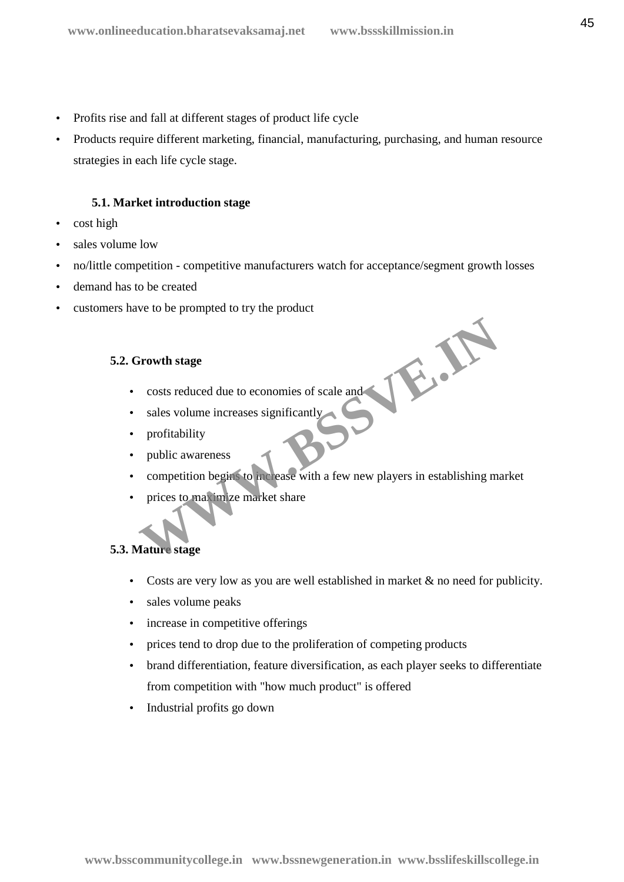- Profits rise and fall at different stages of product life cycle
- Products require different marketing, financial, manufacturing, purchasing, and human resource strategies in each life cycle stage.

#### **5.1. Market introduction stage**

- cost high
- sales volume low
- no/little competition competitive manufacturers watch for acceptance/segment growth losses
- demand has to be created
- customers have to be prompted to try the product

#### **5.2. Growth stage**

- costs reduced due to economies of scale and
- sales volume increases significantly
- profitability
- public awareness
- competition begins to increase with a few new players in establishing market **Example 18 All the School School and Sales volume increases significantly**<br>profitability<br>profitability<br>public awareness<br>competition begins to increase with a few new players in establishing ma<br>prices to may impe market sh
- prices to maximize market share

#### **5.3. Mature stage**

- Costs are very low as you are well established in market & no need for publicity.
- sales volume peaks
- increase in competitive offerings
- prices tend to drop due to the proliferation of competing products
- brand differentiation, feature diversification, as each player seeks to differentiate from competition with "how much product" is offered
- Industrial profits go down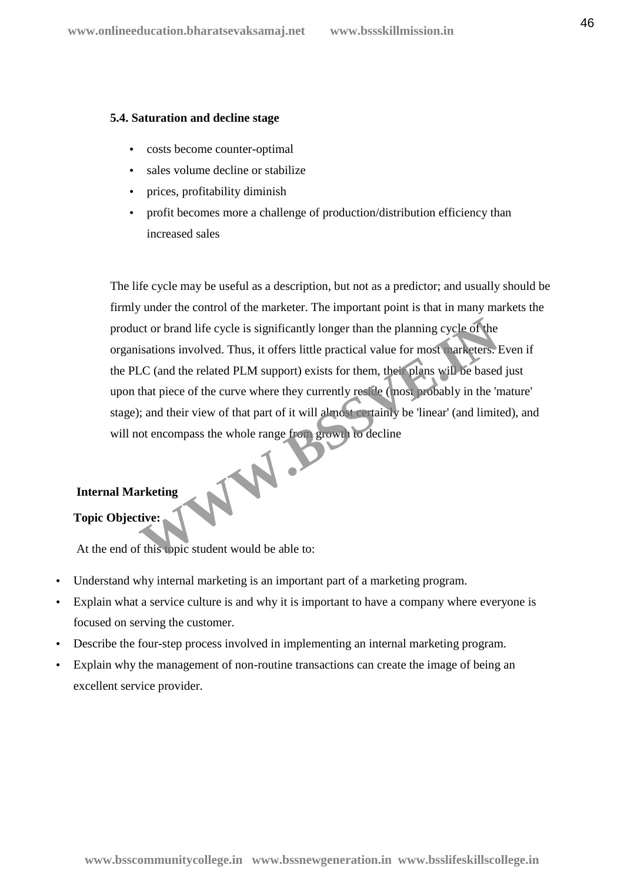#### **5.4. Saturation and decline stage**

- costs become counter-optimal
- sales volume decline or stabilize
- prices, profitability diminish
- profit becomes more a challenge of production/distribution efficiency than increased sales

The life cycle may be useful as a description, but not as a predictor; and usually should be firmly under the control of the marketer. The important point is that in many markets the product or brand life cycle is significantly longer than the planning cycle of the organisations involved. Thus, it offers little practical value for most marketers. Even if the PLC (and the related PLM support) exists for them, their plans will be based just upon that piece of the curve where they currently reside (most probably in the 'mature' stage); and their view of that part of it will almost certainly be 'linear' (and limited), and will not encompass the whole range from growth to decline Thus, it offers little practical value for most parketers. I<br>
LC (and the related PLM support) exists for them, their plans will be based<br>
LC (and the related PLM support) exists for them, their plans will be based<br>
that p

# **Internal Marketing**

# **Topic Objective:**

At the end of this topic student would be able to:

- Understand why internal marketing is an important part of a marketing program.
- Explain what a service culture is and why it is important to have a company where everyone is focused on serving the customer.
- Describe the four-step process involved in implementing an internal marketing program.
- Explain why the management of non-routine transactions can create the image of being an excellent service provider.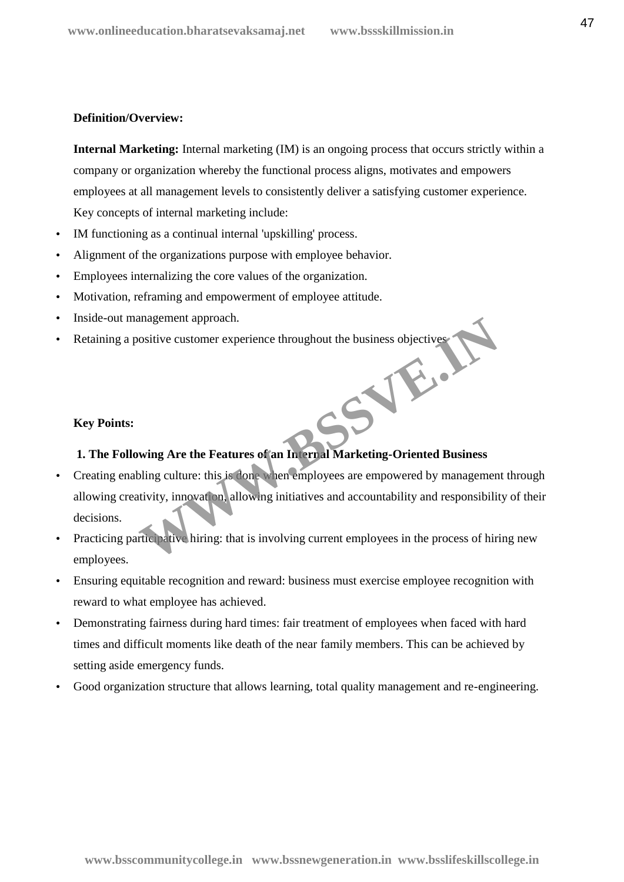#### **Definition/Overview:**

**Internal Marketing:** Internal marketing (IM) is an ongoing process that occurs strictly within a company or organization whereby the functional process aligns, motivates and empowers employees at all management levels to consistently deliver a satisfying customer experience. Key concepts of internal marketing include:

- IM functioning as a continual internal 'upskilling' process.
- Alignment of the organizations purpose with employee behavior.
- Employees internalizing the core values of the organization.
- Motivation, reframing and empowerment of employee attitude.
- Inside-out management approach.
- Retaining a positive customer experience throughout the business objectives WWW.BS

#### **Key Points:**

# **1. The Following Are the Features of an Internal Marketing-Oriented Business**

- Creating enabling culture: this is done when employees are empowered by management through allowing creativity, innovation, allowing initiatives and accountability and responsibility of their decisions.
- Practicing participative hiring: that is involving current employees in the process of hiring new employees.
- Ensuring equitable recognition and reward: business must exercise employee recognition with reward to what employee has achieved.
- Demonstrating fairness during hard times: fair treatment of employees when faced with hard times and difficult moments like death of the near family members. This can be achieved by setting aside emergency funds.
- Good organization structure that allows learning, total quality management and re-engineering.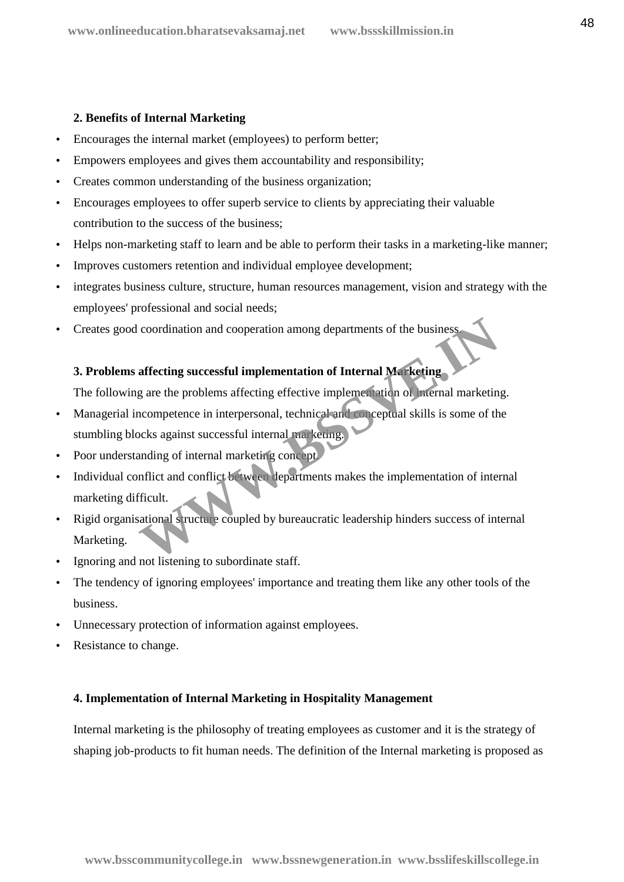#### **2. Benefits of Internal Marketing**

- Encourages the internal market (employees) to perform better;
- Empowers employees and gives them accountability and responsibility;
- Creates common understanding of the business organization;
- Encourages employees to offer superb service to clients by appreciating their valuable contribution to the success of the business;
- Helps non-marketing staff to learn and be able to perform their tasks in a marketing-like manner;
- Improves customers retention and individual employee development;
- integrates business culture, structure, human resources management, vision and strategy with the employees' professional and social needs;
- Creates good coordination and cooperation among departments of the business.

# **3. Problems affecting successful implementation of Internal Marketing**

The following are the problems affecting effective implementation of internal marketing.

- Managerial incompetence in interpersonal, technical and conceptual skills is some of the stumbling blocks against successful internal marketing. coordination and cooperation among departments of the business<br> **affecting successful implementation of Internal Marketing**<br>
g are the problems affecting effective implementation of Internal marketin<br>
accompetence in inter
- Poor understanding of internal marketing concept.
- Individual conflict and conflict between departments makes the implementation of internal marketing difficult.
- Rigid organisational structure coupled by bureaucratic leadership hinders success of internal Marketing.
- Ignoring and not listening to subordinate staff.
- The tendency of ignoring employees' importance and treating them like any other tools of the business.
- Unnecessary protection of information against employees.
- Resistance to change.

#### **4. Implementation of Internal Marketing in Hospitality Management**

Internal marketing is the philosophy of treating employees as customer and it is the strategy of shaping job-products to fit human needs. The definition of the Internal marketing is proposed as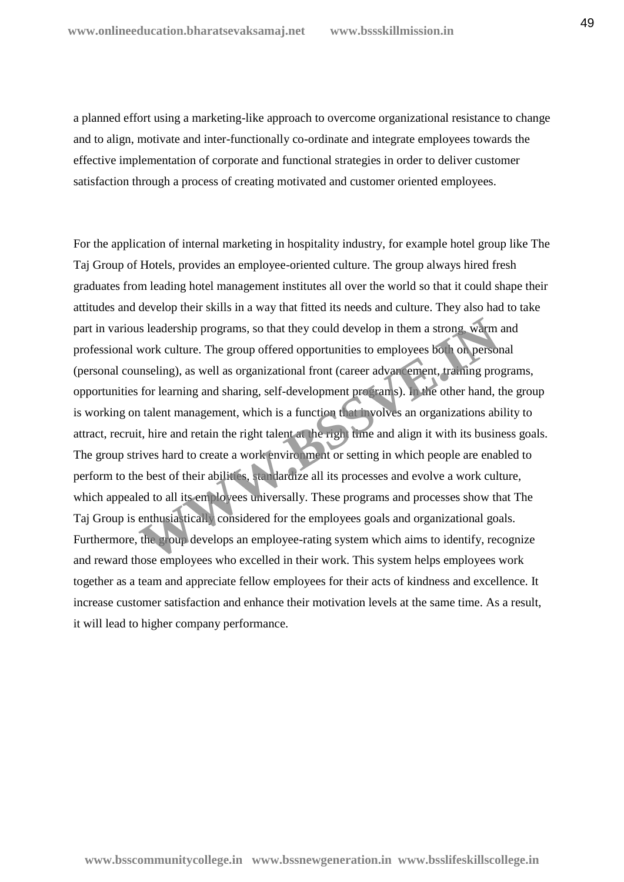a planned effort using a marketing-like approach to overcome organizational resistance to change and to align, motivate and inter-functionally co-ordinate and integrate employees towards the effective implementation of corporate and functional strategies in order to deliver customer satisfaction through a process of creating motivated and customer oriented employees.

For the application of internal marketing in hospitality industry, for example hotel group like The Taj Group of Hotels, provides an employee-oriented culture. The group always hired fresh graduates from leading hotel management institutes all over the world so that it could shape their attitudes and develop their skills in a way that fitted its needs and culture. They also had to take part in various leadership programs, so that they could develop in them a strong, warm and professional work culture. The group offered opportunities to employees both on personal (personal counseling), as well as organizational front (career advancement, training programs, opportunities for learning and sharing, self-development programs). In the other hand, the group is working on talent management, which is a function that involves an organizations ability to attract, recruit, hire and retain the right talent at the right time and align it with its business goals. The group strives hard to create a work environment or setting in which people are enabled to perform to the best of their abilities, standardize all its processes and evolve a work culture, which appealed to all its employees universally. These programs and processes show that The Taj Group is enthusiastically considered for the employees goals and organizational goals. Furthermore, the group develops an employee-rating system which aims to identify, recognize and reward those employees who excelled in their work. This system helps employees work together as a team and appreciate fellow employees for their acts of kindness and excellence. It increase customer satisfaction and enhance their motivation levels at the same time. As a result, it will lead to higher company performance. Is leadership programs, so that they could develop in them a strong, warm<br>work culture. The group offered opportunities to employees both on person<br>inseling), as well as organizational front (career advancement, training p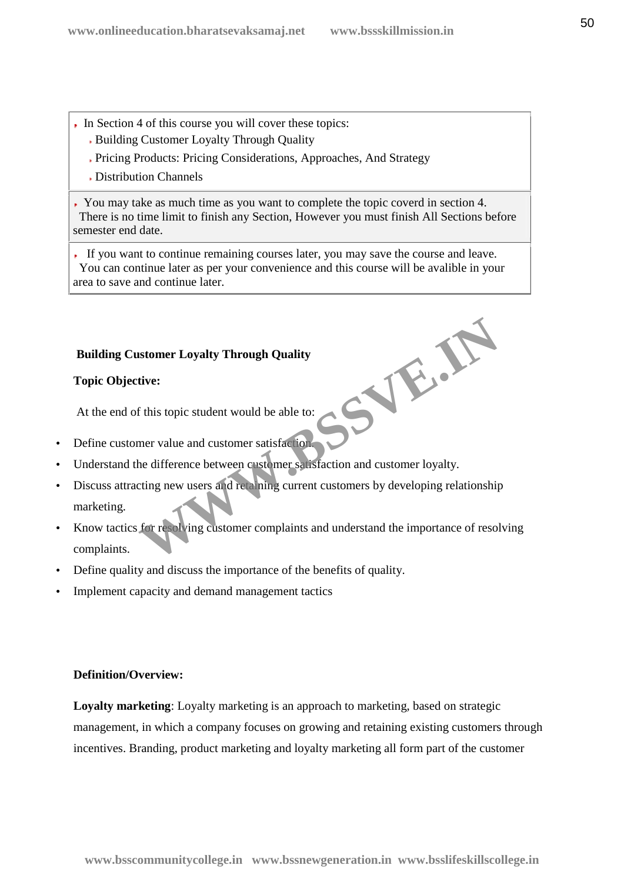- In Section 4 of this course you will cover these topics:
	- Building Customer Loyalty Through Quality
	- Pricing Products: Pricing Considerations, Approaches, And Strategy
	- Distribution Channels

You may take as much time as you want to complete the topic coverd in section 4. There is no time limit to finish any Section, However you must finish All Sections before semester end date.

If you want to continue remaining courses later, you may save the course and leave. You can continue later as per your convenience and this course will be avalible in your area to save and continue later.

**WWW.BSSVE.IN**

# **Building Customer Loyalty Through Quality**

# **Topic Objective:**

At the end of this topic student would be able to:

- Define customer value and customer satisfaction.
- Understand the difference between customer satisfaction and customer loyalty.
- Discuss attracting new users and retaining current customers by developing relationship marketing.
- Know tactics for resolving customer complaints and understand the importance of resolving complaints.
- Define quality and discuss the importance of the benefits of quality.
- Implement capacity and demand management tactics

# **Definition/Overview:**

**Loyalty marketing**: Loyalty marketing is an approach to marketing, based on strategic management, in which a company focuses on growing and retaining existing customers through incentives. Branding, product marketing and loyalty marketing all form part of the customer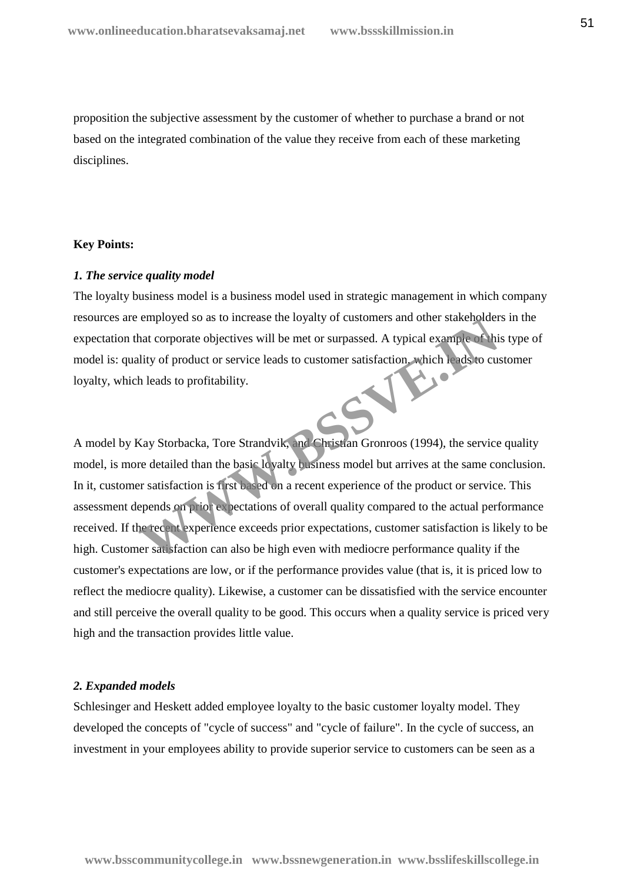proposition the subjective assessment by the customer of whether to purchase a brand or not based on the integrated combination of the value they receive from each of these marketing disciplines.

#### **Key Points:**

#### *1. The service quality model*

The loyalty business model is a business model used in strategic management in which company resources are employed so as to increase the loyalty of customers and other stakeholders in the expectation that corporate objectives will be met or surpassed. A typical example of this type of model is: quality of product or service leads to customer satisfaction, which leads to customer loyalty, which leads to profitability. loyalty, which leads to profitability.

A model by Kay Storbacka, Tore Strandvik, and Christian Gronroos (1994), the service quality model, is more detailed than the basic loyalty business model but arrives at the same conclusion. In it, customer satisfaction is first based on a recent experience of the product or service. This assessment depends on prior expectations of overall quality compared to the actual performance received. If the recent experience exceeds prior expectations, customer satisfaction is likely to be high. Customer satisfaction can also be high even with mediocre performance quality if the customer's expectations are low, or if the performance provides value (that is, it is priced low to reflect the mediocre quality). Likewise, a customer can be dissatisfied with the service encounter and still perceive the overall quality to be good. This occurs when a quality service is priced very high and the transaction provides little value. employed so as to increase the loyalty of customers and other stakeholder<br>hat corporate objectives will be met or surpassed. A typical example of his<br>litty of product or service leads to customer satisfaction which leads t

#### *2. Expanded models*

Schlesinger and Heskett added employee loyalty to the basic customer loyalty model. They developed the concepts of "cycle of success" and "cycle of failure". In the cycle of success, an investment in your employees ability to provide superior service to customers can be seen as a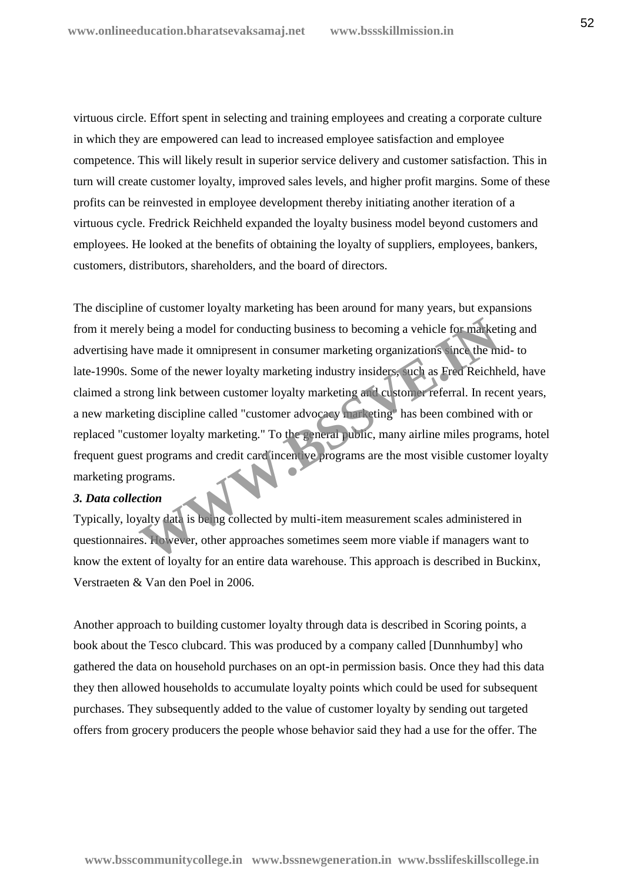virtuous circle. Effort spent in selecting and training employees and creating a corporate culture in which they are empowered can lead to increased employee satisfaction and employee competence. This will likely result in superior service delivery and customer satisfaction. This in turn will create customer loyalty, improved sales levels, and higher profit margins. Some of these profits can be reinvested in employee development thereby initiating another iteration of a virtuous cycle. Fredrick Reichheld expanded the loyalty business model beyond customers and employees. He looked at the benefits of obtaining the loyalty of suppliers, employees, bankers, customers, distributors, shareholders, and the board of directors.

The discipline of customer loyalty marketing has been around for many years, but expansions from it merely being a model for conducting business to becoming a vehicle for marketing and advertising have made it omnipresent in consumer marketing organizations since the mid- to late-1990s. Some of the newer loyalty marketing industry insiders, such as Fred Reichheld, have claimed a strong link between customer loyalty marketing and customer referral. In recent years, a new marketing discipline called "customer advocacy marketing" has been combined with or replaced "customer loyalty marketing." To the general public, many airline miles programs, hotel frequent guest programs and credit card incentive programs are the most visible customer loyalty marketing programs. Note that is being a model for conducting business to becoming a vehicle for market<br>ave made it omnipresent in consumer marketing organizations, the the mome of the newer loyalty marketing industry insiders, such as Fred R

#### *3. Data collection*

Typically, loyalty data is being collected by multi-item measurement scales administered in questionnaires. However, other approaches sometimes seem more viable if managers want to know the extent of loyalty for an entire data warehouse. This approach is described in Buckinx, Verstraeten & Van den Poel in 2006.

Another approach to building customer loyalty through data is described in Scoring points, a book about the Tesco clubcard. This was produced by a company called [Dunnhumby] who gathered the data on household purchases on an opt-in permission basis. Once they had this data they then allowed households to accumulate loyalty points which could be used for subsequent purchases. They subsequently added to the value of customer loyalty by sending out targeted offers from grocery producers the people whose behavior said they had a use for the offer. The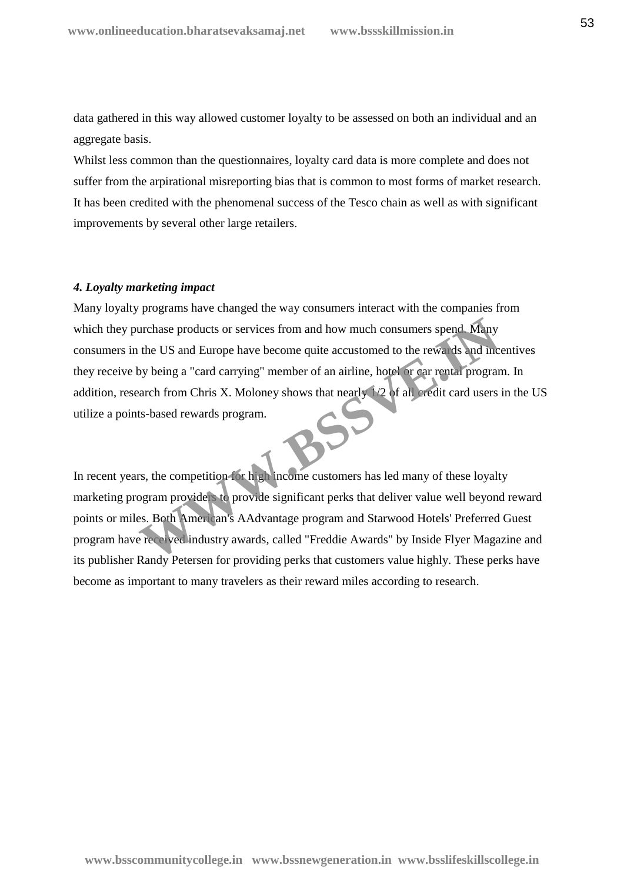data gathered in this way allowed customer loyalty to be assessed on both an individual and an aggregate basis.

Whilst less common than the questionnaires, loyalty card data is more complete and does not suffer from the arpirational misreporting bias that is common to most forms of market research. It has been credited with the phenomenal success of the Tesco chain as well as with significant improvements by several other large retailers.

#### *4. Loyalty marketing impact*

Many loyalty programs have changed the way consumers interact with the companies from which they purchase products or services from and how much consumers spend. Many consumers in the US and Europe have become quite accustomed to the rewards and incentives they receive by being a "card carrying" member of an airline, hotel or car rental program. In addition, research from Chris X. Moloney shows that nearly 1/2 of all credit card users in the US utilize a points-based rewards program. urchase products or services from and how much consumers spend. Many<br>the US and Europe have become quite accustomed to the rewards and inc<br>by being a "card carrying" member of an airline, hotel or ear rental program<br>arch f

In recent years, the competition for high income customers has led many of these loyalty marketing program providers to provide significant perks that deliver value well beyond reward points or miles. Both American's AAdvantage program and Starwood Hotels' Preferred Guest program have received industry awards, called "Freddie Awards" by Inside Flyer Magazine and its publisher Randy Petersen for providing perks that customers value highly. These perks have become as important to many travelers as their reward miles according to research.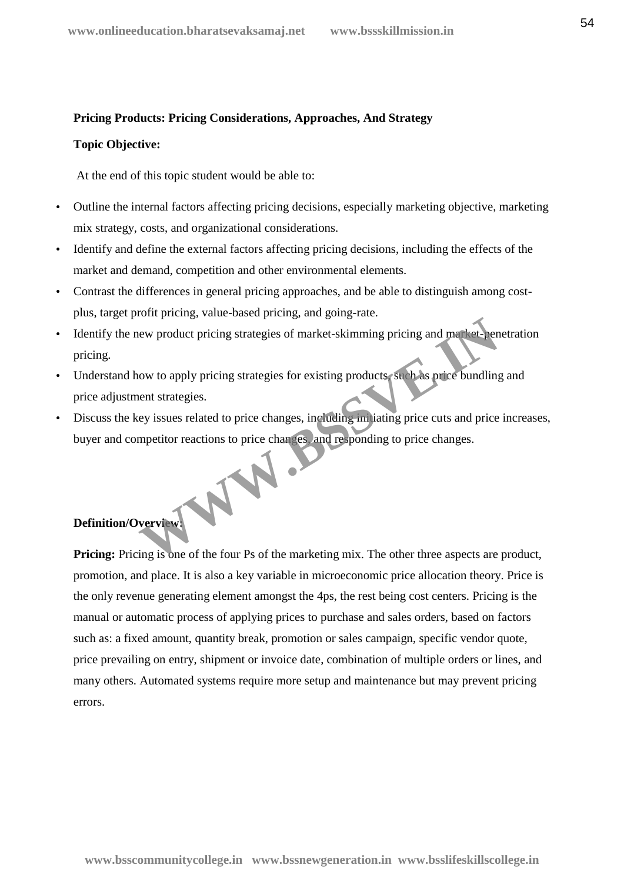#### **Pricing Products: Pricing Considerations, Approaches, And Strategy**

#### **Topic Objective:**

At the end of this topic student would be able to:

- Outline the internal factors affecting pricing decisions, especially marketing objective, marketing mix strategy, costs, and organizational considerations.
- Identify and define the external factors affecting pricing decisions, including the effects of the market and demand, competition and other environmental elements.
- Contrast the differences in general pricing approaches, and be able to distinguish among cost plus, target profit pricing, value-based pricing, and going-rate.
- Identify the new product pricing strategies of market-skimming pricing and market-penetration pricing.
- Understand how to apply pricing strategies for existing products, such as price bundling and price adjustment strategies.
- Discuss the key issues related to price changes, including initiating price cuts and price increases, buyer and competitor reactions to price changes, and responding to price changes. WW.

# **Definition/Overview:**

**Pricing:** Pricing is one of the four Ps of the marketing mix. The other three aspects are product, promotion, and place. It is also a key variable in microeconomic price allocation theory. Price is the only revenue generating element amongst the 4ps, the rest being cost centers. Pricing is the manual or automatic process of applying prices to purchase and sales orders, based on factors such as: a fixed amount, quantity break, promotion or sales campaign, specific vendor quote, price prevailing on entry, shipment or invoice date, combination of multiple orders or lines, and many others. Automated systems require more setup and maintenance but may prevent pricing errors.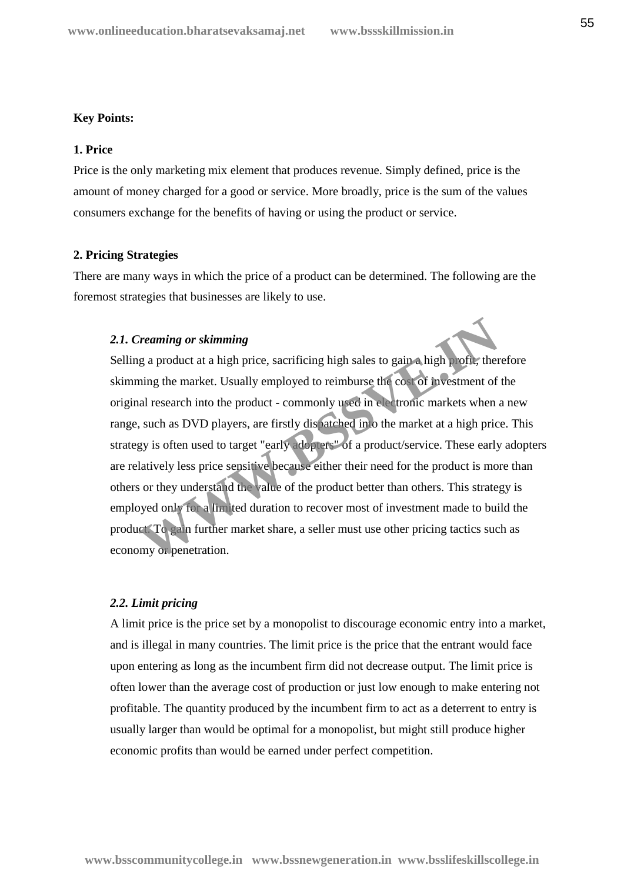#### **Key Points:**

#### **1. Price**

Price is the only marketing mix element that produces revenue. Simply defined, price is the amount of money charged for a good or service. More broadly, price is the sum of the values consumers exchange for the benefits of having or using the product or service.

#### **2. Pricing Strategies**

There are many ways in which the price of a product can be determined. The following are the foremost strategies that businesses are likely to use.

#### *2.1. Creaming or skimming*

Selling a product at a high price, sacrificing high sales to gain a high profit, therefore skimming the market. Usually employed to reimburse the cost of investment of the original research into the product - commonly used in electronic markets when a new range, such as DVD players, are firstly dispatched into the market at a high price. This strategy is often used to target "early adopters" of a product/service. These early adopters are relatively less price sensitive because either their need for the product is more than others or they understand the value of the product better than others. This strategy is employed only for a limited duration to recover most of investment made to build the product. To gain further market share, a seller must use other pricing tactics such as economy or penetration. **Consuming the matter of the set of the set of the set of the set of the set of the set of the set of the set of the set of the set of the set of the set of the set of the set of the set of the set of the set of the set of** 

#### *2.2. Limit pricing*

A limit price is the price set by a monopolist to discourage economic entry into a market, and is illegal in many countries. The limit price is the price that the entrant would face upon entering as long as the incumbent firm did not decrease output. The limit price is often lower than the average cost of production or just low enough to make entering not profitable. The quantity produced by the incumbent firm to act as a deterrent to entry is usually larger than would be optimal for a monopolist, but might still produce higher economic profits than would be earned under perfect competition.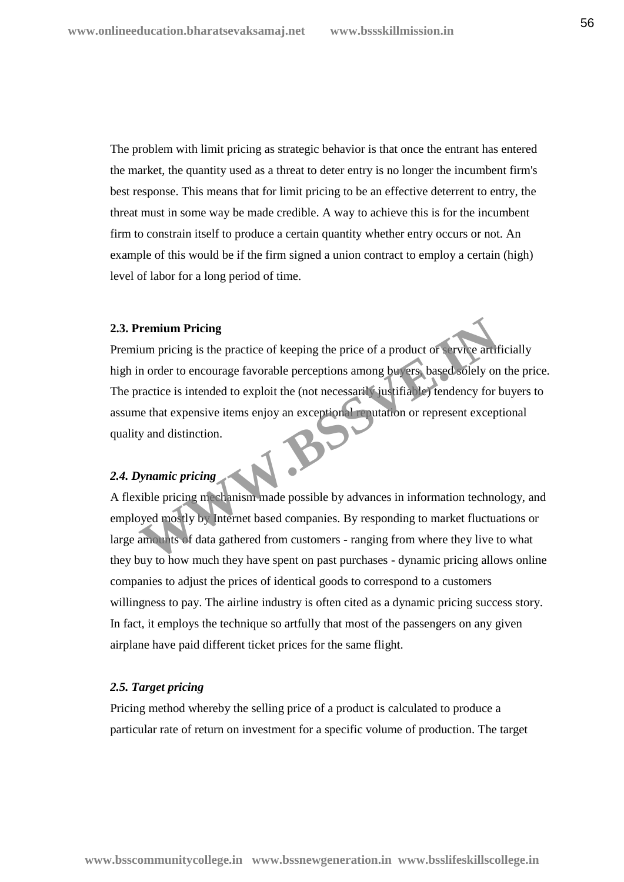The problem with limit pricing as strategic behavior is that once the entrant has entered the market, the quantity used as a threat to deter entry is no longer the incumbent firm's best response. This means that for limit pricing to be an effective deterrent to entry, the threat must in some way be made credible. A way to achieve this is for the incumbent firm to constrain itself to produce a certain quantity whether entry occurs or not. An example of this would be if the firm signed a union contract to employ a certain (high) level of labor for a long period of time.

#### **2.3. Premium Pricing**

Premium pricing is the practice of keeping the price of a product or service artificially high in order to encourage favorable perceptions among buyers, based solely on the price. The practice is intended to exploit the (not necessarily justifiable) tendency for buyers to assume that expensive items enjoy an exceptional reputation or represent exceptional quality and distinction. **Example 12**<br> **WE ATHE SET ASSESS THE SET ASSESS THE SET ASSESS THE SET ASSESS THE SET ASSESS THE ART A DISCRETE IS INCOLLED TO THE USE OF THE SET AND THE USE OF THE SET AND MONORATED TO THE SET AND MONORATED TO THE SET AN** 

# *2.4. Dynamic pricing*

A flexible pricing mechanism made possible by advances in information technology, and employed mostly by Internet based companies. By responding to market fluctuations or large amounts of data gathered from customers - ranging from where they live to what they buy to how much they have spent on past purchases - dynamic pricing allows online companies to adjust the prices of identical goods to correspond to a customers willingness to pay. The airline industry is often cited as a dynamic pricing success story. In fact, it employs the technique so artfully that most of the passengers on any given airplane have paid different ticket prices for the same flight.

#### *2.5. Target pricing*

Pricing method whereby the selling price of a product is calculated to produce a particular rate of return on investment for a specific volume of production. The target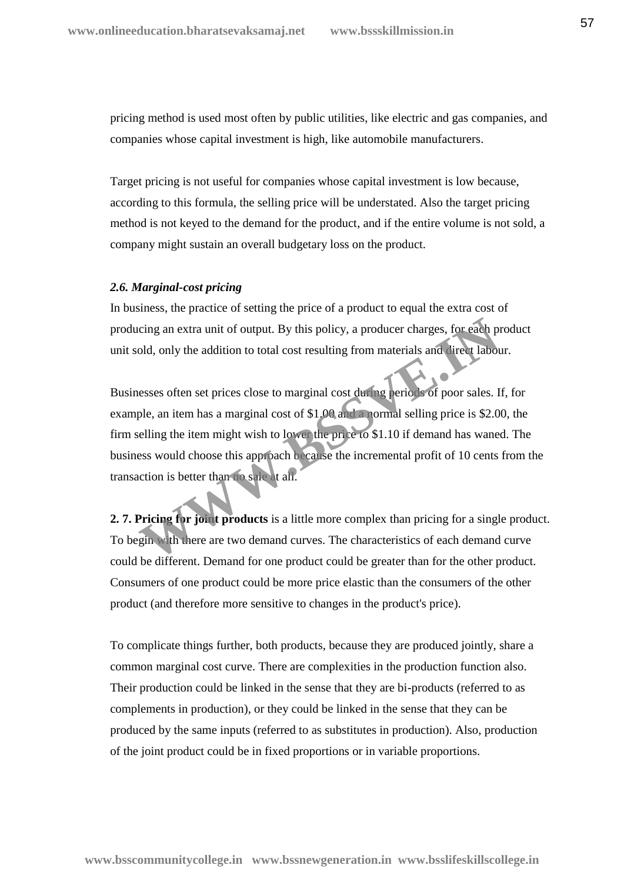pricing method is used most often by public utilities, like electric and gas companies, and companies whose capital investment is high, like automobile manufacturers.

Target pricing is not useful for companies whose capital investment is low because, according to this formula, the selling price will be understated. Also the target pricing method is not keyed to the demand for the product, and if the entire volume is not sold, a company might sustain an overall budgetary loss on the product.

#### *2.6. Marginal-cost pricing*

In business, the practice of setting the price of a product to equal the extra cost of producing an extra unit of output. By this policy, a producer charges, for each product unit sold, only the addition to total cost resulting from materials and direct labour.

Businesses often set prices close to marginal cost during periods of poor sales. If, for example, an item has a marginal cost of \$1.00 and a normal selling price is \$2.00, the firm selling the item might wish to lower the price to \$1.10 if demand has waned. The business would choose this approach because the incremental profit of 10 cents from the transaction is better than no sale at all. cing an extra unit of output. By this policy, a producer charges, for each pold, only the addition to total cost resulting from materials and direct labor also desires also to the cost in term in terms are applied to the p

**2. 7. Pricing for joint products** is a little more complex than pricing for a single product. To begin with there are two demand curves. The characteristics of each demand curve could be different. Demand for one product could be greater than for the other product. Consumers of one product could be more price elastic than the consumers of the other product (and therefore more sensitive to changes in the product's price).

To complicate things further, both products, because they are produced jointly, share a common marginal cost curve. There are complexities in the production function also. Their production could be linked in the sense that they are bi-products (referred to as complements in production), or they could be linked in the sense that they can be produced by the same inputs (referred to as substitutes in production). Also, production of the joint product could be in fixed proportions or in variable proportions.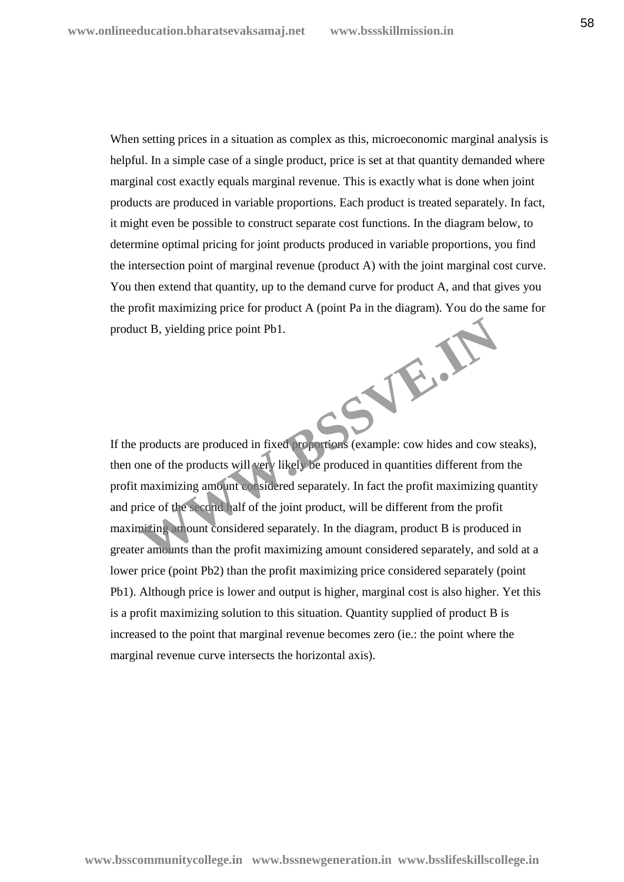When setting prices in a situation as complex as this, microeconomic marginal analysis is helpful. In a simple case of a single product, price is set at that quantity demanded where marginal cost exactly equals marginal revenue. This is exactly what is done when joint products are produced in variable proportions. Each product is treated separately. In fact, it might even be possible to construct separate cost functions. In the diagram below, to determine optimal pricing for joint products produced in variable proportions, you find the intersection point of marginal revenue (product A) with the joint marginal cost curve. You then extend that quantity, up to the demand curve for product A, and that gives you the profit maximizing price for product A (point Pa in the diagram). You do the same for product B, yielding price point Pb1. **WWW.BSSVE.IN**

If the products are produced in fixed proportions (example: cow hides and cow steaks), then one of the products will very likely be produced in quantities different from the profit maximizing amount considered separately. In fact the profit maximizing quantity and price of the second half of the joint product, will be different from the profit maximizing amount considered separately. In the diagram, product B is produced in greater amounts than the profit maximizing amount considered separately, and sold at a lower price (point Pb2) than the profit maximizing price considered separately (point Pb1). Although price is lower and output is higher, marginal cost is also higher. Yet this is a profit maximizing solution to this situation. Quantity supplied of product B is increased to the point that marginal revenue becomes zero (ie.: the point where the marginal revenue curve intersects the horizontal axis).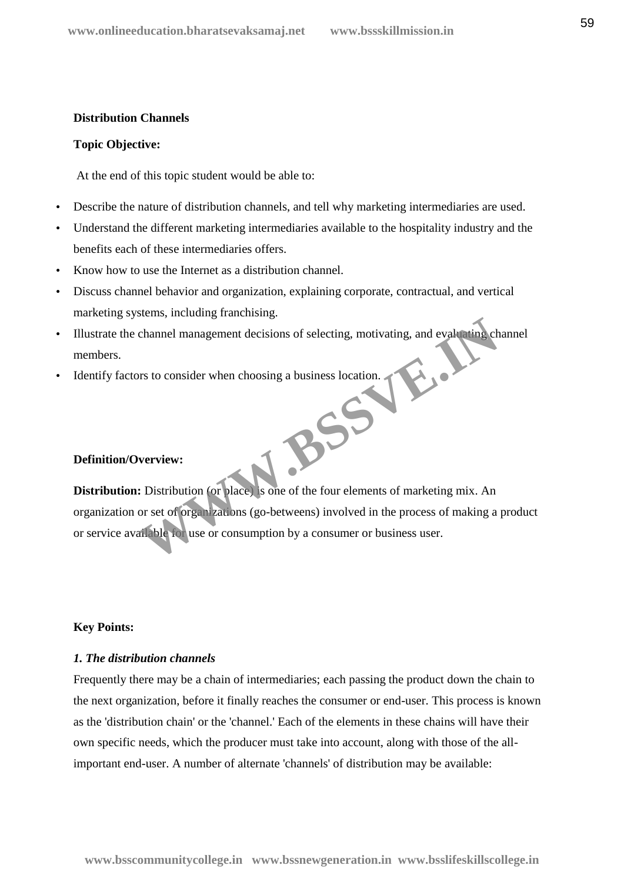#### **Distribution Channels**

#### **Topic Objective:**

At the end of this topic student would be able to:

- Describe the nature of distribution channels, and tell why marketing intermediaries are used.
- Understand the different marketing intermediaries available to the hospitality industry and the benefits each of these intermediaries offers.
- Know how to use the Internet as a distribution channel.
- Discuss channel behavior and organization, explaining corporate, contractual, and vertical marketing systems, including franchising.
- Illustrate the channel management decisions of selecting, motivating, and evaluating channel members.
- Identify factors to consider when choosing a business location.  $R^{SS}$

#### **Definition/Overview:**

**Distribution:** Distribution (or place) is one of the four elements of marketing mix. An organization or set of organizations (go-betweens) involved in the process of making a product or service available for use or consumption by a consumer or business user.

#### **Key Points:**

#### *1. The distribution channels*

Frequently there may be a chain of intermediaries; each passing the product down the chain to the next organization, before it finally reaches the consumer or end-user. This process is known as the 'distribution chain' or the 'channel.' Each of the elements in these chains will have their own specific needs, which the producer must take into account, along with those of the allimportant end-user. A number of alternate 'channels' of distribution may be available: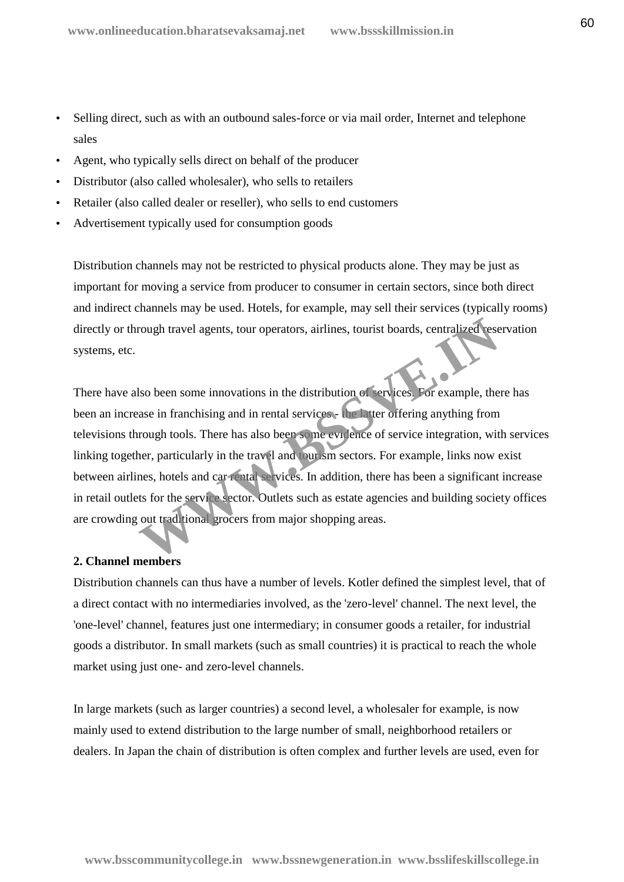- Selling direct, such as with an outbound sales-force or via mail order, Internet and telephone sales
- Agent, who typically sells direct on behalf of the producer
- Distributor (also called wholesaler), who sells to retailers
- Retailer (also called dealer or reseller), who sells to end customers
- Advertisement typically used for consumption goods

Distribution channels may not be restricted to physical products alone. They may be just as important for moving a service from producer to consumer in certain sectors, since both direct and indirect channels may be used. Hotels, for example, may sell their services (typically rooms) directly or through travel agents, tour operators, airlines, tourist boards, centralized reservation systems, etc.

There have also been some innovations in the distribution of services. For example, there has been an increase in franchising and in rental services - the latter offering anything from televisions through tools. There has also been some evidence of service integration, with services linking together, particularly in the travel and tourism sectors. For example, links now exist between airlines, hotels and car rental services. In addition, there has been a significant increase in retail outlets for the service sector. Outlets such as estate agencies and building society offices are crowding out traditional grocers from major shopping areas. Franch and the setter and the setter and the setter and the setter alternative of the set in franchising and in rental services. For example, the sase in franchising and in rental services. The latter offering anything fro

#### **2. Channel members**

Distribution channels can thus have a number of levels. Kotler defined the simplest level, that of a direct contact with no intermediaries involved, as the 'zero-level' channel. The next level, the 'one-level' channel, features just one intermediary; in consumer goods a retailer, for industrial goods a distributor. In small markets (such as small countries) it is practical to reach the whole market using just one- and zero-level channels.

In large markets (such as larger countries) a second level, a wholesaler for example, is now mainly used to extend distribution to the large number of small, neighborhood retailers or dealers. In Japan the chain of distribution is often complex and further levels are used, even for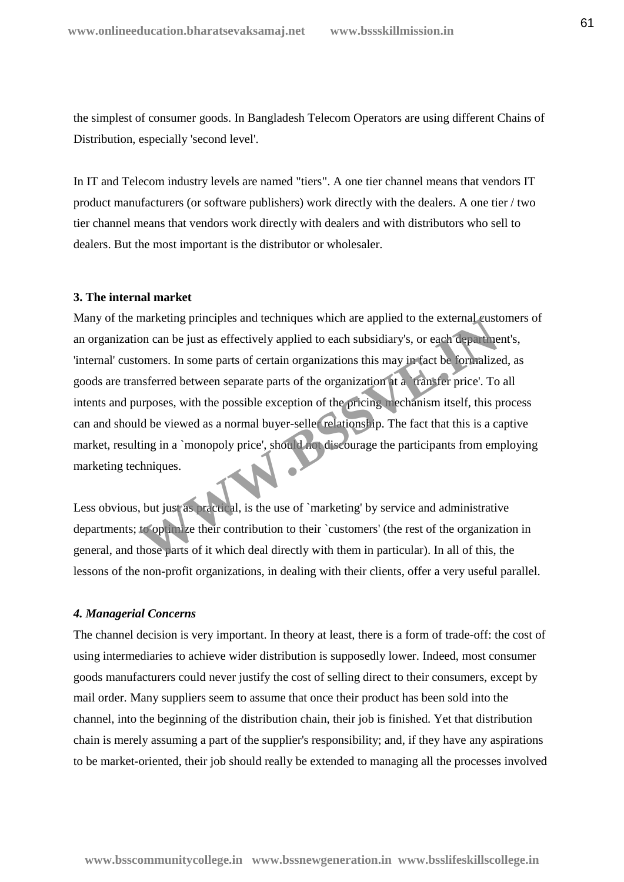the simplest of consumer goods. In Bangladesh Telecom Operators are using different Chains of Distribution, especially 'second level'.

In IT and Telecom industry levels are named "tiers". A one tier channel means that vendors IT product manufacturers (or software publishers) work directly with the dealers. A one tier / two tier channel means that vendors work directly with dealers and with distributors who sell to dealers. But the most important is the distributor or wholesaler.

#### **3. The internal market**

Many of the marketing principles and techniques which are applied to the external customers of an organization can be just as effectively applied to each subsidiary's, or each department's, 'internal' customers. In some parts of certain organizations this may in fact be formalized, as goods are transferred between separate parts of the organization at a `transfer price'. To all intents and purposes, with the possible exception of the pricing mechanism itself, this process can and should be viewed as a normal buyer-seller relationship. The fact that this is a captive market, resulting in a `monopoly price', should not discourage the participants from employing marketing techniques. marketing principles and techniques which are applied to the external custoon can be just as effectively applied to each subsidiary's, or each department omers. In some parts of certain organizations this may in fact be fo

Less obvious, but just as practical, is the use of `marketing' by service and administrative departments; to optimize their contribution to their `customers' (the rest of the organization in general, and those parts of it which deal directly with them in particular). In all of this, the lessons of the non-profit organizations, in dealing with their clients, offer a very useful parallel.

#### *4. Managerial Concerns*

The channel decision is very important. In theory at least, there is a form of trade-off: the cost of using intermediaries to achieve wider distribution is supposedly lower. Indeed, most consumer goods manufacturers could never justify the cost of selling direct to their consumers, except by mail order. Many suppliers seem to assume that once their product has been sold into the channel, into the beginning of the distribution chain, their job is finished. Yet that distribution chain is merely assuming a part of the supplier's responsibility; and, if they have any aspirations to be market-oriented, their job should really be extended to managing all the processes involved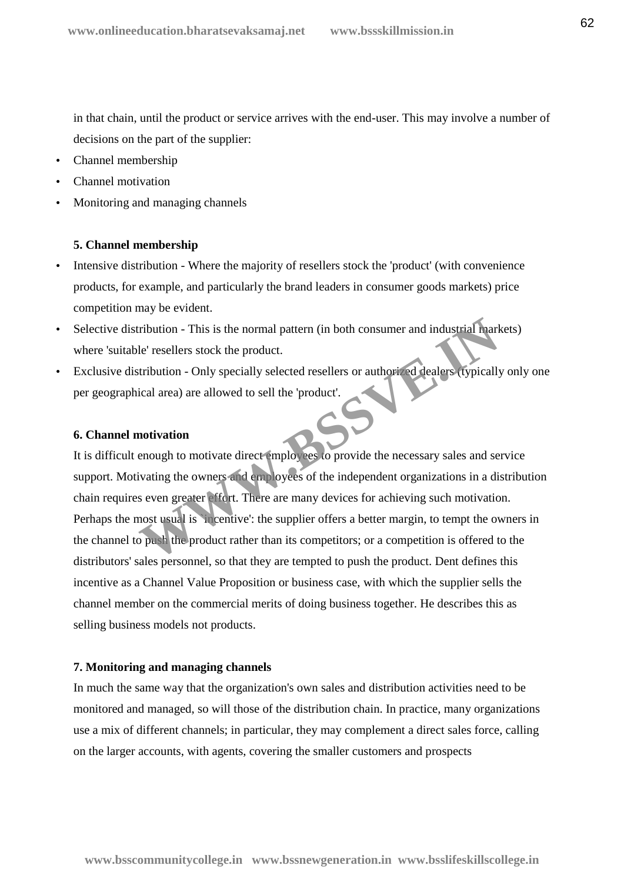in that chain, until the product or service arrives with the end-user. This may involve a number of decisions on the part of the supplier:

- Channel membership
- Channel motivation
- Monitoring and managing channels

#### **5. Channel membership**

- Intensive distribution Where the majority of resellers stock the 'product' (with convenience products, for example, and particularly the brand leaders in consumer goods markets) price competition may be evident.
- Selective distribution This is the normal pattern (in both consumer and industrial markets) where 'suitable' resellers stock the product.
- Exclusive distribution Only specially selected resellers or authorized dealers (typically only one per geographical area) are allowed to sell the 'product'.

#### **6. Channel motivation**

It is difficult enough to motivate direct employees to provide the necessary sales and service support. Motivating the owners and employees of the independent organizations in a distribution chain requires even greater effort. There are many devices for achieving such motivation. Perhaps the most usual is `incentive': the supplier offers a better margin, to tempt the owners in the channel to push the product rather than its competitors; or a competition is offered to the distributors' sales personnel, so that they are tempted to push the product. Dent defines this incentive as a Channel Value Proposition or business case, with which the supplier sells the channel member on the commercial merits of doing business together. He describes this as selling business models not products. Tribution - This is the normal pattern (in both consumer and industrial mark<br>
le' resellers stock the product.<br>
It is used to sell the 'product'.<br>
It is used to sell the 'product'.<br> **We allowed to sell the 'product'.**<br> **We** 

#### **7. Monitoring and managing channels**

In much the same way that the organization's own sales and distribution activities need to be monitored and managed, so will those of the distribution chain. In practice, many organizations use a mix of different channels; in particular, they may complement a direct sales force, calling on the larger accounts, with agents, covering the smaller customers and prospects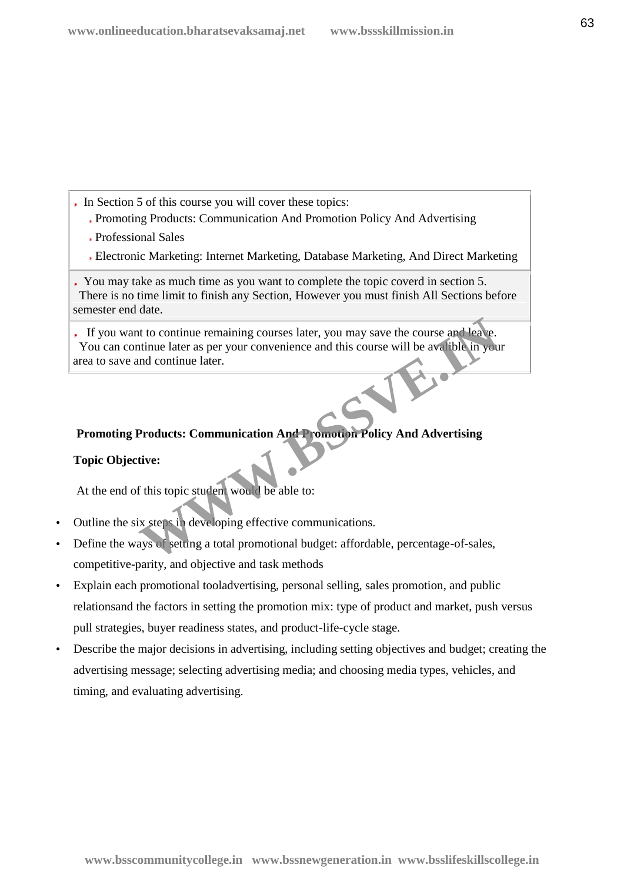- In Section 5 of this course you will cover these topics:
	- Promoting Products: Communication And Promotion Policy And Advertising
	- Professional Sales
	- Electronic Marketing: Internet Marketing, Database Marketing, And Direct Marketing

You may take as much time as you want to complete the topic coverd in section 5. There is no time limit to finish any Section, However you must finish All Sections before semester end date.

If you want to continue remaining courses later, you may save the course and leave. You can continue later as per your convenience and this course will be avalible in your area to save and continue later. The total continue remaining courses later, you may save the course and leave.<br>
Intimue later as per your convenience and this course will be available in your<br>
Indication continue later.<br>
Products: Communication And Promo

# **Promoting Products: Communication And Promotion Policy And Advertising**

#### **Topic Objective:**

At the end of this topic student would be able to:

- Outline the six steps in developing effective communications.
- Define the ways of setting a total promotional budget: affordable, percentage-of-sales, competitive-parity, and objective and task methods
- Explain each promotional tooladvertising, personal selling, sales promotion, and public relationsand the factors in setting the promotion mix: type of product and market, push versus pull strategies, buyer readiness states, and product-life-cycle stage.
- Describe the major decisions in advertising, including setting objectives and budget; creating the advertising message; selecting advertising media; and choosing media types, vehicles, and timing, and evaluating advertising.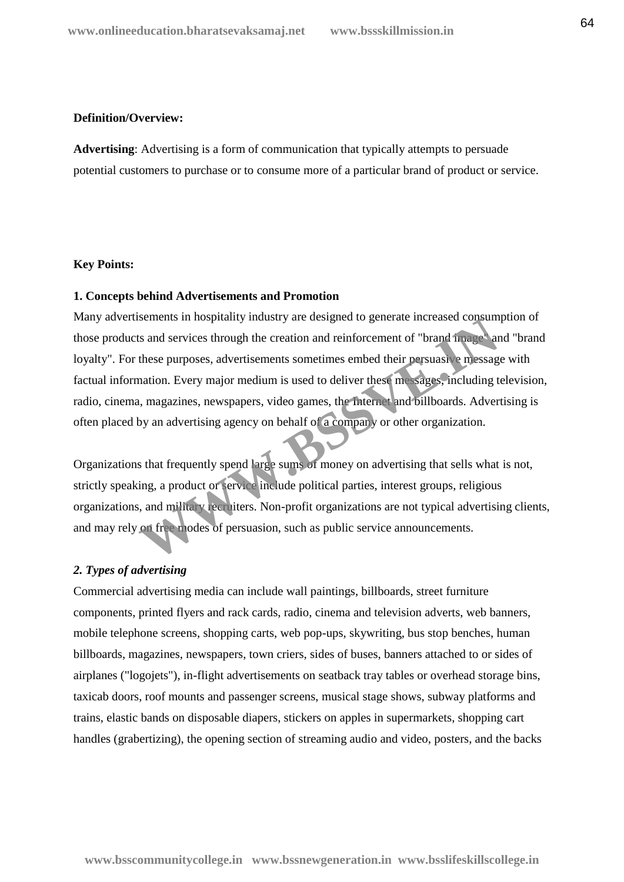#### **Definition/Overview:**

**Advertising**: Advertising is a form of communication that typically attempts to persuade potential customers to purchase or to consume more of a particular brand of product or service.

#### **Key Points:**

#### **1. Concepts behind Advertisements and Promotion**

Many advertisements in hospitality industry are designed to generate increased consumption of those products and services through the creation and reinforcement of "brand image" and "brand loyalty". For these purposes, advertisements sometimes embed their persuasive message with factual information. Every major medium is used to deliver these messages, including television, radio, cinema, magazines, newspapers, video games, the Internet and billboards. Advertising is often placed by an advertising agency on behalf of a company or other organization. Is and services through the creation and reinforcement of "brand image."<br>
It and services through the creation and reinforcement of "brand image."<br>
It are purposes, advertisements sometimes embed their persuasive message<br>

Organizations that frequently spend large sums of money on advertising that sells what is not, strictly speaking, a product or service include political parties, interest groups, religious organizations, and military recruiters. Non-profit organizations are not typical advertising clients, and may rely on free modes of persuasion, such as public service announcements.

#### *2. Types of advertising*

Commercial advertising media can include wall paintings, billboards, street furniture components, printed flyers and rack cards, radio, cinema and television adverts, web banners, mobile telephone screens, shopping carts, web pop-ups, skywriting, bus stop benches, human billboards, magazines, newspapers, town criers, sides of buses, banners attached to or sides of airplanes ("logojets"), in-flight advertisements on seatback tray tables or overhead storage bins, taxicab doors, roof mounts and passenger screens, musical stage shows, subway platforms and trains, elastic bands on disposable diapers, stickers on apples in supermarkets, shopping cart handles (grabertizing), the opening section of streaming audio and video, posters, and the backs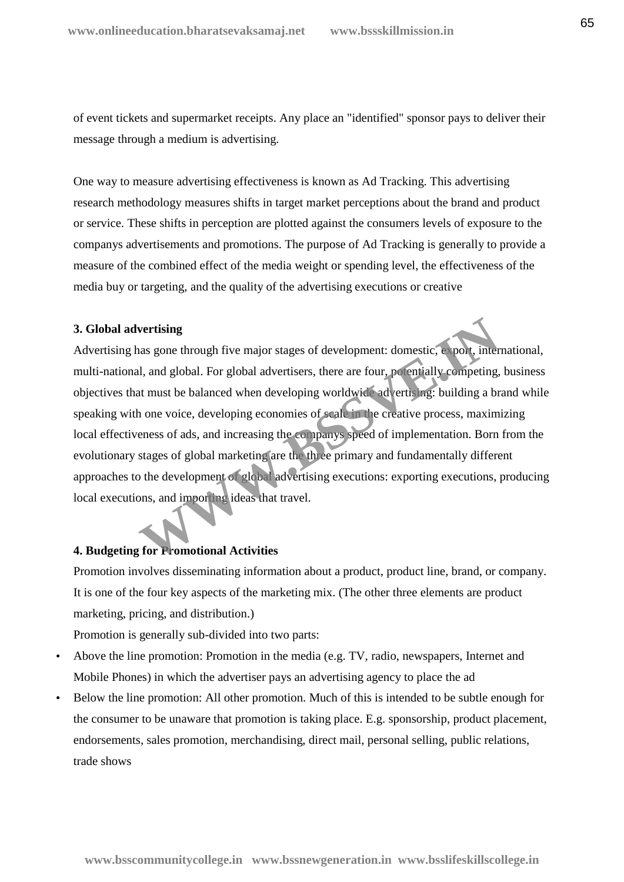of event tickets and supermarket receipts. Any place an "identified" sponsor pays to deliver their message through a medium is advertising.

One way to measure advertising effectiveness is known as Ad Tracking. This advertising research methodology measures shifts in target market perceptions about the brand and product or service. These shifts in perception are plotted against the consumers levels of exposure to the companys advertisements and promotions. The purpose of Ad Tracking is generally to provide a measure of the combined effect of the media weight or spending level, the effectiveness of the media buy or targeting, and the quality of the advertising executions or creative

#### **3. Global advertising**

Advertising has gone through five major stages of development: domestic, export, international, multi-national, and global. For global advertisers, there are four, potentially competing, business objectives that must be balanced when developing worldwide advertising: building a brand while speaking with one voice, developing economies of scale in the creative process, maximizing local effectiveness of ads, and increasing the companys speed of implementation. Born from the evolutionary stages of global marketing are the three primary and fundamentally different approaches to the development of global advertising executions: exporting executions, producing local executions, and importing ideas that travel. **Wertising**<br>
aas gone through five major stages of development: domestic, export, inter<br>
il, and global. For global advertisers, there are four, potentially competing,<br>
at must be balanced when developing worldwide adverti

#### **4. Budgeting for Promotional Activities**

Promotion involves disseminating information about a product, product line, brand, or company. It is one of the four key aspects of the marketing mix. (The other three elements are product marketing, pricing, and distribution.)

Promotion is generally sub-divided into two parts:

- Above the line promotion: Promotion in the media (e.g. TV, radio, newspapers, Internet and Mobile Phones) in which the advertiser pays an advertising agency to place the ad
- Below the line promotion: All other promotion. Much of this is intended to be subtle enough for the consumer to be unaware that promotion is taking place. E.g. sponsorship, product placement, endorsements, sales promotion, merchandising, direct mail, personal selling, public relations, trade shows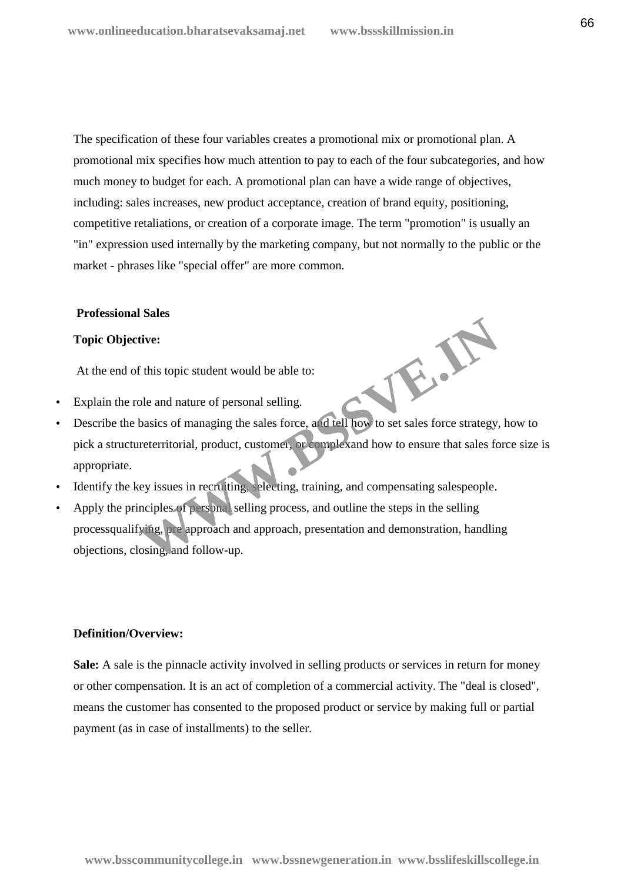**WWW.BSSVE.IN**

The specification of these four variables creates a promotional mix or promotional plan. A promotional mix specifies how much attention to pay to each of the four subcategories, and how much money to budget for each. A promotional plan can have a wide range of objectives, including: sales increases, new product acceptance, creation of brand equity, positioning, competitive retaliations, or creation of a corporate image. The term "promotion" is usually an "in" expression used internally by the marketing company, but not normally to the public or the market - phrases like "special offer" are more common.

#### **Professional Sales**

#### **Topic Objective:**

At the end of this topic student would be able to:

- Explain the role and nature of personal selling.
- Describe the basics of managing the sales force, and tell how to set sales force strategy, how to pick a structureterritorial, product, customer, or complexand how to ensure that sales force size is appropriate.
- Identify the key issues in recruiting, selecting, training, and compensating salespeople.
- Apply the principles of personal selling process, and outline the steps in the selling processqualifying, pre approach and approach, presentation and demonstration, handling objections, closing, and follow-up.

#### **Definition/Overview:**

**Sale:** A sale is the pinnacle activity involved in selling products or services in return for money or other compensation. It is an act of completion of a commercial activity. The "deal is closed", means the customer has consented to the proposed product or service by making full or partial payment (as in case of installments) to the seller.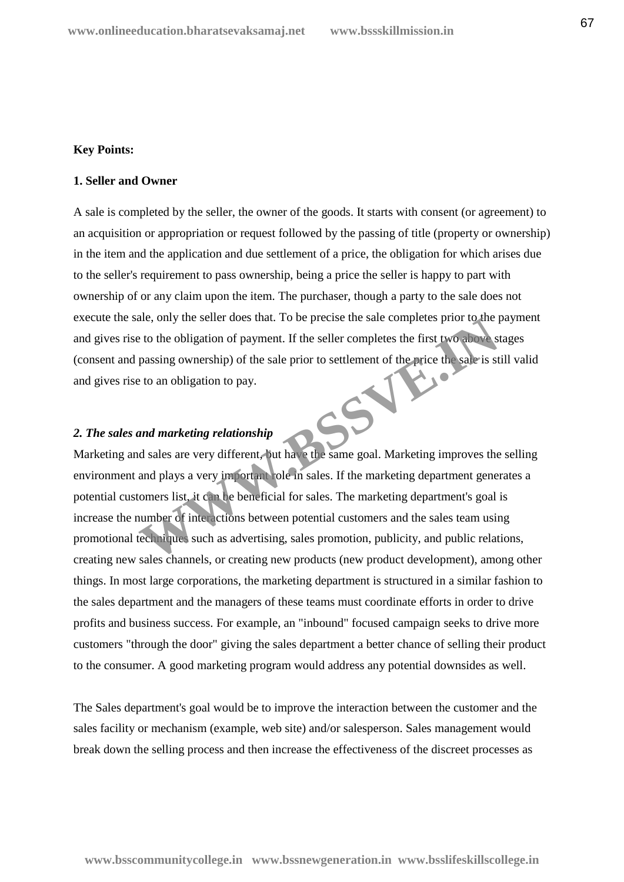#### **Key Points:**

#### **1. Seller and Owner**

A sale is completed by the seller, the owner of the goods. It starts with consent (or agreement) to an acquisition or appropriation or request followed by the passing of title (property or ownership) in the item and the application and due settlement of a price, the obligation for which arises due to the seller's requirement to pass ownership, being a price the seller is happy to part with ownership of or any claim upon the item. The purchaser, though a party to the sale does not execute the sale, only the seller does that. To be precise the sale completes prior to the payment and gives rise to the obligation of payment. If the seller completes the first two above stages (consent and passing ownership) of the sale prior to settlement of the price the sale is still valid and gives rise to an obligation to pay.

# *2. The sales and marketing relationship*

Marketing and sales are very different, but have the same goal. Marketing improves the selling environment and plays a very important role in sales. If the marketing department generates a potential customers list, it can be beneficial for sales. The marketing department's goal is increase the number of interactions between potential customers and the sales team using promotional techniques such as advertising, sales promotion, publicity, and public relations, creating new sales channels, or creating new products (new product development), among other things. In most large corporations, the marketing department is structured in a similar fashion to the sales department and the managers of these teams must coordinate efforts in order to drive profits and business success. For example, an "inbound" focused campaign seeks to drive more customers "through the door" giving the sales department a better chance of selling their product to the consumer. A good marketing program would address any potential downsides as well. are, only the seller does that. To be precise the sale completes prior to the p<br>to the obligation of payment. If the seller completes the first two above<br>s<br>passing ownership) of the sale prior to settlement of the price th

The Sales department's goal would be to improve the interaction between the customer and the sales facility or mechanism (example, web site) and/or salesperson. Sales management would break down the selling process and then increase the effectiveness of the discreet processes as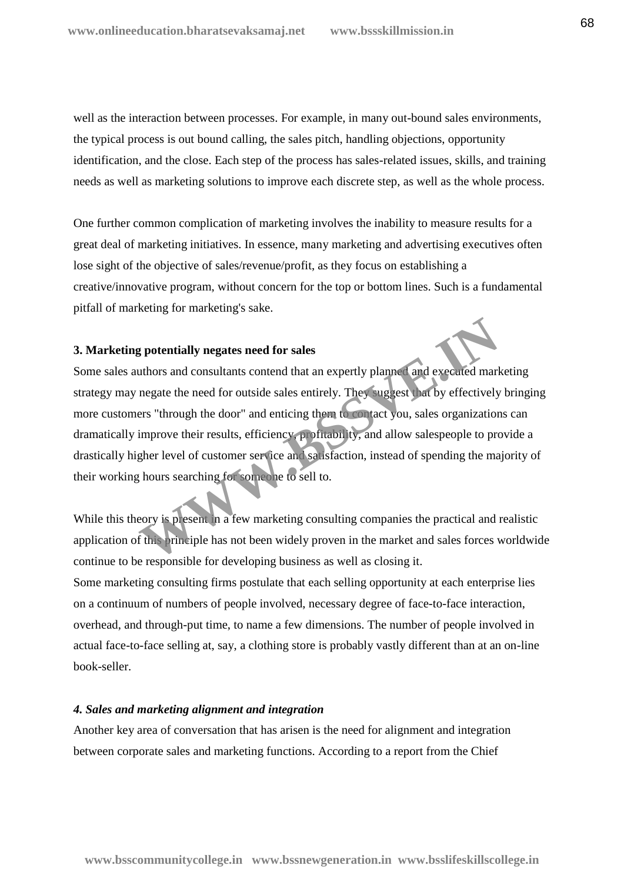well as the interaction between processes. For example, in many out-bound sales environments, the typical process is out bound calling, the sales pitch, handling objections, opportunity identification, and the close. Each step of the process has sales-related issues, skills, and training needs as well as marketing solutions to improve each discrete step, as well as the whole process.

One further common complication of marketing involves the inability to measure results for a great deal of marketing initiatives. In essence, many marketing and advertising executives often lose sight of the objective of sales/revenue/profit, as they focus on establishing a creative/innovative program, without concern for the top or bottom lines. Such is a fundamental pitfall of marketing for marketing's sake.

#### **3. Marketing potentially negates need for sales**

Some sales authors and consultants contend that an expertly planned and executed marketing strategy may negate the need for outside sales entirely. They suggest that by effectively bringing more customers "through the door" and enticing them to contact you, sales organizations can dramatically improve their results, efficiency, profitability, and allow salespeople to provide a drastically higher level of customer service and satisfaction, instead of spending the majority of their working hours searching for someone to sell to. **Example 18 and Solution School Settimary School Settimary 19 and Settimary 19 and Settimary 19 and Settimary 19 and Settimary 19 and Settimary 19 and Settimary 19 and Settimary 19 and Settimary 19 and Settimary 19 and Set** 

While this theory is present in a few marketing consulting companies the practical and realistic application of this principle has not been widely proven in the market and sales forces worldwide continue to be responsible for developing business as well as closing it. Some marketing consulting firms postulate that each selling opportunity at each enterprise lies on a continuum of numbers of people involved, necessary degree of face-to-face interaction, overhead, and through-put time, to name a few dimensions. The number of people involved in actual face-to-face selling at, say, a clothing store is probably vastly different than at an on-line book-seller.

#### *4. Sales and marketing alignment and integration*

Another key area of conversation that has arisen is the need for alignment and integration between corporate sales and marketing functions. According to a report from the Chief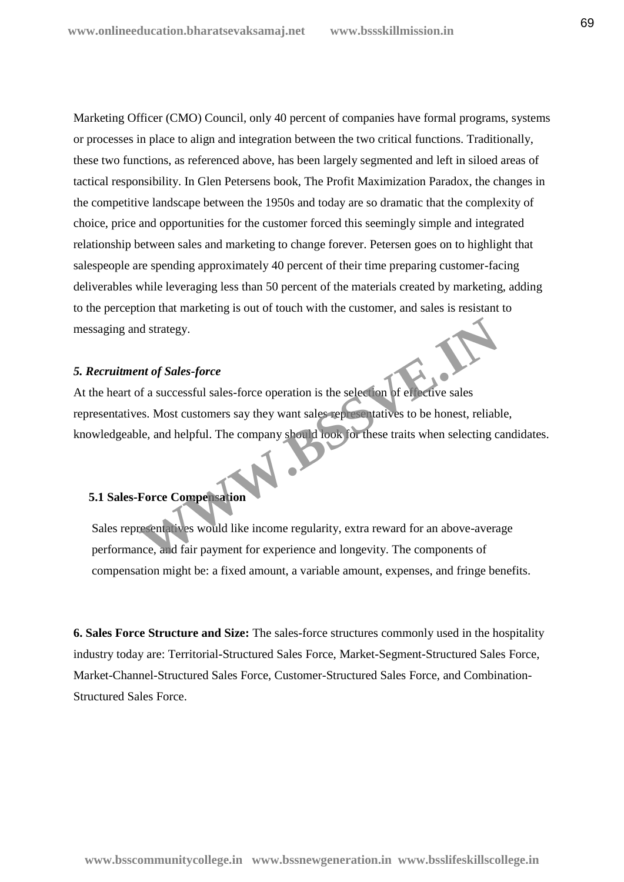Marketing Officer (CMO) Council, only 40 percent of companies have formal programs, systems or processes in place to align and integration between the two critical functions. Traditionally, these two functions, as referenced above, has been largely segmented and left in siloed areas of tactical responsibility. In Glen Petersens book, The Profit Maximization Paradox, the changes in the competitive landscape between the 1950s and today are so dramatic that the complexity of choice, price and opportunities for the customer forced this seemingly simple and integrated relationship between sales and marketing to change forever. Petersen goes on to highlight that salespeople are spending approximately 40 percent of their time preparing customer-facing deliverables while leveraging less than 50 percent of the materials created by marketing, adding to the perception that marketing is out of touch with the customer, and sales is resistant to messaging and strategy.

#### *5. Recruitment of Sales-force*

At the heart of a successful sales-force operation is the selection of effective sales representatives. Most customers say they want sales representatives to be honest, reliable, knowledgeable, and helpful. The company should look for these traits when selecting candidates. nt of Sales-force<br>
of a successful sales-force operation is the selection of elfective sales<br>
Ses. Most customers say they want sales representatives to be honest, reliable,<br>
and helpful. The company should look for these

#### **5.1 Sales-Force Compensation**

Sales representatives would like income regularity, extra reward for an above-average performance, and fair payment for experience and longevity. The components of compensation might be: a fixed amount, a variable amount, expenses, and fringe benefits.

**6. Sales Force Structure and Size:** The sales-force structures commonly used in the hospitality industry today are: Territorial-Structured Sales Force, Market-Segment-Structured Sales Force, Market-Channel-Structured Sales Force, Customer-Structured Sales Force, and Combination- Structured Sales Force.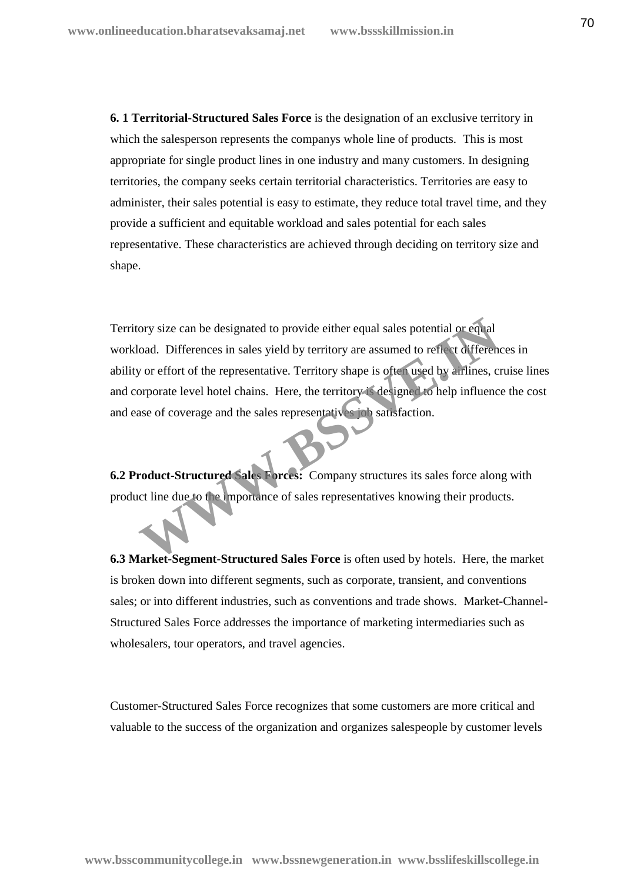**6. 1 Territorial-Structured Sales Force** is the designation of an exclusive territory in which the salesperson represents the companys whole line of products. This is most appropriate for single product lines in one industry and many customers. In designing territories, the company seeks certain territorial characteristics. Territories are easy to administer, their sales potential is easy to estimate, they reduce total travel time, and they provide a sufficient and equitable workload and sales potential for each sales representative. These characteristics are achieved through deciding on territory size and shape.

Territory size can be designated to provide either equal sales potential or equal workload. Differences in sales yield by territory are assumed to reflect differences in ability or effort of the representative. Territory shape is often used by airlines, cruise lines and corporate level hotel chains. Here, the territory is designed to help influence the cost and ease of coverage and the sales representatives job satisfaction. For the designated to provide either equal sales potential or equal<br>coad. Differences in sales yield by territory are assumed to reflect difference<br>y or effort of the representative. Territory shape is often used by arriin

**6.2 Product-Structured Sales Forces:** Company structures its sales force along with product line due to the importance of sales representatives knowing their products.

**6.3 Market-Segment-Structured Sales Force** is often used by hotels. Here, the market is broken down into different segments, such as corporate, transient, and conventions sales; or into different industries, such as conventions and trade shows. Market-Channel- Structured Sales Force addresses the importance of marketing intermediaries such as wholesalers, tour operators, and travel agencies.

Customer-Structured Sales Force recognizes that some customers are more critical and valuable to the success of the organization and organizes salespeople by customer levels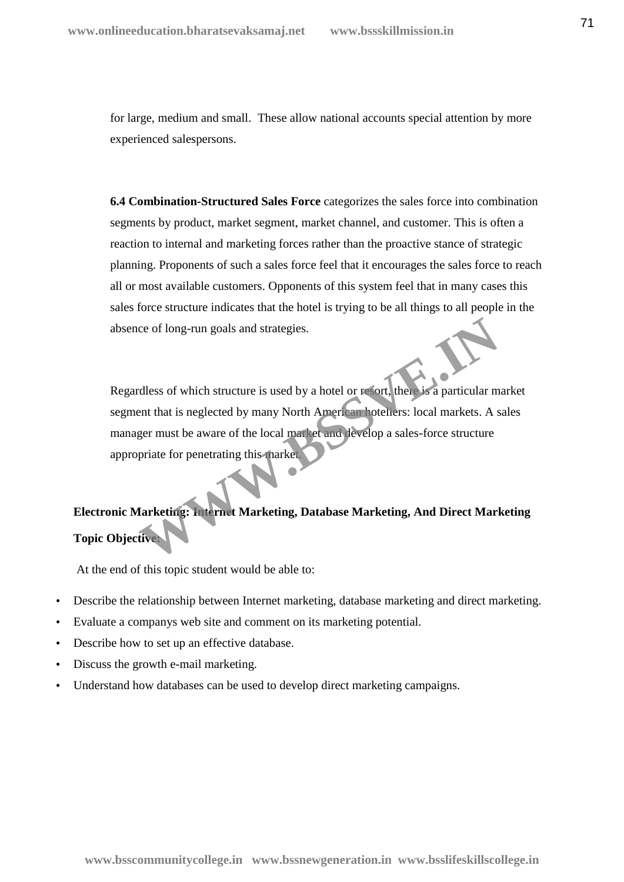for large, medium and small. These allow national accounts special attention by more experienced salespersons.

**6.4 Combination-Structured Sales Force** categorizes the sales force into combination segments by product, market segment, market channel, and customer. This is often a reaction to internal and marketing forces rather than the proactive stance of strategic planning. Proponents of such a sales force feel that it encourages the sales force to reach all or most available customers. Opponents of this system feel that in many cases this sales force structure indicates that the hotel is trying to be all things to all people in the absence of long-run goals and strategies.

Regardless of which structure is used by a hotel or resort, there is a particular market segment that is neglected by many North American hoteliers: local markets. A sales manager must be aware of the local market and develop a sales-force structure appropriate for penetrating this market. Comparison of the structure is used by a hotel or resort, there is a particular meant that is neglected by many North American hoteliers: local markets. A sper must be aware of the local market and develop a sales-force st

# **Electronic Marketing: Internet Marketing, Database Marketing, And Direct Marketing Topic Objective:**

At the end of this topic student would be able to:

- Describe the relationship between Internet marketing, database marketing and direct marketing.
- Evaluate a companys web site and comment on its marketing potential.
- Describe how to set up an effective database.
- Discuss the growth e-mail marketing.
- Understand how databases can be used to develop direct marketing campaigns.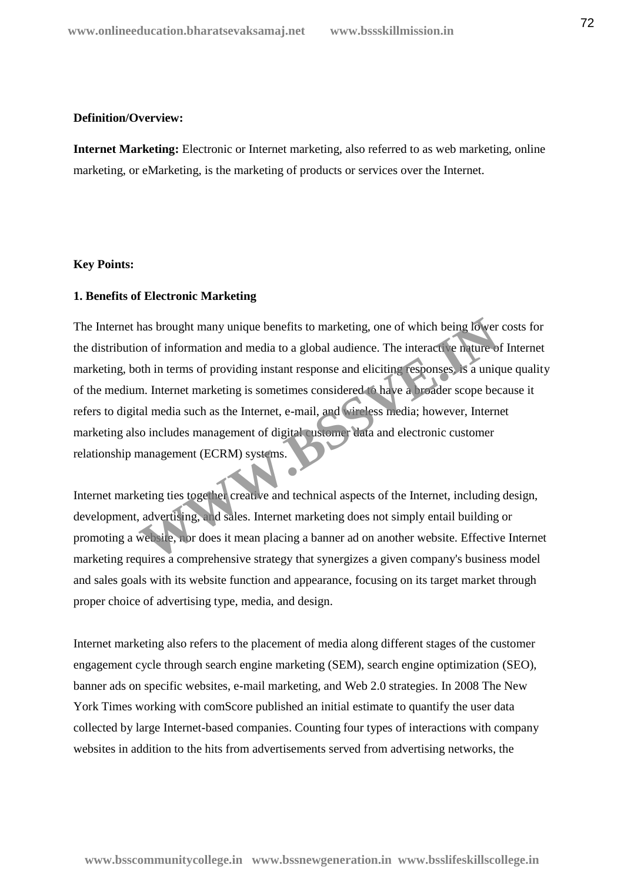#### **Definition/Overview:**

**Internet Marketing:** Electronic or Internet marketing, also referred to as web marketing, online marketing, or eMarketing, is the marketing of products or services over the Internet.

#### **Key Points:**

#### **1. Benefits of Electronic Marketing**

The Internet has brought many unique benefits to marketing, one of which being lower costs for the distribution of information and media to a global audience. The interactive nature of Internet marketing, both in terms of providing instant response and eliciting responses, is a unique quality of the medium. Internet marketing is sometimes considered to have a broader scope because it refers to digital media such as the Internet, e-mail, and wireless media; however, Internet marketing also includes management of digital customer data and electronic customer relationship management (ECRM) systems. thas brought many unique benefits to marketing, one of which being lower<br>on of information and media to a global audience. The interactive nature of<br>oth in terms of providing instant response and eliciting responses. It is

Internet marketing ties together creative and technical aspects of the Internet, including design, development, advertising, and sales. Internet marketing does not simply entail building or promoting a website, nor does it mean placing a banner ad on another website. Effective Internet marketing requires a comprehensive strategy that synergizes a given company's business model and sales goals with its website function and appearance, focusing on its target market through proper choice of advertising type, media, and design.

Internet marketing also refers to the placement of media along different stages of the customer engagement cycle through search engine marketing (SEM), search engine optimization (SEO), banner ads on specific websites, e-mail marketing, and Web 2.0 strategies. In 2008 The New York Times working with comScore published an initial estimate to quantify the user data collected by large Internet-based companies. Counting four types of interactions with company websites in addition to the hits from advertisements served from advertising networks, the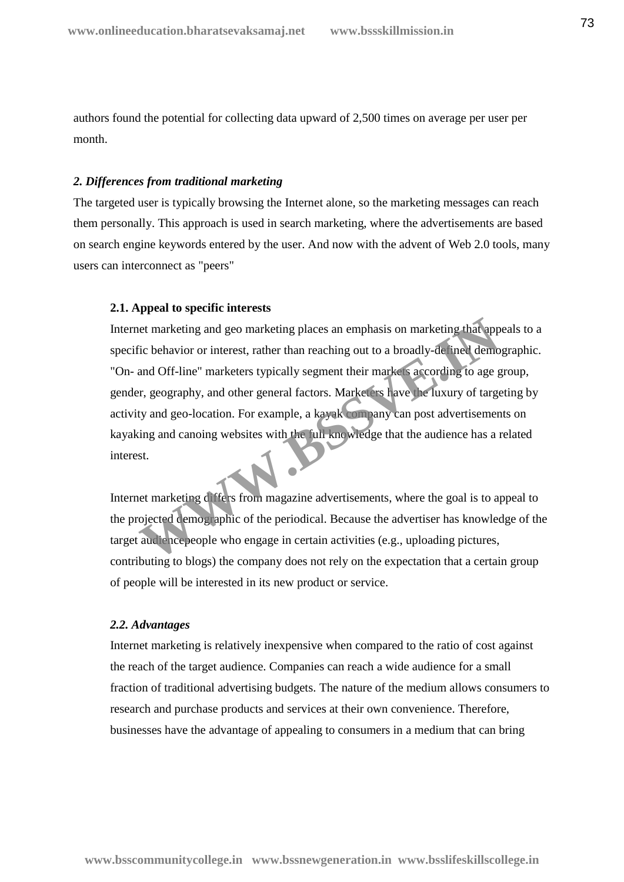authors found the potential for collecting data upward of 2,500 times on average per user per month.

#### *2. Differences from traditional marketing*

The targeted user is typically browsing the Internet alone, so the marketing messages can reach them personally. This approach is used in search marketing, where the advertisements are based on search engine keywords entered by the user. And now with the advent of Web 2.0 tools, many users can interconnect as "peers"

# **2.1. Appeal to specific interests**

Internet marketing and geo marketing places an emphasis on marketing that appeals to a specific behavior or interest, rather than reaching out to a broadly-defined demographic. "On- and Off-line" marketers typically segment their markets according to age group, gender, geography, and other general factors. Marketers have the luxury of targeting by activity and geo-location. For example, a kayak company can post advertisements on kayaking and canoing websites with the full knowledge that the audience has a related interest. external determines and geometrician places an emphasis on marketing that app<br>
The behavior or interest, rather than reaching out to a broadly-defined demo<br>
and Off-line" marketers typically segment their market seconding

Internet marketing differs from magazine advertisements, where the goal is to appeal to the projected demographic of the periodical. Because the advertiser has knowledge of the target audience people who engage in certain activities (e.g., uploading pictures, contributing to blogs) the company does not rely on the expectation that a certain group of people will be interested in its new product or service.

## *2.2. Advantages*

Internet marketing is relatively inexpensive when compared to the ratio of cost against the reach of the target audience. Companies can reach a wide audience for a small fraction of traditional advertising budgets. The nature of the medium allows consumers to research and purchase products and services at their own convenience. Therefore, businesses have the advantage of appealing to consumers in a medium that can bring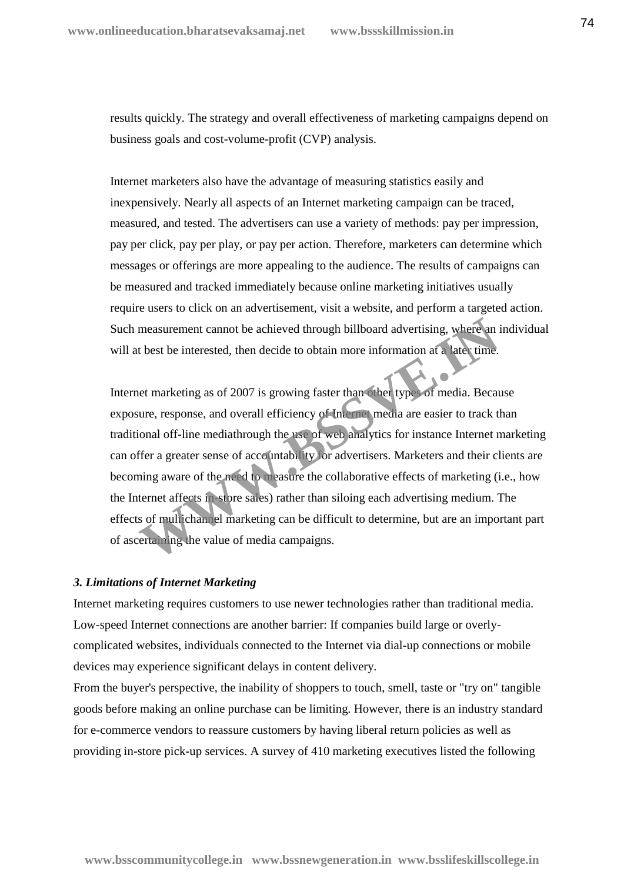results quickly. The strategy and overall effectiveness of marketing campaigns depend on business goals and cost-volume-profit (CVP) analysis.

Internet marketers also have the advantage of measuring statistics easily and inexpensively. Nearly all aspects of an Internet marketing campaign can be traced, measured, and tested. The advertisers can use a variety of methods: pay per impression, pay per click, pay per play, or pay per action. Therefore, marketers can determine which messages or offerings are more appealing to the audience. The results of campaigns can be measured and tracked immediately because online marketing initiatives usually require users to click on an advertisement, visit a website, and perform a targeted action. Such measurement cannot be achieved through billboard advertising, where an individual will at best be interested, then decide to obtain more information at a later time.

Internet marketing as of 2007 is growing faster than other types of media. Because exposure, response, and overall efficiency of Internet media are easier to track than traditional off-line mediathrough the use of web analytics for instance Internet marketing can offer a greater sense of accountability for advertisers. Marketers and their clients are becoming aware of the need to measure the collaborative effects of marketing (i.e., how the Internet affects in-store sales) rather than siloing each advertising medium. The effects of multichannel marketing can be difficult to determine, but are an important part of ascertaining the value of media campaigns. measurement cannot be achieved through billboard advertising, where an it best be interested, then decide to obtain more information at a later time.<br>
Het marketing as of 2007 is growing faster than other types of media. B

#### *3. Limitations of Internet Marketing*

Internet marketing requires customers to use newer technologies rather than traditional media. Low-speed Internet connections are another barrier: If companies build large or overly complicated websites, individuals connected to the Internet via dial-up connections or mobile devices may experience significant delays in content delivery.

From the buyer's perspective, the inability of shoppers to touch, smell, taste or "try on" tangible goods before making an online purchase can be limiting. However, there is an industry standard for e-commerce vendors to reassure customers by having liberal return policies as well as providing in-store pick-up services. A survey of 410 marketing executives listed the following

**www.bsscommunitycollege.in www.bssnewgeneration.in www.bsslifeskillscollege.in**